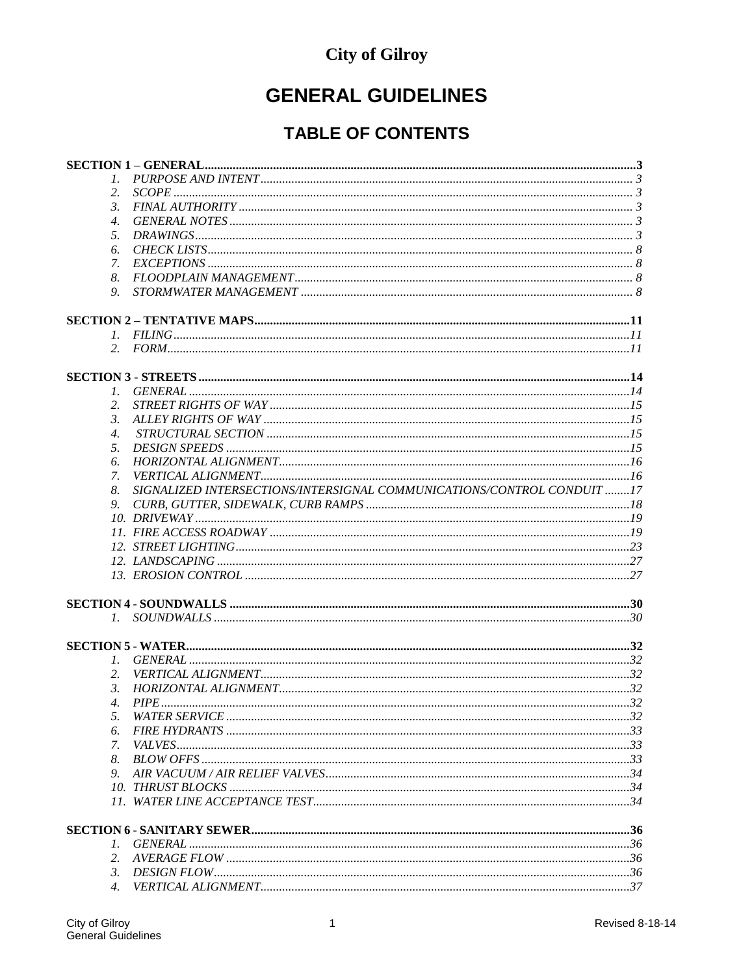## **City of Gilroy**

# **GENERAL GUIDELINES**

## **TABLE OF CONTENTS**

| 2.                    |                                                                        |  |
|-----------------------|------------------------------------------------------------------------|--|
| $\mathfrak{Z}$ .      |                                                                        |  |
| 4.                    |                                                                        |  |
| 5.                    |                                                                        |  |
| 6.                    |                                                                        |  |
| 7.                    |                                                                        |  |
| 8.                    |                                                                        |  |
| 9.                    |                                                                        |  |
|                       |                                                                        |  |
|                       |                                                                        |  |
|                       |                                                                        |  |
|                       |                                                                        |  |
|                       |                                                                        |  |
|                       |                                                                        |  |
| 2.                    |                                                                        |  |
| 3.                    |                                                                        |  |
| 4.                    |                                                                        |  |
| 5.                    |                                                                        |  |
| 6.                    |                                                                        |  |
| 7.                    |                                                                        |  |
| 8.                    | SIGNALIZED INTERSECTIONS/INTERSIGNAL COMMUNICATIONS/CONTROL CONDUIT 17 |  |
| 9.                    |                                                                        |  |
|                       |                                                                        |  |
|                       |                                                                        |  |
|                       |                                                                        |  |
|                       |                                                                        |  |
|                       |                                                                        |  |
|                       |                                                                        |  |
|                       |                                                                        |  |
|                       |                                                                        |  |
|                       |                                                                        |  |
|                       |                                                                        |  |
| 2.                    |                                                                        |  |
| 3.                    |                                                                        |  |
|                       |                                                                        |  |
| 5.                    |                                                                        |  |
| 6.                    |                                                                        |  |
| 7.                    |                                                                        |  |
| 8.                    |                                                                        |  |
| 9.                    |                                                                        |  |
|                       |                                                                        |  |
|                       |                                                                        |  |
|                       |                                                                        |  |
|                       |                                                                        |  |
|                       |                                                                        |  |
| 3.                    |                                                                        |  |
| $\mathcal{A}_{\cdot}$ |                                                                        |  |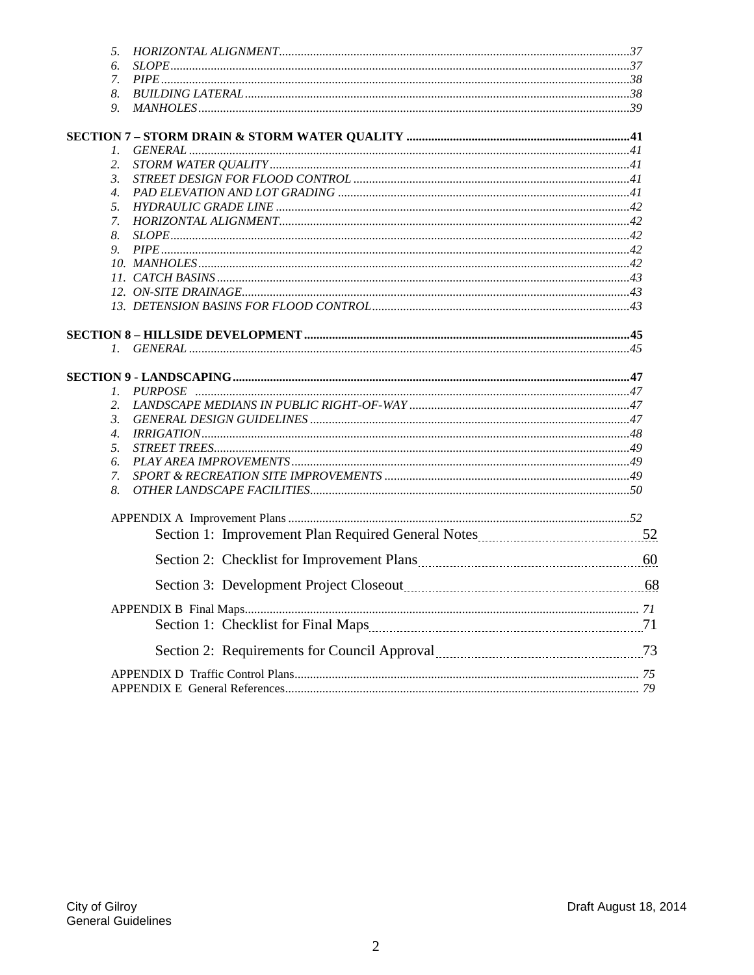| 5.                                                              |  |
|-----------------------------------------------------------------|--|
| 6.                                                              |  |
| 7.                                                              |  |
| 8.                                                              |  |
| 9.                                                              |  |
|                                                                 |  |
| 1.                                                              |  |
| 2.                                                              |  |
| $\mathfrak{Z}$ .                                                |  |
| $\overline{4}$ .                                                |  |
| 5.                                                              |  |
| 7.                                                              |  |
| 8.                                                              |  |
| 9.                                                              |  |
|                                                                 |  |
|                                                                 |  |
|                                                                 |  |
|                                                                 |  |
|                                                                 |  |
|                                                                 |  |
|                                                                 |  |
|                                                                 |  |
|                                                                 |  |
| 2.                                                              |  |
| $\mathfrak{Z}$ .                                                |  |
| $\overline{4}$ .                                                |  |
| 5.                                                              |  |
| 6.                                                              |  |
| 7.                                                              |  |
| 8.                                                              |  |
|                                                                 |  |
|                                                                 |  |
|                                                                 |  |
| Section 3: Development Project Closeout manufacturer and the 68 |  |
|                                                                 |  |
|                                                                 |  |
|                                                                 |  |
|                                                                 |  |
|                                                                 |  |
|                                                                 |  |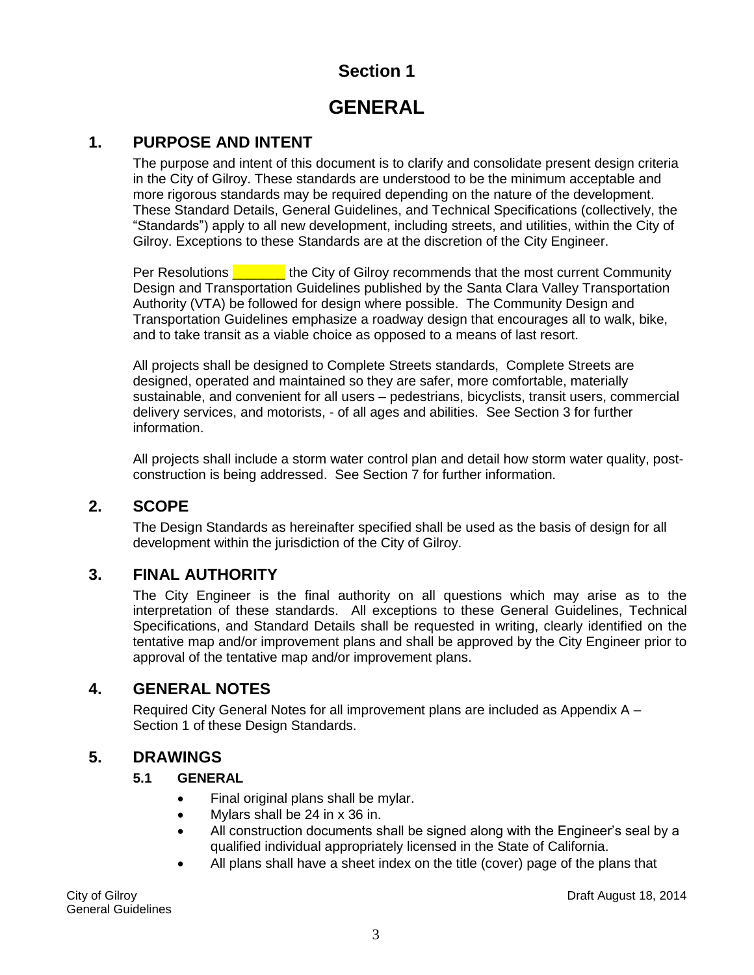### **GENERAL**

#### <span id="page-2-1"></span><span id="page-2-0"></span>**1. PURPOSE AND INTENT**

The purpose and intent of this document is to clarify and consolidate present design criteria in the City of Gilroy. These standards are understood to be the minimum acceptable and more rigorous standards may be required depending on the nature of the development. These Standard Details, General Guidelines, and Technical Specifications (collectively, the "Standards") apply to all new development, including streets, and utilities, within the City of Gilroy. Exceptions to these Standards are at the discretion of the City Engineer.

Per Resolutions **EXECUTE:** the City of Gilroy recommends that the most current Community Design and Transportation Guidelines published by the Santa Clara Valley Transportation Authority (VTA) be followed for design where possible. The Community Design and Transportation Guidelines emphasize a roadway design that encourages all to walk, bike, and to take transit as a viable choice as opposed to a means of last resort.

All projects shall be designed to Complete Streets standards, Complete Streets are designed, operated and maintained so they are safer, more comfortable, materially sustainable, and convenient for all users – pedestrians, bicyclists, transit users, commercial delivery services, and motorists, - of all ages and abilities. See Section 3 for further information.

All projects shall include a storm water control plan and detail how storm water quality, postconstruction is being addressed. See Section 7 for further information.

#### <span id="page-2-2"></span>**2. SCOPE**

The Design Standards as hereinafter specified shall be used as the basis of design for all development within the jurisdiction of the City of Gilroy.

#### <span id="page-2-3"></span>**3. FINAL AUTHORITY**

The City Engineer is the final authority on all questions which may arise as to the interpretation of these standards. All exceptions to these General Guidelines, Technical Specifications, and Standard Details shall be requested in writing, clearly identified on the tentative map and/or improvement plans and shall be approved by the City Engineer prior to approval of the tentative map and/or improvement plans.

#### <span id="page-2-4"></span>**4. GENERAL NOTES**

Required City General Notes for all improvement plans are included as Appendix A – Section 1 of these Design Standards.

#### **5. DRAWINGS**

#### **5.1 GENERAL**

- <span id="page-2-5"></span>• Final original plans shall be mylar.
- Mylars shall be 24 in x 36 in.
- All construction documents shall be signed along with the Engineer's seal by a qualified individual appropriately licensed in the State of California.
- All plans shall have a sheet index on the title (cover) page of the plans that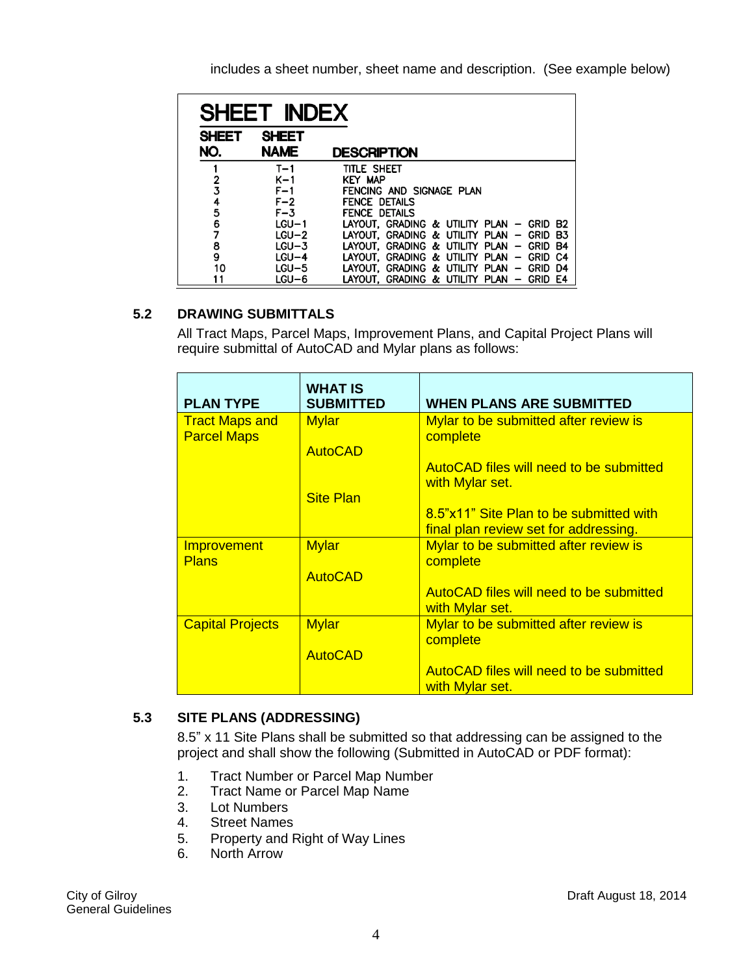includes a sheet number, sheet name and description. (See example below)

| SHEET INDEX  |              |                                                    |  |  |
|--------------|--------------|----------------------------------------------------|--|--|
| <b>SHEET</b> | <b>SHEET</b> |                                                    |  |  |
| NO.          | <b>NAME</b>  | <b>DESCRIPTION</b>                                 |  |  |
|              | T-1          | TITLE SHEET                                        |  |  |
| 2            | $K-1$        | <b>KEY MAP</b>                                     |  |  |
| $\bar{3}$    | $F-1$        | FENCING AND SIGNAGE PLAN                           |  |  |
| 4            | $F-2$        | <b>FENCE DETAILS</b>                               |  |  |
| 5            | $F - 3$      | <b>FENCE DETAILS</b>                               |  |  |
| 6            | $LGU-1$      | LAYOUT, GRADING & UTILITY PLAN - GRID<br>- B2      |  |  |
| 7            | $LGU-2$      | LAYOUT, GRADING & UTILITY PLAN - GRID<br>B3        |  |  |
| 8            | $LGU-3$      | LAYOUT, GRADING & UTILITY PLAN - GRID<br><b>B4</b> |  |  |
| 9            | $LGU-4$      | LAYOUT, GRADING & UTILITY PLAN - GRID<br>C4        |  |  |
| 10           | LGU-5        | LAYOUT, GRADING & UTILITY PLAN - GRID<br>D4        |  |  |
| 11           | $LGU-6$      | LAYOUT, GRADING & UTILITY PLAN - GRID<br>E4        |  |  |

#### **5.2 DRAWING SUBMITTALS**

All Tract Maps, Parcel Maps, Improvement Plans, and Capital Project Plans will require submittal of AutoCAD and Mylar plans as follows:

| <b>PLAN TYPE</b>                   | <b>WHAT IS</b><br><b>SUBMITTED</b> | <b>WHEN PLANS ARE SUBMITTED</b>                                   |
|------------------------------------|------------------------------------|-------------------------------------------------------------------|
| <b>Tract Maps and</b>              | <b>Mylar</b>                       | Mylar to be submitted after review is                             |
| <b>Parcel Maps</b>                 | <b>AutoCAD</b>                     | complete                                                          |
|                                    |                                    | AutoCAD files will need to be submitted<br>with Mylar set.        |
|                                    | <b>Site Plan</b>                   |                                                                   |
|                                    |                                    | 8.5"x11" Site Plan to be submitted with                           |
|                                    |                                    | final plan review set for addressing.                             |
| <b>Improvement</b><br><b>Plans</b> | <b>Mylar</b>                       | Mylar to be submitted after review is<br>complete                 |
|                                    | <b>AutoCAD</b>                     |                                                                   |
|                                    |                                    | AutoCAD files will need to be submitted<br>with Mylar set.        |
| <b>Capital Projects</b>            | <b>Mylar</b>                       | Mylar to be submitted after review is<br>complete                 |
|                                    | <b>AutoCAD</b>                     |                                                                   |
|                                    |                                    | <b>AutoCAD files will need to be submitted</b><br>with Mylar set. |

#### **5.3 SITE PLANS (ADDRESSING)**

8.5" x 11 Site Plans shall be submitted so that addressing can be assigned to the project and shall show the following (Submitted in AutoCAD or PDF format):

- 1. Tract Number or Parcel Map Number
- 2. Tract Name or Parcel Map Name
- 3. Lot Numbers
- 4. Street Names
- 5. Property and Right of Way Lines
- 6. North Arrow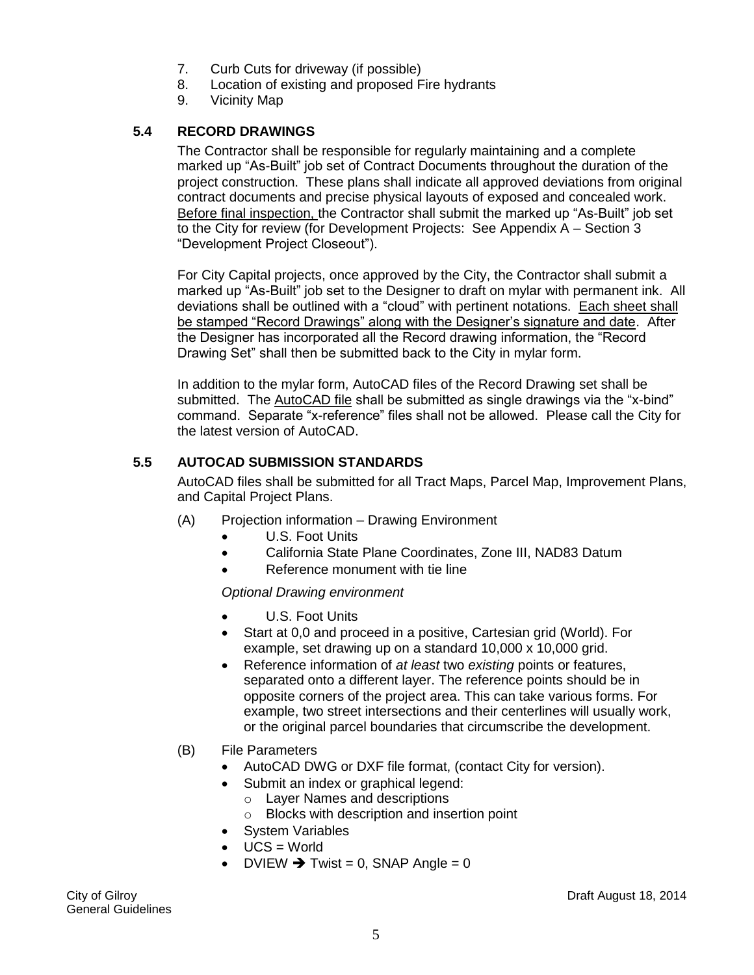- 7. Curb Cuts for driveway (if possible)
- 8. Location of existing and proposed Fire hydrants
- 9. Vicinity Map

#### **5.4 RECORD DRAWINGS**

The Contractor shall be responsible for regularly maintaining and a complete marked up "As-Built" job set of Contract Documents throughout the duration of the project construction. These plans shall indicate all approved deviations from original contract documents and precise physical layouts of exposed and concealed work. Before final inspection, the Contractor shall submit the marked up "As-Built" job set to the City for review (for Development Projects: See Appendix A – Section 3 "Development Project Closeout").

For City Capital projects, once approved by the City, the Contractor shall submit a marked up "As-Built" job set to the Designer to draft on mylar with permanent ink. All deviations shall be outlined with a "cloud" with pertinent notations. Each sheet shall be stamped "Record Drawings" along with the Designer's signature and date. After the Designer has incorporated all the Record drawing information, the "Record Drawing Set" shall then be submitted back to the City in mylar form.

In addition to the mylar form, AutoCAD files of the Record Drawing set shall be submitted. The AutoCAD file shall be submitted as single drawings via the "x-bind" command. Separate "x-reference" files shall not be allowed. Please call the City for the latest version of AutoCAD.

#### **5.5 AUTOCAD SUBMISSION STANDARDS**

AutoCAD files shall be submitted for all Tract Maps, Parcel Map, Improvement Plans, and Capital Project Plans.

- (A) Projection information Drawing Environment
	- U.S. Foot Units
	- California State Plane Coordinates, Zone III, NAD83 Datum
	- Reference monument with tie line

#### *Optional Drawing environment*

- U.S. Foot Units
- Start at 0,0 and proceed in a positive, Cartesian grid (World). For example, set drawing up on a standard 10,000 x 10,000 grid.
- Reference information of *at least* two *existing* points or features, separated onto a different layer. The reference points should be in opposite corners of the project area. This can take various forms. For example, two street intersections and their centerlines will usually work, or the original parcel boundaries that circumscribe the development.
- (B) File Parameters
	- AutoCAD DWG or DXF file format, (contact City for version).
	- Submit an index or graphical legend:
		- o Layer Names and descriptions
		- o Blocks with description and insertion point
	- System Variables
	- $\bullet$  UCS = World
	- DVIEW  $\rightarrow$  Twist = 0, SNAP Angle = 0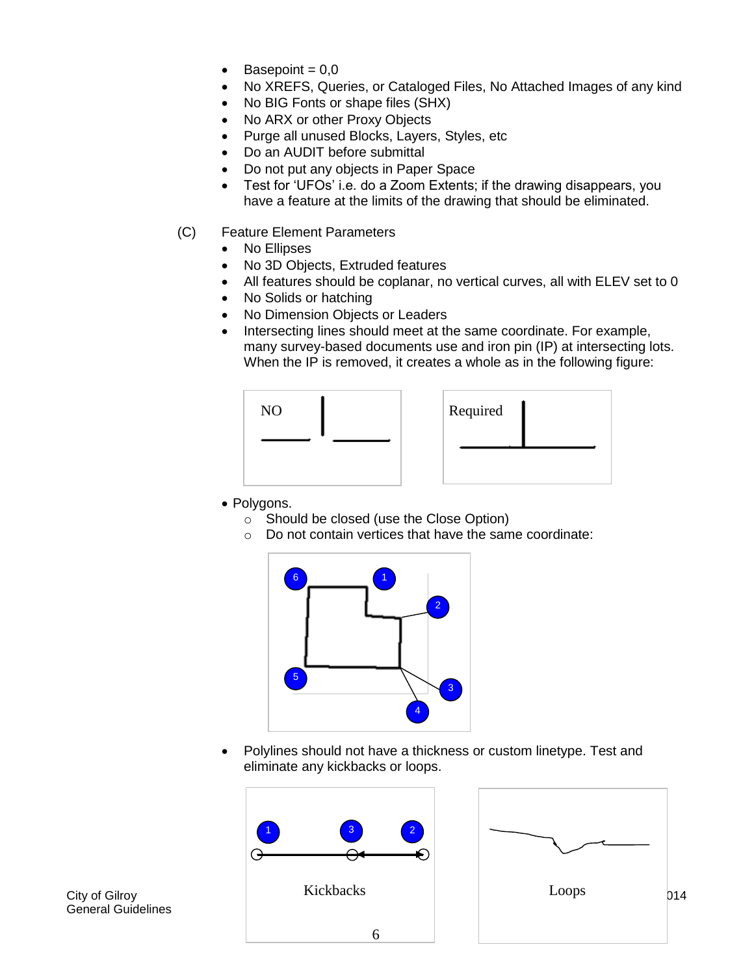- Basepoint  $= 0.0$
- No XREFS, Queries, or Cataloged Files, No Attached Images of any kind
- No BIG Fonts or shape files (SHX)
- No ARX or other Proxy Objects
- Purge all unused Blocks, Layers, Styles, etc
- Do an AUDIT before submittal
- Do not put any objects in Paper Space
- Test for 'UFOs' i.e. do a Zoom Extents; if the drawing disappears, you have a feature at the limits of the drawing that should be eliminated.
- (C) Feature Element Parameters
	- No Ellipses
	- No 3D Objects, Extruded features
	- All features should be coplanar, no vertical curves, all with ELEV set to 0
	- No Solids or hatching
	- No Dimension Objects or Leaders
	- Intersecting lines should meet at the same coordinate. For example, many survey-based documents use and iron pin (IP) at intersecting lots. When the IP is removed, it creates a whole as in the following figure:



- Polygons.
	- o Should be closed (use the Close Option)
	- o Do not contain vertices that have the same coordinate:



 Polylines should not have a thickness or custom linetype. Test and eliminate any kickbacks or loops.





General Guidelines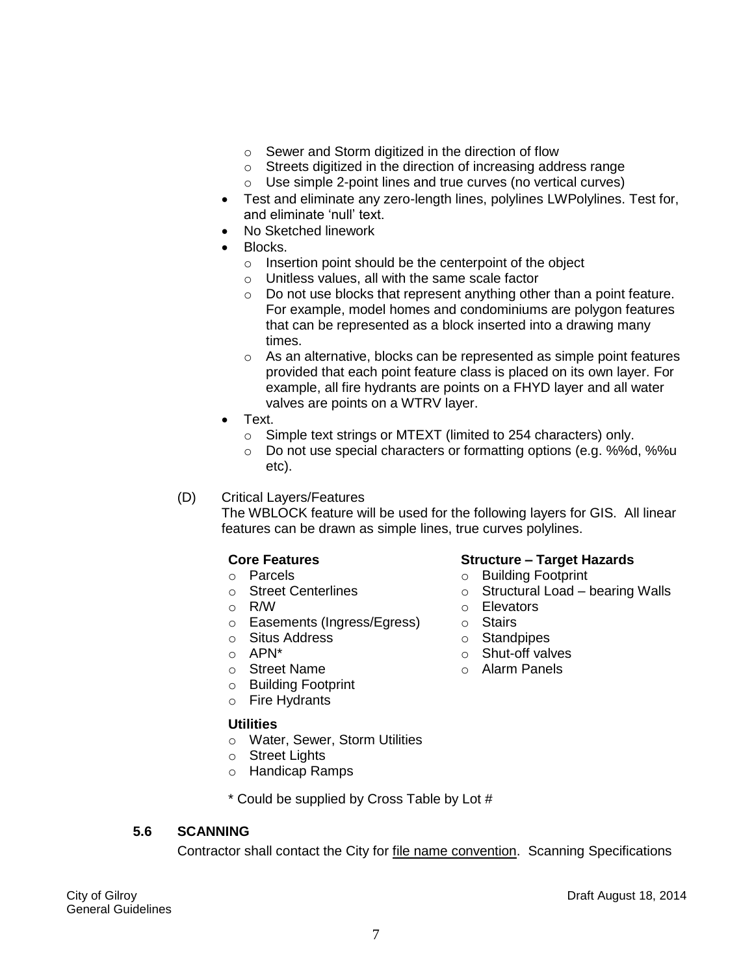- o Sewer and Storm digitized in the direction of flow
- o Streets digitized in the direction of increasing address range
- o Use simple 2-point lines and true curves (no vertical curves)
- Test and eliminate any zero-length lines, polylines LWPolylines. Test for, and eliminate 'null' text.
- No Sketched linework
- Blocks.
	- o Insertion point should be the centerpoint of the object
	- o Unitless values, all with the same scale factor
	- o Do not use blocks that represent anything other than a point feature. For example, model homes and condominiums are polygon features that can be represented as a block inserted into a drawing many times.
	- $\circ$  As an alternative, blocks can be represented as simple point features provided that each point feature class is placed on its own layer. For example, all fire hydrants are points on a FHYD layer and all water valves are points on a WTRV layer.
- Text.
	- o Simple text strings or MTEXT (limited to 254 characters) only.
	- o Do not use special characters or formatting options (e.g. %%d, %%u etc).

o Building Footprint

o Elevators o Stairs o Standpipes o Shut-off valves o Alarm Panels

 $\circ$  Structural Load – bearing Walls

(D) Critical Layers/Features

The WBLOCK feature will be used for the following layers for GIS. All linear features can be drawn as simple lines, true curves polylines.

#### **Core Features Structure – Target Hazards**

- o Parcels
- o Street Centerlines
- o R/W
- o Easements (Ingress/Egress)
- o Situs Address
- o APN\*
- o Street Name
- o Building Footprint
- o Fire Hydrants

#### **Utilities**

- o Water, Sewer, Storm Utilities
- o Street Lights
- o Handicap Ramps

\* Could be supplied by Cross Table by Lot #

#### **5.6 SCANNING**

Contractor shall contact the City for file name convention. Scanning Specifications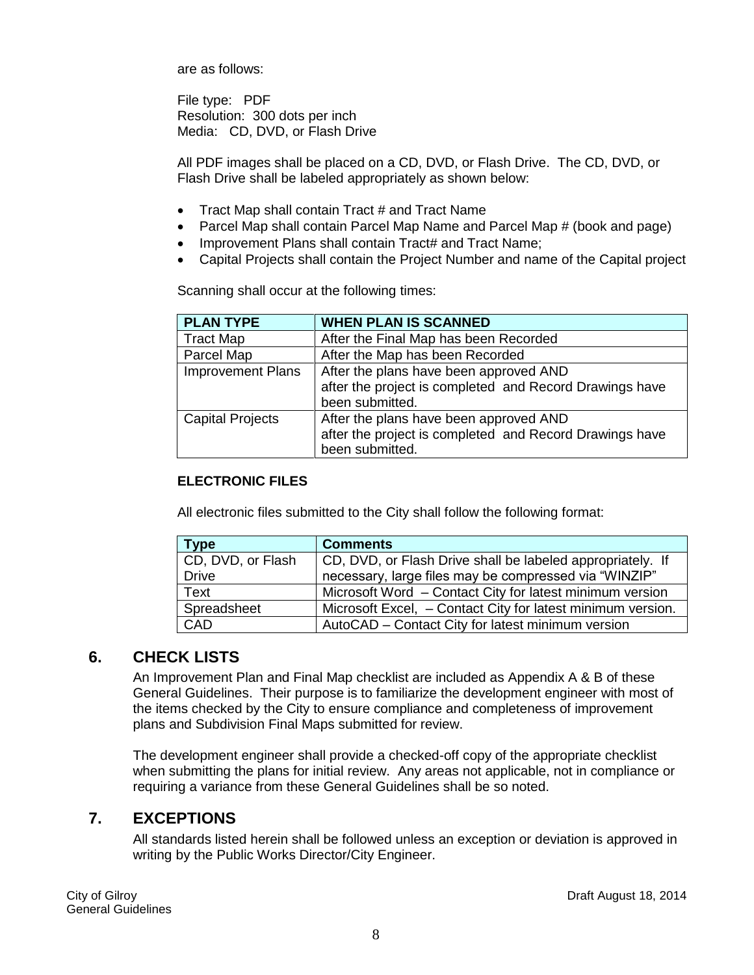are as follows:

File type: PDF Resolution: 300 dots per inch Media: CD, DVD, or Flash Drive

All PDF images shall be placed on a CD, DVD, or Flash Drive. The CD, DVD, or Flash Drive shall be labeled appropriately as shown below:

- Tract Map shall contain Tract # and Tract Name
- Parcel Map shall contain Parcel Map Name and Parcel Map # (book and page)
- Improvement Plans shall contain Tract# and Tract Name;
- Capital Projects shall contain the Project Number and name of the Capital project

Scanning shall occur at the following times:

| <b>PLAN TYPE</b>         | <b>WHEN PLAN IS SCANNED</b>                                                                                          |
|--------------------------|----------------------------------------------------------------------------------------------------------------------|
| <b>Tract Map</b>         | After the Final Map has been Recorded                                                                                |
| Parcel Map               | After the Map has been Recorded                                                                                      |
| <b>Improvement Plans</b> | After the plans have been approved AND<br>after the project is completed and Record Drawings have<br>been submitted. |
| <b>Capital Projects</b>  | After the plans have been approved AND<br>after the project is completed and Record Drawings have<br>been submitted. |

#### **ELECTRONIC FILES**

All electronic files submitted to the City shall follow the following format:

| <b>Type</b>       | <b>Comments</b>                                             |
|-------------------|-------------------------------------------------------------|
| CD, DVD, or Flash | CD, DVD, or Flash Drive shall be labeled appropriately. If  |
| <b>Drive</b>      | necessary, large files may be compressed via "WINZIP"       |
| Text              | Microsoft Word - Contact City for latest minimum version    |
| Spreadsheet       | Microsoft Excel, - Contact City for latest minimum version. |
| CAD               | AutoCAD – Contact City for latest minimum version           |

#### <span id="page-7-0"></span>**6. CHECK LISTS**

An Improvement Plan and Final Map checklist are included as Appendix A & B of these General Guidelines. Their purpose is to familiarize the development engineer with most of the items checked by the City to ensure compliance and completeness of improvement plans and Subdivision Final Maps submitted for review.

The development engineer shall provide a checked-off copy of the appropriate checklist when submitting the plans for initial review. Any areas not applicable, not in compliance or requiring a variance from these General Guidelines shall be so noted.

#### <span id="page-7-1"></span>**7. EXCEPTIONS**

All standards listed herein shall be followed unless an exception or deviation is approved in writing by the Public Works Director/City Engineer.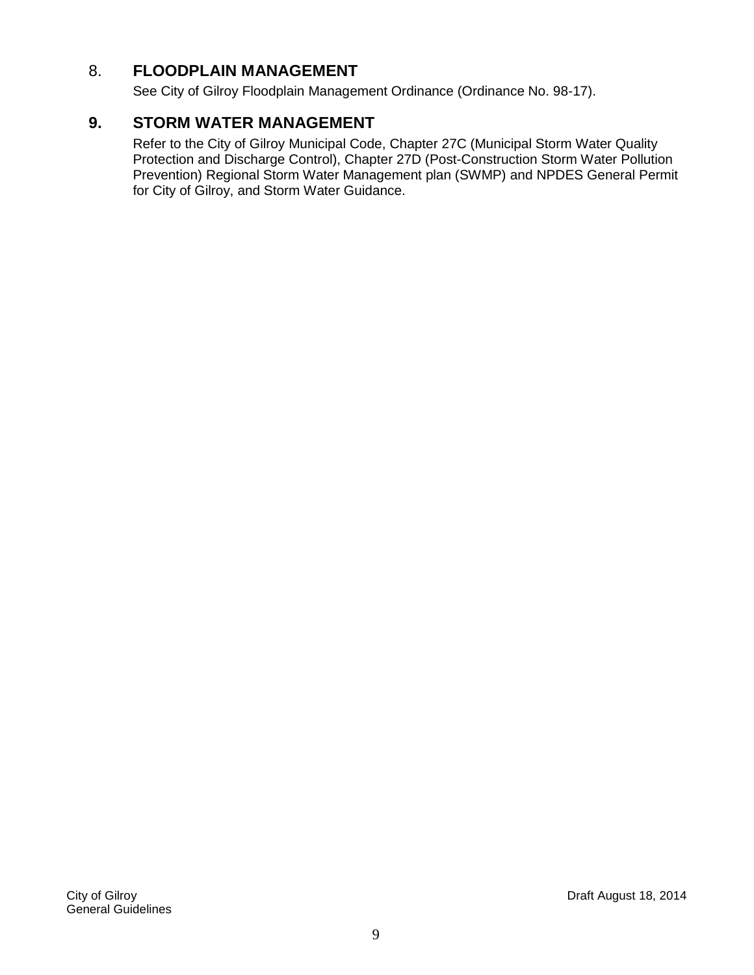#### 8. **FLOODPLAIN MANAGEMENT**

See City of Gilroy Floodplain Management Ordinance (Ordinance No. 98-17).

#### **9. STORM WATER MANAGEMENT**

Refer to the City of Gilroy Municipal Code, Chapter 27C (Municipal Storm Water Quality Protection and Discharge Control), Chapter 27D (Post-Construction Storm Water Pollution Prevention) Regional Storm Water Management plan (SWMP) and NPDES General Permit for City of Gilroy, and Storm Water Guidance.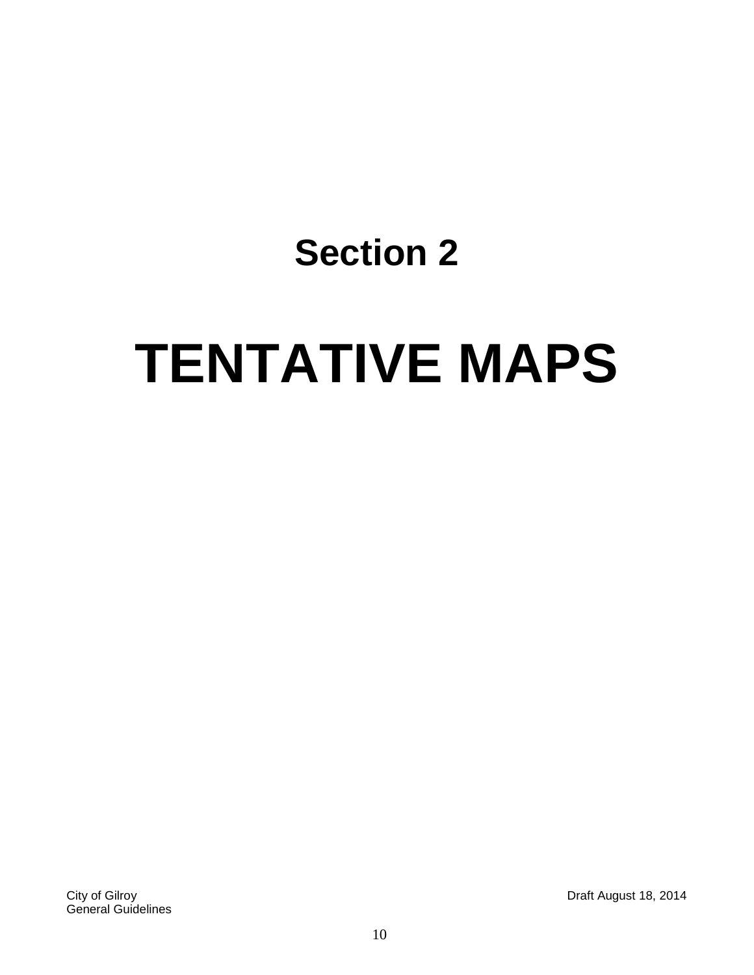# **TENTATIVE MAPS**

City of Gilroy Draft August 18, 2014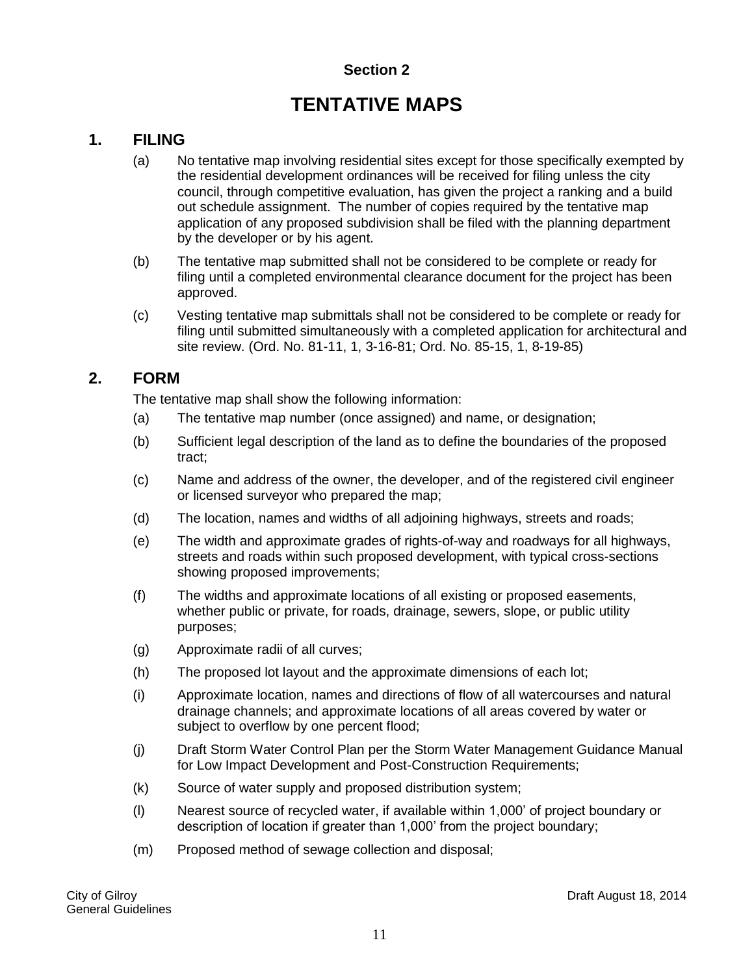# **TENTATIVE MAPS**

#### <span id="page-10-1"></span><span id="page-10-0"></span>**1. FILING**

- (a) No tentative map involving residential sites except for those specifically exempted by the residential development ordinances will be received for filing unless the city council, through competitive evaluation, has given the project a ranking and a build out schedule assignment. The number of copies required by the tentative map application of any proposed subdivision shall be filed with the planning department by the developer or by his agent.
- (b) The tentative map submitted shall not be considered to be complete or ready for filing until a completed environmental clearance document for the project has been approved.
- (c) Vesting tentative map submittals shall not be considered to be complete or ready for filing until submitted simultaneously with a completed application for architectural and site review. (Ord. No. 81-11, 1, 3-16-81; Ord. No. 85-15, 1, 8-19-85)

#### <span id="page-10-2"></span>**2. FORM**

The tentative map shall show the following information:

- (a) The tentative map number (once assigned) and name, or designation;
- (b) Sufficient legal description of the land as to define the boundaries of the proposed tract;
- (c) Name and address of the owner, the developer, and of the registered civil engineer or licensed surveyor who prepared the map;
- (d) The location, names and widths of all adjoining highways, streets and roads;
- (e) The width and approximate grades of rights-of-way and roadways for all highways, streets and roads within such proposed development, with typical cross-sections showing proposed improvements;
- (f) The widths and approximate locations of all existing or proposed easements, whether public or private, for roads, drainage, sewers, slope, or public utility purposes;
- (g) Approximate radii of all curves;
- (h) The proposed lot layout and the approximate dimensions of each lot;
- (i) Approximate location, names and directions of flow of all watercourses and natural drainage channels; and approximate locations of all areas covered by water or subject to overflow by one percent flood;
- (j) Draft Storm Water Control Plan per the Storm Water Management Guidance Manual for Low Impact Development and Post-Construction Requirements;
- (k) Source of water supply and proposed distribution system;
- (l) Nearest source of recycled water, if available within 1,000' of project boundary or description of location if greater than 1,000' from the project boundary;
- (m) Proposed method of sewage collection and disposal;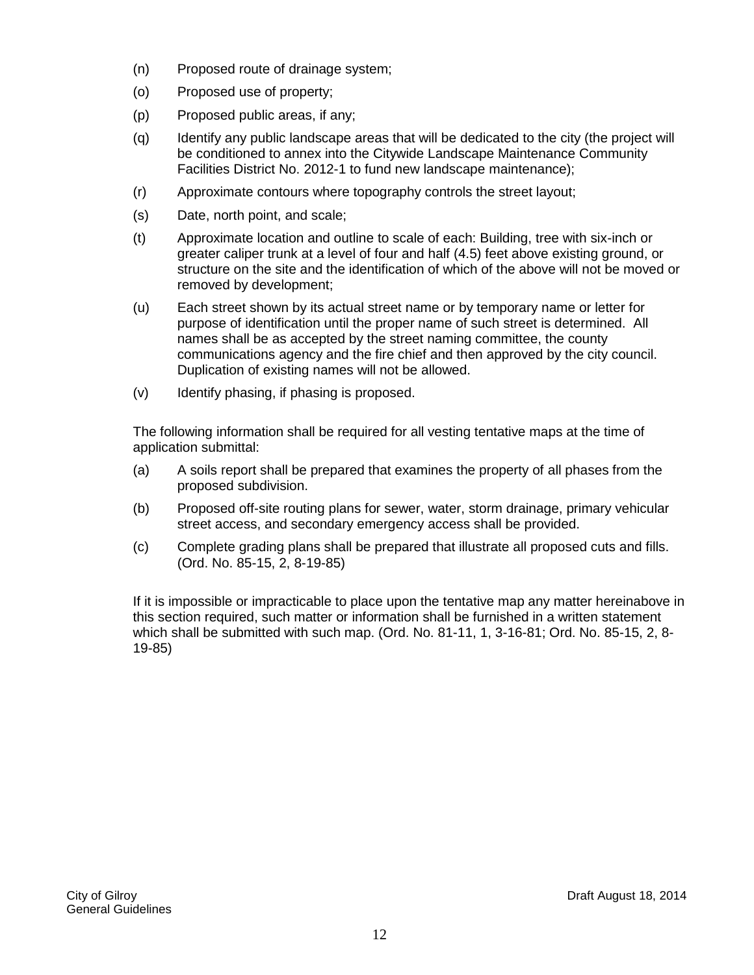- (n) Proposed route of drainage system;
- (o) Proposed use of property;
- (p) Proposed public areas, if any;
- (q) Identify any public landscape areas that will be dedicated to the city (the project will be conditioned to annex into the Citywide Landscape Maintenance Community Facilities District No. 2012-1 to fund new landscape maintenance);
- (r) Approximate contours where topography controls the street layout;
- (s) Date, north point, and scale;
- (t) Approximate location and outline to scale of each: Building, tree with six-inch or greater caliper trunk at a level of four and half (4.5) feet above existing ground, or structure on the site and the identification of which of the above will not be moved or removed by development;
- (u) Each street shown by its actual street name or by temporary name or letter for purpose of identification until the proper name of such street is determined. All names shall be as accepted by the street naming committee, the county communications agency and the fire chief and then approved by the city council. Duplication of existing names will not be allowed.
- (v) Identify phasing, if phasing is proposed.

The following information shall be required for all vesting tentative maps at the time of application submittal:

- (a) A soils report shall be prepared that examines the property of all phases from the proposed subdivision.
- (b) Proposed off-site routing plans for sewer, water, storm drainage, primary vehicular street access, and secondary emergency access shall be provided.
- (c) Complete grading plans shall be prepared that illustrate all proposed cuts and fills. (Ord. No. 85-15, 2, 8-19-85)

If it is impossible or impracticable to place upon the tentative map any matter hereinabove in this section required, such matter or information shall be furnished in a written statement which shall be submitted with such map. (Ord. No. 81-11, 1, 3-16-81; Ord. No. 85-15, 2, 8- 19-85)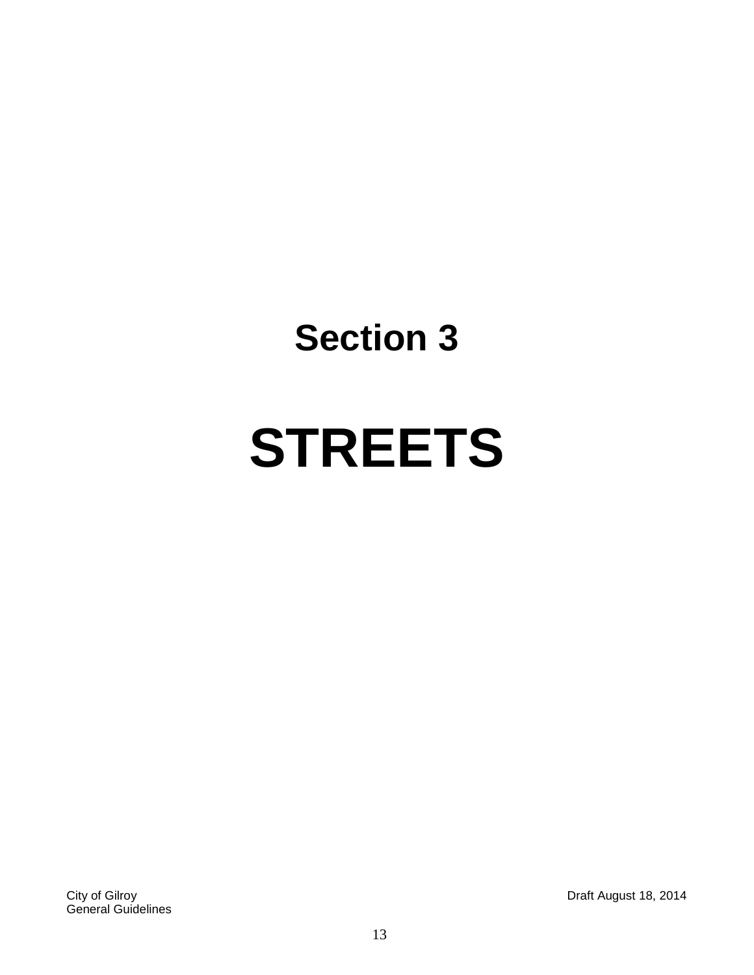# **STREETS**

City of Gilroy Draft August 18, 2014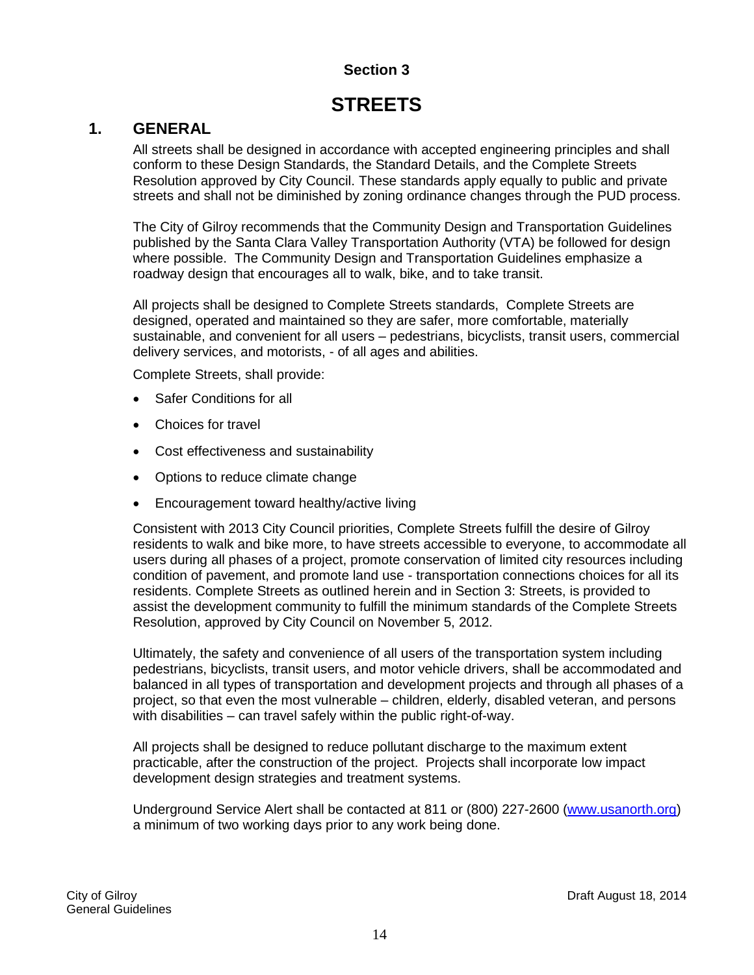# **STREETS**

#### <span id="page-13-1"></span><span id="page-13-0"></span>**1. GENERAL**

All streets shall be designed in accordance with accepted engineering principles and shall conform to these Design Standards, the Standard Details, and the Complete Streets Resolution approved by City Council. These standards apply equally to public and private streets and shall not be diminished by zoning ordinance changes through the PUD process.

The City of Gilroy recommends that the Community Design and Transportation Guidelines published by the Santa Clara Valley Transportation Authority (VTA) be followed for design where possible. The Community Design and Transportation Guidelines emphasize a roadway design that encourages all to walk, bike, and to take transit.

All projects shall be designed to Complete Streets standards, Complete Streets are designed, operated and maintained so they are safer, more comfortable, materially sustainable, and convenient for all users – pedestrians, bicyclists, transit users, commercial delivery services, and motorists, - of all ages and abilities.

Complete Streets, shall provide:

- Safer Conditions for all
- Choices for travel
- Cost effectiveness and sustainability
- Options to reduce climate change
- Encouragement toward healthy/active living

Consistent with 2013 City Council priorities, Complete Streets fulfill the desire of Gilroy residents to walk and bike more, to have streets accessible to everyone, to accommodate all users during all phases of a project, promote conservation of limited city resources including condition of pavement, and promote land use - transportation connections choices for all its residents. Complete Streets as outlined herein and in Section 3: Streets, is provided to assist the development community to fulfill the minimum standards of the Complete Streets Resolution, approved by City Council on November 5, 2012.

Ultimately, the safety and convenience of all users of the transportation system including pedestrians, bicyclists, transit users, and motor vehicle drivers, shall be accommodated and balanced in all types of transportation and development projects and through all phases of a project, so that even the most vulnerable – children, elderly, disabled veteran, and persons with disabilities – can travel safely within the public right-of-way.

All projects shall be designed to reduce pollutant discharge to the maximum extent practicable, after the construction of the project. Projects shall incorporate low impact development design strategies and treatment systems.

Underground Service Alert shall be contacted at 811 or (800) 227-2600 [\(www.usanorth.org\)](http://www.usanorth.org/) a minimum of two working days prior to any work being done.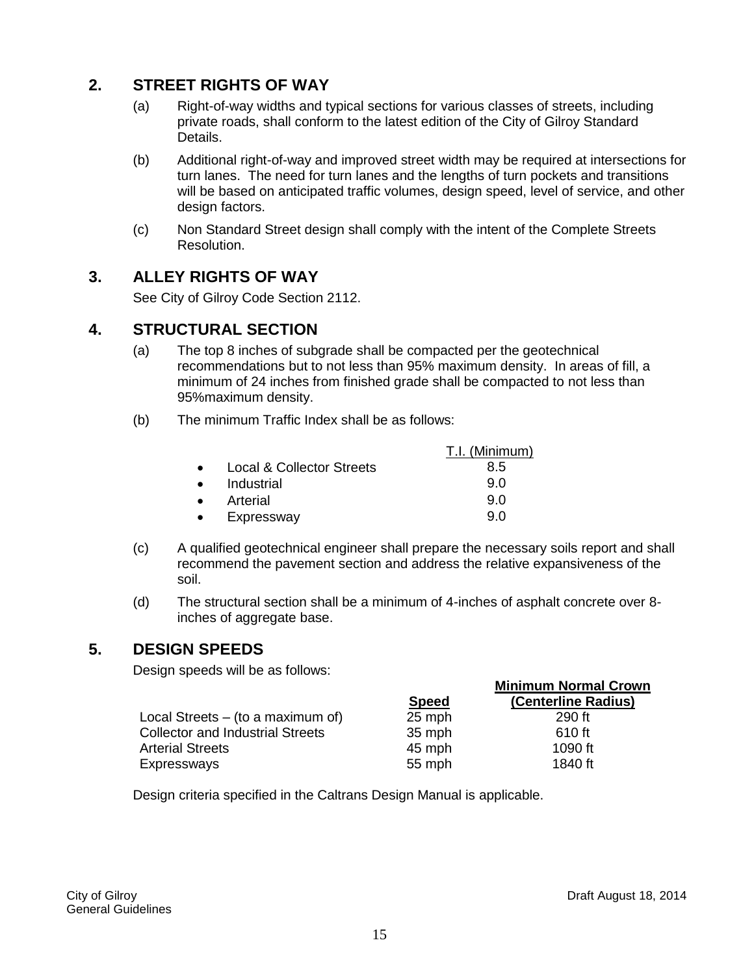#### <span id="page-14-0"></span>**2. STREET RIGHTS OF WAY**

- (a) Right-of-way widths and typical sections for various classes of streets, including private roads, shall conform to the latest edition of the City of Gilroy Standard Details.
- (b) Additional right-of-way and improved street width may be required at intersections for turn lanes. The need for turn lanes and the lengths of turn pockets and transitions will be based on anticipated traffic volumes, design speed, level of service, and other design factors.
- (c) Non Standard Street design shall comply with the intent of the Complete Streets Resolution.

#### <span id="page-14-1"></span>**3. ALLEY RIGHTS OF WAY**

See City of Gilroy Code Section 2112.

#### <span id="page-14-2"></span>**4. STRUCTURAL SECTION**

- (a) The top 8 inches of subgrade shall be compacted per the geotechnical recommendations but to not less than 95% maximum density. In areas of fill, a minimum of 24 inches from finished grade shall be compacted to not less than 95%maximum density.
- (b) The minimum Traffic Index shall be as follows:

|                           | T.I. (Minimum) |
|---------------------------|----------------|
| Local & Collector Streets | 8.5            |
| Industrial                | 90             |
| Arterial                  | 90             |
| Expressway                | 9 N            |

- (c) A qualified geotechnical engineer shall prepare the necessary soils report and shall recommend the pavement section and address the relative expansiveness of the soil.
- (d) The structural section shall be a minimum of 4-inches of asphalt concrete over 8 inches of aggregate base.

#### <span id="page-14-3"></span>**5. DESIGN SPEEDS**

Design speeds will be as follows:

|                                         |        | <b>Minimum Normal Crown</b> |
|-----------------------------------------|--------|-----------------------------|
|                                         | Speed  | (Centerline Radius)         |
| Local Streets $-$ (to a maximum of)     | 25 mph | 290 ft                      |
| <b>Collector and Industrial Streets</b> | 35 mph | 610 ft                      |
| <b>Arterial Streets</b>                 | 45 mph | 1090 ft                     |
| Expressways                             | 55 mph | 1840 ft                     |

Design criteria specified in the Caltrans Design Manual is applicable.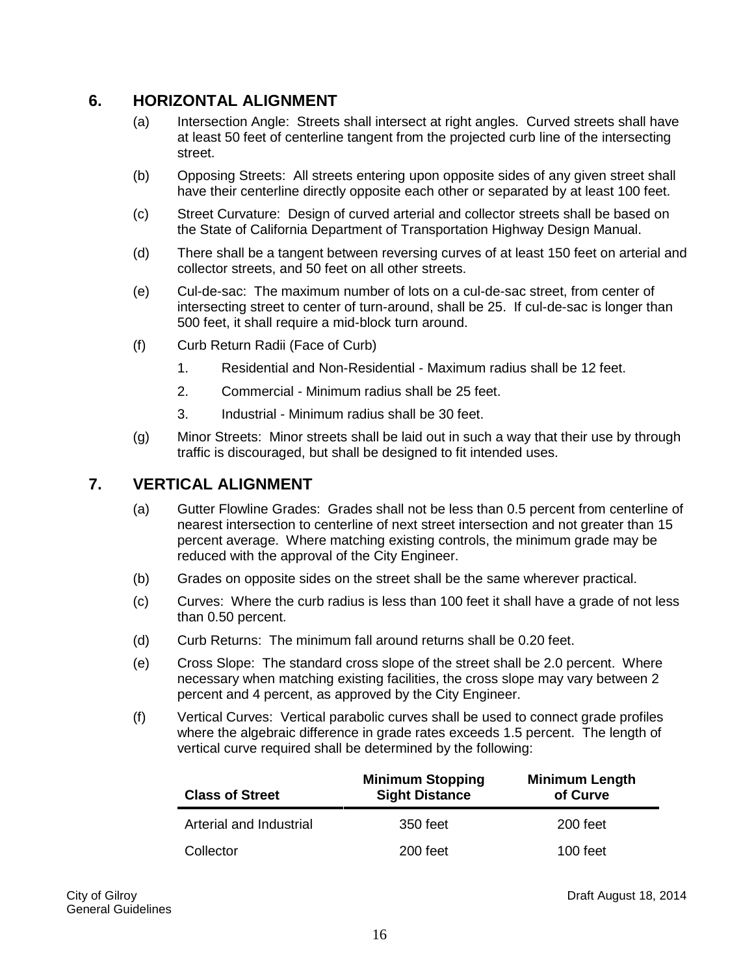#### <span id="page-15-0"></span>**6. HORIZONTAL ALIGNMENT**

- (a) Intersection Angle: Streets shall intersect at right angles. Curved streets shall have at least 50 feet of centerline tangent from the projected curb line of the intersecting street.
- (b) Opposing Streets: All streets entering upon opposite sides of any given street shall have their centerline directly opposite each other or separated by at least 100 feet.
- (c) Street Curvature: Design of curved arterial and collector streets shall be based on the State of California Department of Transportation Highway Design Manual.
- (d) There shall be a tangent between reversing curves of at least 150 feet on arterial and collector streets, and 50 feet on all other streets.
- (e) Cul-de-sac: The maximum number of lots on a cul-de-sac street, from center of intersecting street to center of turn-around, shall be 25. If cul-de-sac is longer than 500 feet, it shall require a mid-block turn around.
- (f) Curb Return Radii (Face of Curb)
	- 1. Residential and Non-Residential Maximum radius shall be 12 feet.
	- 2. Commercial Minimum radius shall be 25 feet.
	- 3. Industrial Minimum radius shall be 30 feet.
- (g) Minor Streets: Minor streets shall be laid out in such a way that their use by through traffic is discouraged, but shall be designed to fit intended uses.

#### <span id="page-15-1"></span>**7. VERTICAL ALIGNMENT**

- (a) Gutter Flowline Grades: Grades shall not be less than 0.5 percent from centerline of nearest intersection to centerline of next street intersection and not greater than 15 percent average. Where matching existing controls, the minimum grade may be reduced with the approval of the City Engineer.
- (b) Grades on opposite sides on the street shall be the same wherever practical.
- (c) Curves: Where the curb radius is less than 100 feet it shall have a grade of not less than 0.50 percent.
- (d) Curb Returns: The minimum fall around returns shall be 0.20 feet.
- (e) Cross Slope: The standard cross slope of the street shall be 2.0 percent. Where necessary when matching existing facilities, the cross slope may vary between 2 percent and 4 percent, as approved by the City Engineer.
- (f) Vertical Curves: Vertical parabolic curves shall be used to connect grade profiles where the algebraic difference in grade rates exceeds 1.5 percent. The length of vertical curve required shall be determined by the following:

| <b>Class of Street</b>  | <b>Minimum Stopping</b><br><b>Sight Distance</b> | <b>Minimum Length</b><br>of Curve |
|-------------------------|--------------------------------------------------|-----------------------------------|
| Arterial and Industrial | 350 feet                                         | 200 feet                          |
| Collector               | 200 feet                                         | 100 feet                          |

City of Gilroy Draft August 18, 2014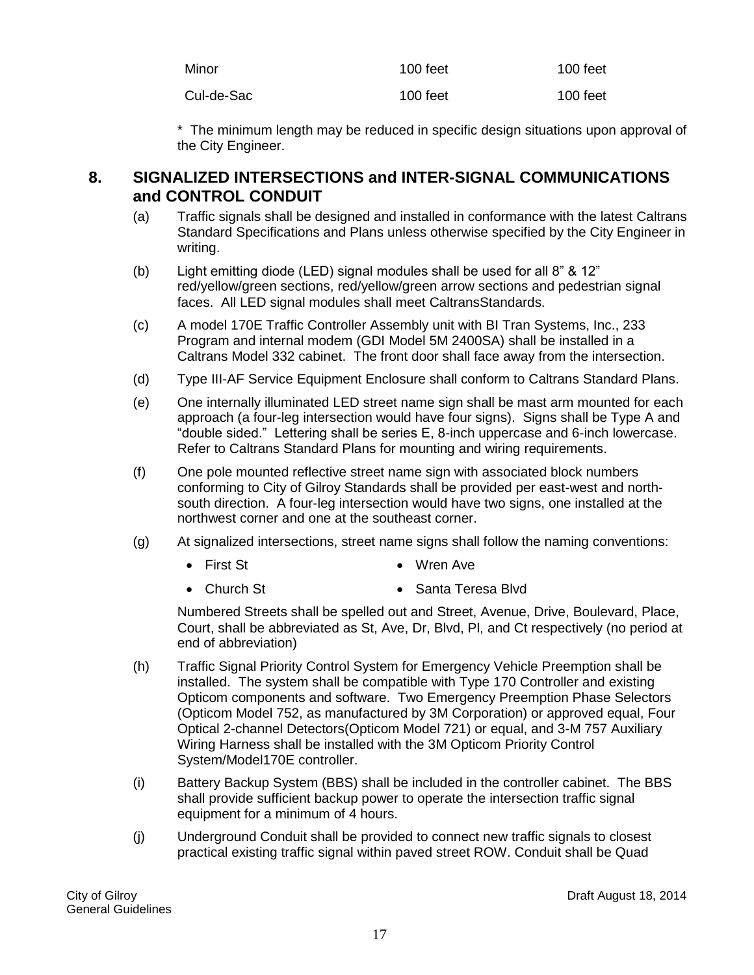| Minor      | 100 feet | $100$ feet |
|------------|----------|------------|
| Cul-de-Sac | 100 feet | $100$ feet |

\* The minimum length may be reduced in specific design situations upon approval of the City Engineer.

#### <span id="page-16-0"></span>**8. SIGNALIZED INTERSECTIONS and INTER-SIGNAL COMMUNICATIONS and CONTROL CONDUIT**

- (a) Traffic signals shall be designed and installed in conformance with the latest Caltrans Standard Specifications and Plans unless otherwise specified by the City Engineer in writing.
- (b) Light emitting diode (LED) signal modules shall be used for all 8" & 12" red/yellow/green sections, red/yellow/green arrow sections and pedestrian signal faces. All LED signal modules shall meet CaltransStandards.
- (c) A model 170E Traffic Controller Assembly unit with BI Tran Systems, Inc., 233 Program and internal modem (GDI Model 5M 2400SA) shall be installed in a Caltrans Model 332 cabinet. The front door shall face away from the intersection.
- (d) Type III-AF Service Equipment Enclosure shall conform to Caltrans Standard Plans.
- (e) One internally illuminated LED street name sign shall be mast arm mounted for each approach (a four-leg intersection would have four signs). Signs shall be Type A and "double sided." Lettering shall be series E, 8-inch uppercase and 6-inch lowercase. Refer to Caltrans Standard Plans for mounting and wiring requirements.
- (f) One pole mounted reflective street name sign with associated block numbers conforming to City of Gilroy Standards shall be provided per east-west and northsouth direction. A four-leg intersection would have two signs, one installed at the northwest corner and one at the southeast corner.
- (g) At signalized intersections, street name signs shall follow the naming conventions:
	- First St Wren Ave
	- Church St Santa Teresa Blvd

Numbered Streets shall be spelled out and Street, Avenue, Drive, Boulevard, Place, Court, shall be abbreviated as St, Ave, Dr, Blvd, Pl, and Ct respectively (no period at end of abbreviation)

- (h) Traffic Signal Priority Control System for Emergency Vehicle Preemption shall be installed. The system shall be compatible with Type 170 Controller and existing Opticom components and software. Two Emergency Preemption Phase Selectors (Opticom Model 752, as manufactured by 3M Corporation) or approved equal, Four Optical 2-channel Detectors(Opticom Model 721) or equal, and 3-M 757 Auxiliary Wiring Harness shall be installed with the 3M Opticom Priority Control System/Model170E controller.
- (i) Battery Backup System (BBS) shall be included in the controller cabinet. The BBS shall provide sufficient backup power to operate the intersection traffic signal equipment for a minimum of 4 hours.
- (j) Underground Conduit shall be provided to connect new traffic signals to closest practical existing traffic signal within paved street ROW. Conduit shall be Quad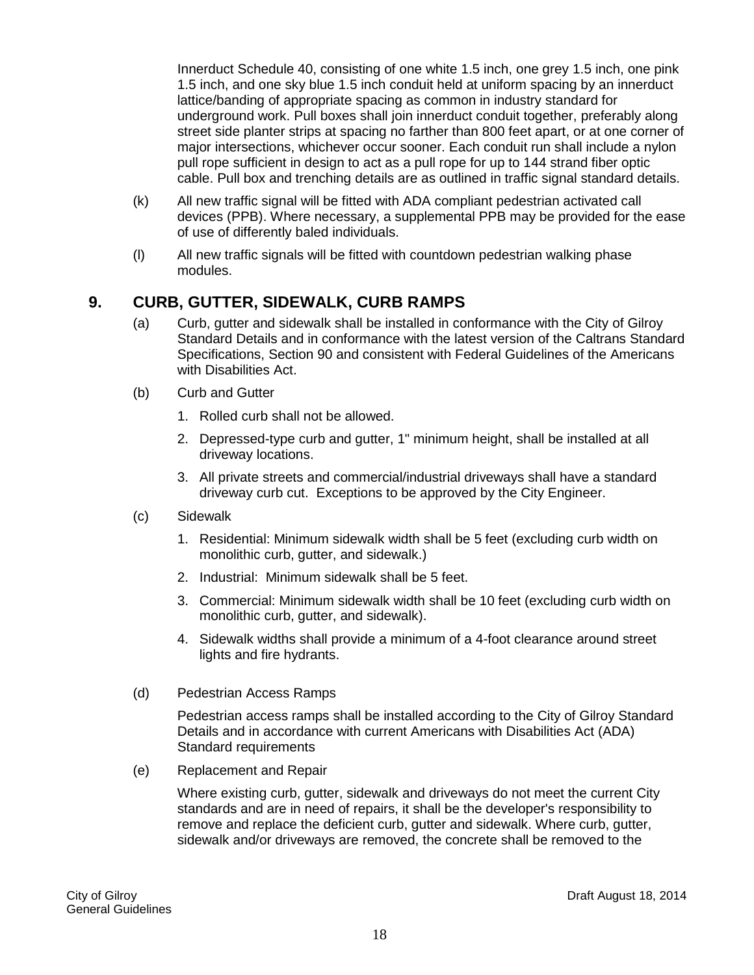<span id="page-17-0"></span>Innerduct Schedule 40, consisting of one white 1.5 inch, one grey 1.5 inch, one pink 1.5 inch, and one sky blue 1.5 inch conduit held at uniform spacing by an innerduct lattice/banding of appropriate spacing as common in industry standard for underground work. Pull boxes shall join innerduct conduit together, preferably along street side planter strips at spacing no farther than 800 feet apart, or at one corner of major intersections, whichever occur sooner. Each conduit run shall include a nylon pull rope sufficient in design to act as a pull rope for up to 144 strand fiber optic cable. Pull box and trenching details are as outlined in traffic signal standard details.

- (k) All new traffic signal will be fitted with ADA compliant pedestrian activated call devices (PPB). Where necessary, a supplemental PPB may be provided for the ease of use of differently baled individuals.
- (l) All new traffic signals will be fitted with countdown pedestrian walking phase modules.

#### **9. CURB, GUTTER, SIDEWALK, CURB RAMPS**

- (a) Curb, gutter and sidewalk shall be installed in conformance with the City of Gilroy Standard Details and in conformance with the latest version of the Caltrans Standard Specifications, Section 90 and consistent with Federal Guidelines of the Americans with Disabilities Act.
- (b) Curb and Gutter
	- 1. Rolled curb shall not be allowed.
	- 2. Depressed-type curb and gutter, 1" minimum height, shall be installed at all driveway locations.
	- 3. All private streets and commercial/industrial driveways shall have a standard driveway curb cut. Exceptions to be approved by the City Engineer.
- (c) Sidewalk
	- 1. Residential: Minimum sidewalk width shall be 5 feet (excluding curb width on monolithic curb, gutter, and sidewalk.)
	- 2. Industrial: Minimum sidewalk shall be 5 feet.
	- 3. Commercial: Minimum sidewalk width shall be 10 feet (excluding curb width on monolithic curb, gutter, and sidewalk).
	- 4. Sidewalk widths shall provide a minimum of a 4-foot clearance around street lights and fire hydrants.
- (d) Pedestrian Access Ramps

Pedestrian access ramps shall be installed according to the City of Gilroy Standard Details and in accordance with current Americans with Disabilities Act (ADA) Standard requirements

(e) Replacement and Repair

Where existing curb, gutter, sidewalk and driveways do not meet the current City standards and are in need of repairs, it shall be the developer's responsibility to remove and replace the deficient curb, gutter and sidewalk. Where curb, gutter, sidewalk and/or driveways are removed, the concrete shall be removed to the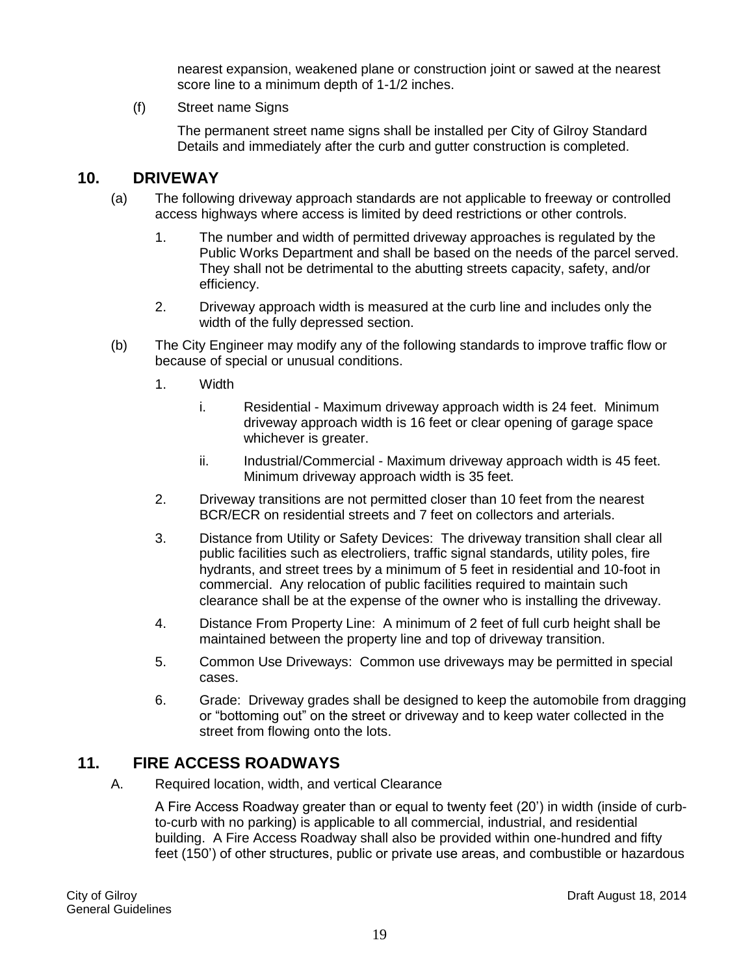nearest expansion, weakened plane or construction joint or sawed at the nearest score line to a minimum depth of 1-1/2 inches.

(f) Street name Signs

The permanent street name signs shall be installed per City of Gilroy Standard Details and immediately after the curb and gutter construction is completed.

#### <span id="page-18-0"></span>**10. DRIVEWAY**

- (a) The following driveway approach standards are not applicable to freeway or controlled access highways where access is limited by deed restrictions or other controls.
	- 1. The number and width of permitted driveway approaches is regulated by the Public Works Department and shall be based on the needs of the parcel served. They shall not be detrimental to the abutting streets capacity, safety, and/or efficiency.
	- 2. Driveway approach width is measured at the curb line and includes only the width of the fully depressed section.
- (b) The City Engineer may modify any of the following standards to improve traffic flow or because of special or unusual conditions.
	- 1. Width
		- i. Residential Maximum driveway approach width is 24 feet. Minimum driveway approach width is 16 feet or clear opening of garage space whichever is greater.
		- ii. Industrial/Commercial Maximum driveway approach width is 45 feet. Minimum driveway approach width is 35 feet.
	- 2. Driveway transitions are not permitted closer than 10 feet from the nearest BCR/ECR on residential streets and 7 feet on collectors and arterials.
	- 3. Distance from Utility or Safety Devices: The driveway transition shall clear all public facilities such as electroliers, traffic signal standards, utility poles, fire hydrants, and street trees by a minimum of 5 feet in residential and 10-foot in commercial. Any relocation of public facilities required to maintain such clearance shall be at the expense of the owner who is installing the driveway.
	- 4. Distance From Property Line: A minimum of 2 feet of full curb height shall be maintained between the property line and top of driveway transition.
	- 5. Common Use Driveways: Common use driveways may be permitted in special cases.
	- 6. Grade: Driveway grades shall be designed to keep the automobile from dragging or "bottoming out" on the street or driveway and to keep water collected in the street from flowing onto the lots.

#### <span id="page-18-1"></span>**11. FIRE ACCESS ROADWAYS**

A. Required location, width, and vertical Clearance

A Fire Access Roadway greater than or equal to twenty feet (20') in width (inside of curbto-curb with no parking) is applicable to all commercial, industrial, and residential building. A Fire Access Roadway shall also be provided within one-hundred and fifty feet (150') of other structures, public or private use areas, and combustible or hazardous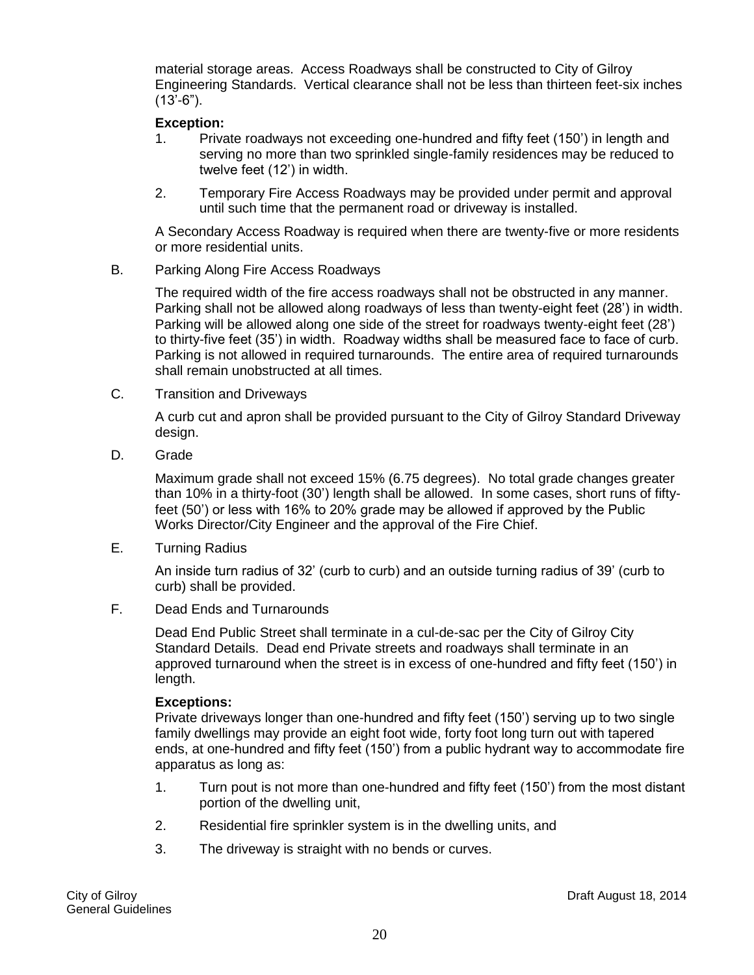material storage areas. Access Roadways shall be constructed to City of Gilroy Engineering Standards. Vertical clearance shall not be less than thirteen feet-six inches  $(13'-6")$ .

#### **Exception:**

- 1. Private roadways not exceeding one-hundred and fifty feet (150') in length and serving no more than two sprinkled single-family residences may be reduced to twelve feet (12') in width.
- 2. Temporary Fire Access Roadways may be provided under permit and approval until such time that the permanent road or driveway is installed.

A Secondary Access Roadway is required when there are twenty-five or more residents or more residential units.

B. Parking Along Fire Access Roadways

The required width of the fire access roadways shall not be obstructed in any manner. Parking shall not be allowed along roadways of less than twenty-eight feet (28') in width. Parking will be allowed along one side of the street for roadways twenty-eight feet (28') to thirty-five feet (35') in width. Roadway widths shall be measured face to face of curb. Parking is not allowed in required turnarounds. The entire area of required turnarounds shall remain unobstructed at all times.

C. Transition and Driveways

A curb cut and apron shall be provided pursuant to the City of Gilroy Standard Driveway design.

D. Grade

Maximum grade shall not exceed 15% (6.75 degrees). No total grade changes greater than 10% in a thirty-foot (30') length shall be allowed. In some cases, short runs of fiftyfeet (50') or less with 16% to 20% grade may be allowed if approved by the Public Works Director/City Engineer and the approval of the Fire Chief.

E. Turning Radius

An inside turn radius of 32' (curb to curb) and an outside turning radius of 39' (curb to curb) shall be provided.

F. Dead Ends and Turnarounds

Dead End Public Street shall terminate in a cul-de-sac per the City of Gilroy City Standard Details. Dead end Private streets and roadways shall terminate in an approved turnaround when the street is in excess of one-hundred and fifty feet (150') in length.

#### **Exceptions:**

Private driveways longer than one-hundred and fifty feet (150') serving up to two single family dwellings may provide an eight foot wide, forty foot long turn out with tapered ends, at one-hundred and fifty feet (150') from a public hydrant way to accommodate fire apparatus as long as:

- 1. Turn pout is not more than one-hundred and fifty feet (150') from the most distant portion of the dwelling unit,
- 2. Residential fire sprinkler system is in the dwelling units, and
- 3. The driveway is straight with no bends or curves.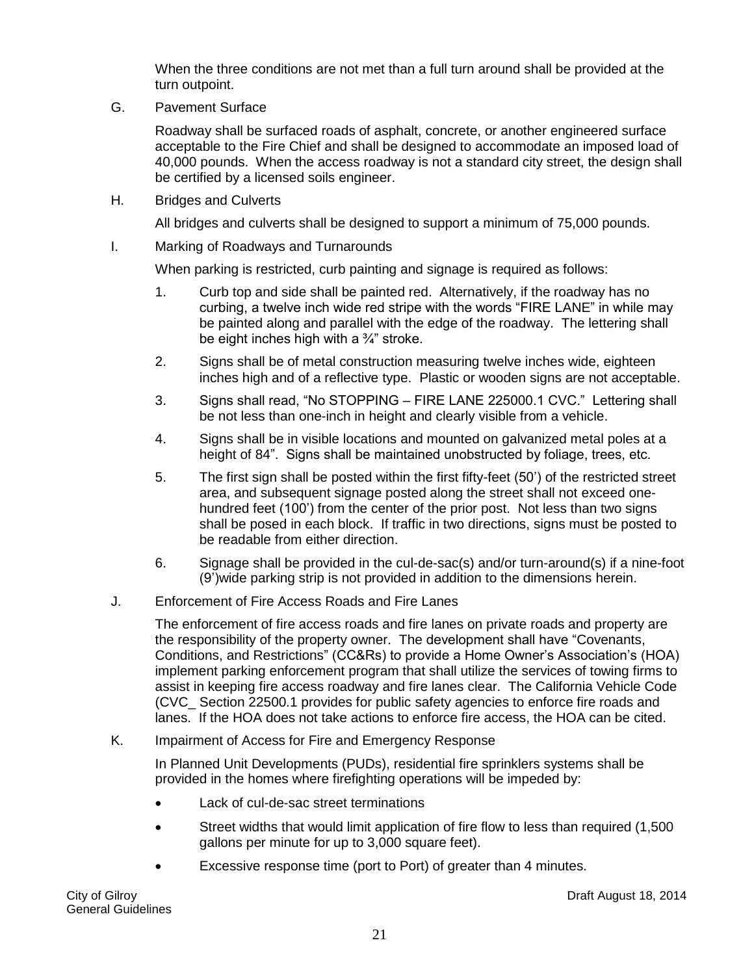When the three conditions are not met than a full turn around shall be provided at the turn outpoint.

G. Pavement Surface

Roadway shall be surfaced roads of asphalt, concrete, or another engineered surface acceptable to the Fire Chief and shall be designed to accommodate an imposed load of 40,000 pounds. When the access roadway is not a standard city street, the design shall be certified by a licensed soils engineer.

H. Bridges and Culverts

All bridges and culverts shall be designed to support a minimum of 75,000 pounds.

I. Marking of Roadways and Turnarounds

When parking is restricted, curb painting and signage is required as follows:

- 1. Curb top and side shall be painted red. Alternatively, if the roadway has no curbing, a twelve inch wide red stripe with the words "FIRE LANE" in while may be painted along and parallel with the edge of the roadway. The lettering shall be eight inches high with a  $\frac{3}{4}$ " stroke.
- 2. Signs shall be of metal construction measuring twelve inches wide, eighteen inches high and of a reflective type. Plastic or wooden signs are not acceptable.
- 3. Signs shall read, "No STOPPING FIRE LANE 225000.1 CVC." Lettering shall be not less than one-inch in height and clearly visible from a vehicle.
- 4. Signs shall be in visible locations and mounted on galvanized metal poles at a height of 84". Signs shall be maintained unobstructed by foliage, trees, etc.
- 5. The first sign shall be posted within the first fifty-feet (50') of the restricted street area, and subsequent signage posted along the street shall not exceed onehundred feet (100') from the center of the prior post. Not less than two signs shall be posed in each block. If traffic in two directions, signs must be posted to be readable from either direction.
- 6. Signage shall be provided in the cul-de-sac(s) and/or turn-around(s) if a nine-foot (9')wide parking strip is not provided in addition to the dimensions herein.
- J. Enforcement of Fire Access Roads and Fire Lanes

The enforcement of fire access roads and fire lanes on private roads and property are the responsibility of the property owner. The development shall have "Covenants, Conditions, and Restrictions" (CC&Rs) to provide a Home Owner's Association's (HOA) implement parking enforcement program that shall utilize the services of towing firms to assist in keeping fire access roadway and fire lanes clear. The California Vehicle Code (CVC\_ Section 22500.1 provides for public safety agencies to enforce fire roads and lanes. If the HOA does not take actions to enforce fire access, the HOA can be cited.

K. Impairment of Access for Fire and Emergency Response

In Planned Unit Developments (PUDs), residential fire sprinklers systems shall be provided in the homes where firefighting operations will be impeded by:

- Lack of cul-de-sac street terminations
- Street widths that would limit application of fire flow to less than required (1,500 gallons per minute for up to 3,000 square feet).
- Excessive response time (port to Port) of greater than 4 minutes.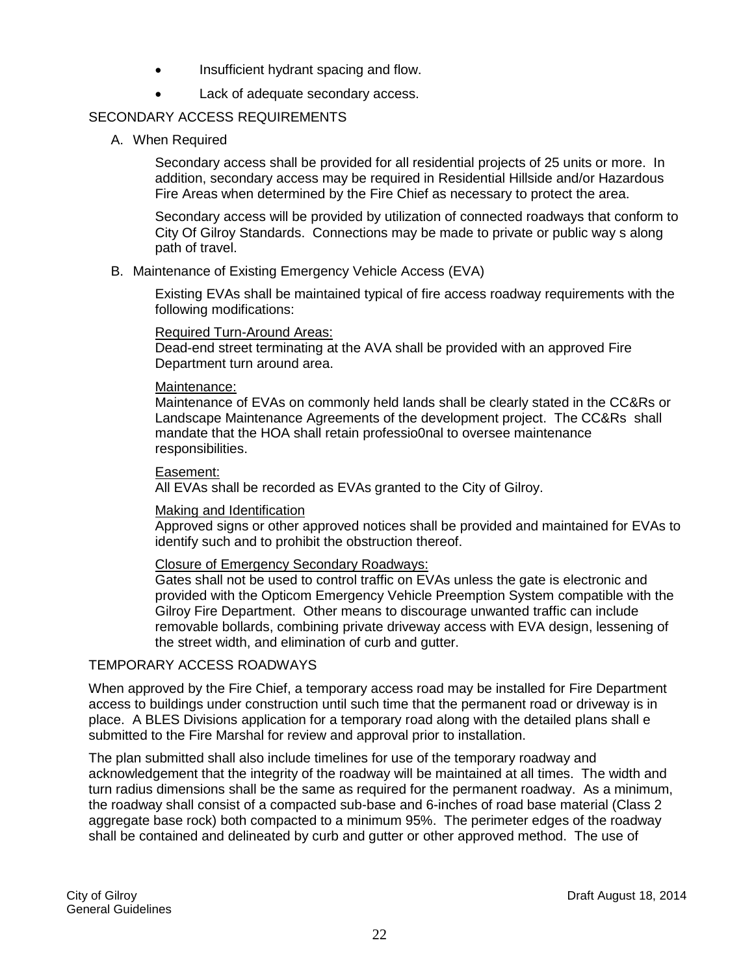- Insufficient hydrant spacing and flow.
- Lack of adequate secondary access.

#### SECONDARY ACCESS REQUIREMENTS

A. When Required

Secondary access shall be provided for all residential projects of 25 units or more. In addition, secondary access may be required in Residential Hillside and/or Hazardous Fire Areas when determined by the Fire Chief as necessary to protect the area.

Secondary access will be provided by utilization of connected roadways that conform to City Of Gilroy Standards. Connections may be made to private or public way s along path of travel.

#### B. Maintenance of Existing Emergency Vehicle Access (EVA)

Existing EVAs shall be maintained typical of fire access roadway requirements with the following modifications:

#### Required Turn-Around Areas:

Dead-end street terminating at the AVA shall be provided with an approved Fire Department turn around area.

#### Maintenance:

Maintenance of EVAs on commonly held lands shall be clearly stated in the CC&Rs or Landscape Maintenance Agreements of the development project. The CC&Rs shall mandate that the HOA shall retain professio0nal to oversee maintenance responsibilities.

#### Easement:

All EVAs shall be recorded as EVAs granted to the City of Gilroy.

#### Making and Identification

Approved signs or other approved notices shall be provided and maintained for EVAs to identify such and to prohibit the obstruction thereof.

#### Closure of Emergency Secondary Roadways:

Gates shall not be used to control traffic on EVAs unless the gate is electronic and provided with the Opticom Emergency Vehicle Preemption System compatible with the Gilroy Fire Department. Other means to discourage unwanted traffic can include removable bollards, combining private driveway access with EVA design, lessening of the street width, and elimination of curb and gutter.

#### TEMPORARY ACCESS ROADWAYS

When approved by the Fire Chief, a temporary access road may be installed for Fire Department access to buildings under construction until such time that the permanent road or driveway is in place. A BLES Divisions application for a temporary road along with the detailed plans shall e submitted to the Fire Marshal for review and approval prior to installation.

The plan submitted shall also include timelines for use of the temporary roadway and acknowledgement that the integrity of the roadway will be maintained at all times. The width and turn radius dimensions shall be the same as required for the permanent roadway. As a minimum, the roadway shall consist of a compacted sub-base and 6-inches of road base material (Class 2 aggregate base rock) both compacted to a minimum 95%. The perimeter edges of the roadway shall be contained and delineated by curb and gutter or other approved method. The use of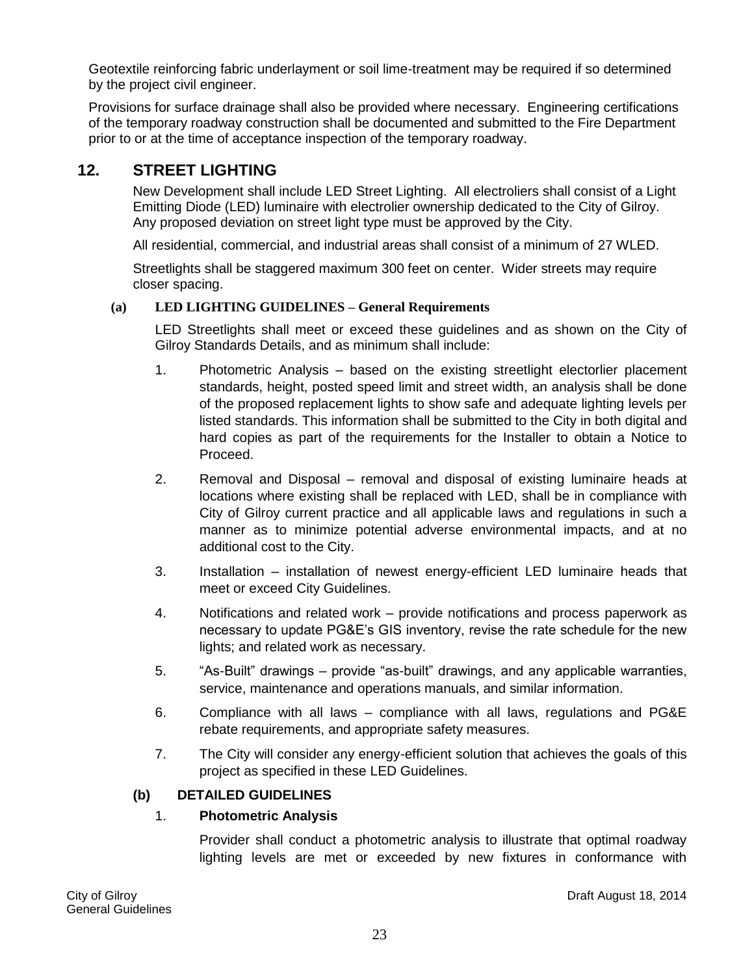Geotextile reinforcing fabric underlayment or soil lime-treatment may be required if so determined by the project civil engineer.

Provisions for surface drainage shall also be provided where necessary. Engineering certifications of the temporary roadway construction shall be documented and submitted to the Fire Department prior to or at the time of acceptance inspection of the temporary roadway.

#### **12. STREET LIGHTING**

New Development shall include LED Street Lighting. All electroliers shall consist of a Light Emitting Diode (LED) luminaire with electrolier ownership dedicated to the City of Gilroy. Any proposed deviation on street light type must be approved by the City.

All residential, commercial, and industrial areas shall consist of a minimum of 27 WLED.

Streetlights shall be staggered maximum 300 feet on center. Wider streets may require closer spacing.

#### **(a) LED LIGHTING GUIDELINES – General Requirements**

LED Streetlights shall meet or exceed these guidelines and as shown on the City of Gilroy Standards Details, and as minimum shall include:

- 1. Photometric Analysis based on the existing streetlight electorlier placement standards, height, posted speed limit and street width, an analysis shall be done of the proposed replacement lights to show safe and adequate lighting levels per listed standards. This information shall be submitted to the City in both digital and hard copies as part of the requirements for the Installer to obtain a Notice to Proceed.
- 2. Removal and Disposal removal and disposal of existing luminaire heads at locations where existing shall be replaced with LED, shall be in compliance with City of Gilroy current practice and all applicable laws and regulations in such a manner as to minimize potential adverse environmental impacts, and at no additional cost to the City.
- 3. Installation installation of newest energy-efficient LED luminaire heads that meet or exceed City Guidelines.
- 4. Notifications and related work provide notifications and process paperwork as necessary to update PG&E's GIS inventory, revise the rate schedule for the new lights; and related work as necessary.
- 5. "As-Built" drawings provide "as-built" drawings, and any applicable warranties, service, maintenance and operations manuals, and similar information.
- 6. Compliance with all laws compliance with all laws, regulations and PG&E rebate requirements, and appropriate safety measures.
- 7. The City will consider any energy-efficient solution that achieves the goals of this project as specified in these LED Guidelines.

#### **(b) DETAILED GUIDELINES**

#### 1. **Photometric Analysis**

Provider shall conduct a photometric analysis to illustrate that optimal roadway lighting levels are met or exceeded by new fixtures in conformance with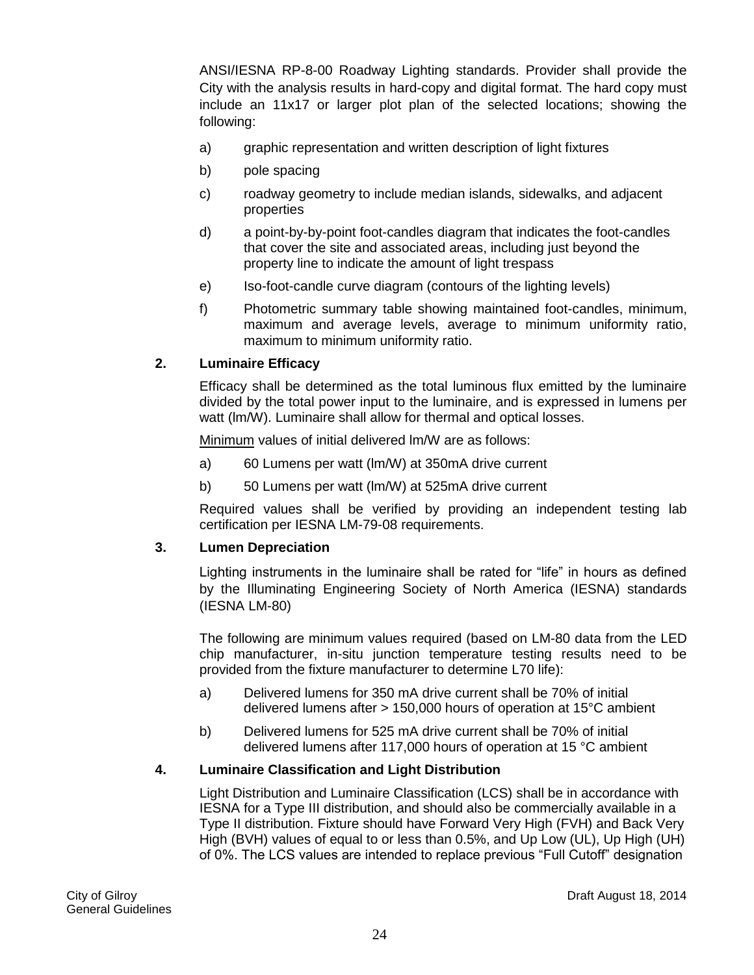ANSI/IESNA RP-8-00 Roadway Lighting standards. Provider shall provide the City with the analysis results in hard-copy and digital format. The hard copy must include an 11x17 or larger plot plan of the selected locations; showing the following:

- a) graphic representation and written description of light fixtures
- b) pole spacing
- c) roadway geometry to include median islands, sidewalks, and adjacent properties
- d) a point-by-by-point foot-candles diagram that indicates the foot-candles that cover the site and associated areas, including just beyond the property line to indicate the amount of light trespass
- e) Iso-foot-candle curve diagram (contours of the lighting levels)
- f) Photometric summary table showing maintained foot-candles, minimum, maximum and average levels, average to minimum uniformity ratio, maximum to minimum uniformity ratio.

#### **2. Luminaire Efficacy**

Efficacy shall be determined as the total luminous flux emitted by the luminaire divided by the total power input to the luminaire, and is expressed in lumens per watt (lm/W). Luminaire shall allow for thermal and optical losses.

Minimum values of initial delivered lm/W are as follows:

- a) 60 Lumens per watt (lm/W) at 350mA drive current
- b) 50 Lumens per watt (lm/W) at 525mA drive current

Required values shall be verified by providing an independent testing lab certification per IESNA LM-79-08 requirements.

#### **3. Lumen Depreciation**

Lighting instruments in the luminaire shall be rated for "life" in hours as defined by the Illuminating Engineering Society of North America (IESNA) standards (IESNA LM-80)

The following are minimum values required (based on LM-80 data from the LED chip manufacturer, in-situ junction temperature testing results need to be provided from the fixture manufacturer to determine L70 life):

- a) Delivered lumens for 350 mA drive current shall be 70% of initial delivered lumens after > 150,000 hours of operation at 15°C ambient
- b) Delivered lumens for 525 mA drive current shall be 70% of initial delivered lumens after 117,000 hours of operation at 15 °C ambient

#### **4. Luminaire Classification and Light Distribution**

Light Distribution and Luminaire Classification (LCS) shall be in accordance with IESNA for a Type III distribution, and should also be commercially available in a Type II distribution. Fixture should have Forward Very High (FVH) and Back Very High (BVH) values of equal to or less than 0.5%, and Up Low (UL), Up High (UH) of 0%. The LCS values are intended to replace previous "Full Cutoff" designation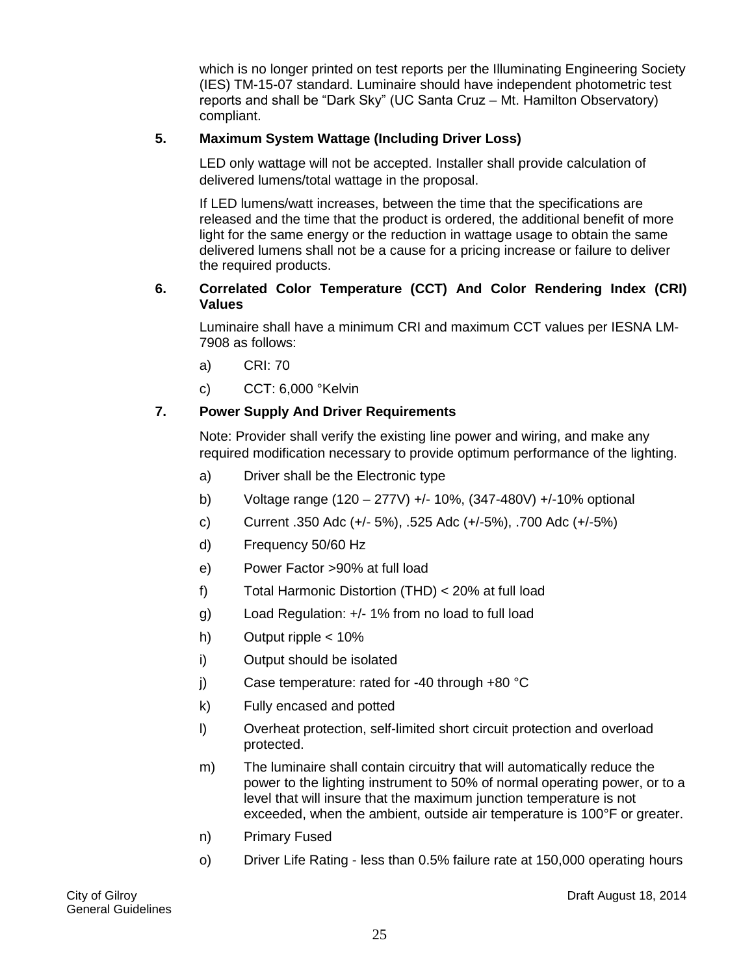which is no longer printed on test reports per the Illuminating Engineering Society (IES) TM-15-07 standard. Luminaire should have independent photometric test reports and shall be "Dark Sky" (UC Santa Cruz – Mt. Hamilton Observatory) compliant.

#### **5. Maximum System Wattage (Including Driver Loss)**

LED only wattage will not be accepted. Installer shall provide calculation of delivered lumens/total wattage in the proposal.

If LED lumens/watt increases, between the time that the specifications are released and the time that the product is ordered, the additional benefit of more light for the same energy or the reduction in wattage usage to obtain the same delivered lumens shall not be a cause for a pricing increase or failure to deliver the required products.

#### **6. Correlated Color Temperature (CCT) And Color Rendering Index (CRI) Values**

Luminaire shall have a minimum CRI and maximum CCT values per IESNA LM-7908 as follows:

- a) CRI: 70
- c) CCT: 6,000 °Kelvin

#### **7. Power Supply And Driver Requirements**

Note: Provider shall verify the existing line power and wiring, and make any required modification necessary to provide optimum performance of the lighting.

- a) Driver shall be the Electronic type
- b) Voltage range (120 277V) +/- 10%, (347-480V) +/-10% optional
- c) Current .350 Adc (+/- 5%), .525 Adc (+/-5%), .700 Adc (+/-5%)
- d) Frequency 50/60 Hz
- e) Power Factor >90% at full load
- f) Total Harmonic Distortion (THD) < 20% at full load
- g) Load Regulation: +/- 1% from no load to full load
- h) Output ripple < 10%
- i) Output should be isolated
- j) Case temperature: rated for -40 through +80 °C
- k) Fully encased and potted
- l) Overheat protection, self-limited short circuit protection and overload protected.
- m) The luminaire shall contain circuitry that will automatically reduce the power to the lighting instrument to 50% of normal operating power, or to a level that will insure that the maximum junction temperature is not exceeded, when the ambient, outside air temperature is 100°F or greater.
- n) Primary Fused
- o) Driver Life Rating less than 0.5% failure rate at 150,000 operating hours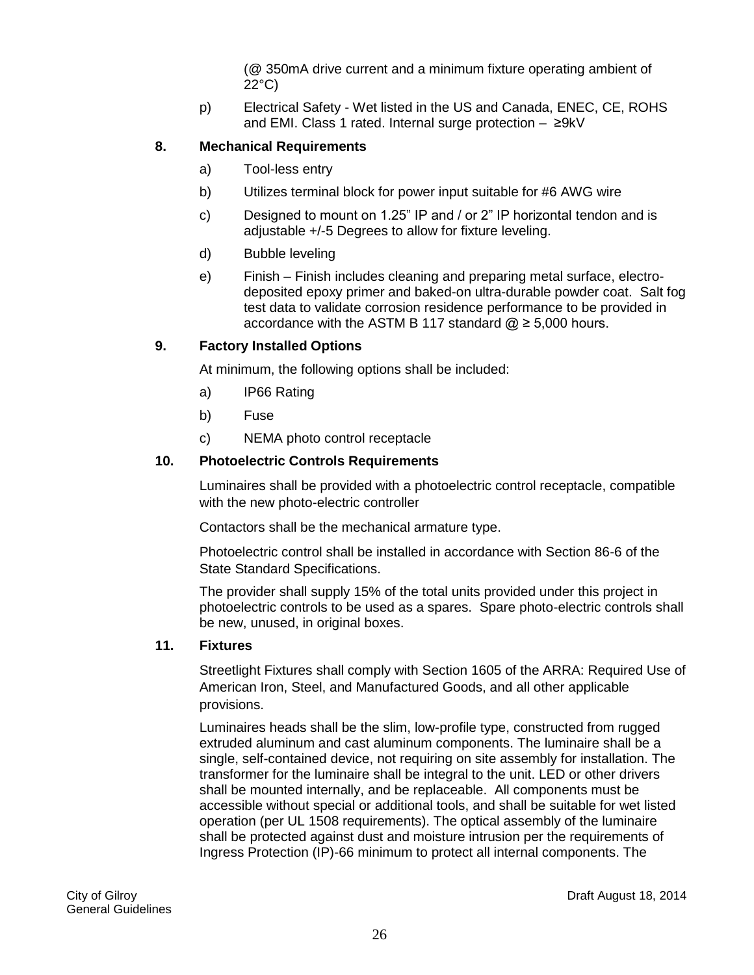(@ 350mA drive current and a minimum fixture operating ambient of 22°C)

p) Electrical Safety - Wet listed in the US and Canada, ENEC, CE, ROHS and EMI. Class 1 rated. Internal surge protection – ≥9kV

#### **8. Mechanical Requirements**

- a) Tool-less entry
- b) Utilizes terminal block for power input suitable for #6 AWG wire
- c) Designed to mount on 1.25" IP and / or 2" IP horizontal tendon and is adjustable +/-5 Degrees to allow for fixture leveling.
- d) Bubble leveling
- e) Finish Finish includes cleaning and preparing metal surface, electrodeposited epoxy primer and baked-on ultra-durable powder coat. Salt fog test data to validate corrosion residence performance to be provided in accordance with the ASTM B 117 standard  $@$  ≥ 5,000 hours.

#### **9. Factory Installed Options**

At minimum, the following options shall be included:

- a) IP66 Rating
- b) Fuse
- c) NEMA photo control receptacle

#### **10. Photoelectric Controls Requirements**

Luminaires shall be provided with a photoelectric control receptacle, compatible with the new photo-electric controller

Contactors shall be the mechanical armature type.

Photoelectric control shall be installed in accordance with Section 86-6 of the State Standard Specifications.

The provider shall supply 15% of the total units provided under this project in photoelectric controls to be used as a spares. Spare photo-electric controls shall be new, unused, in original boxes.

#### **11. Fixtures**

Streetlight Fixtures shall comply with Section 1605 of the ARRA: Required Use of American Iron, Steel, and Manufactured Goods, and all other applicable provisions.

Luminaires heads shall be the slim, low-profile type, constructed from rugged extruded aluminum and cast aluminum components. The luminaire shall be a single, self-contained device, not requiring on site assembly for installation. The transformer for the luminaire shall be integral to the unit. LED or other drivers shall be mounted internally, and be replaceable. All components must be accessible without special or additional tools, and shall be suitable for wet listed operation (per UL 1508 requirements). The optical assembly of the luminaire shall be protected against dust and moisture intrusion per the requirements of Ingress Protection (IP)-66 minimum to protect all internal components. The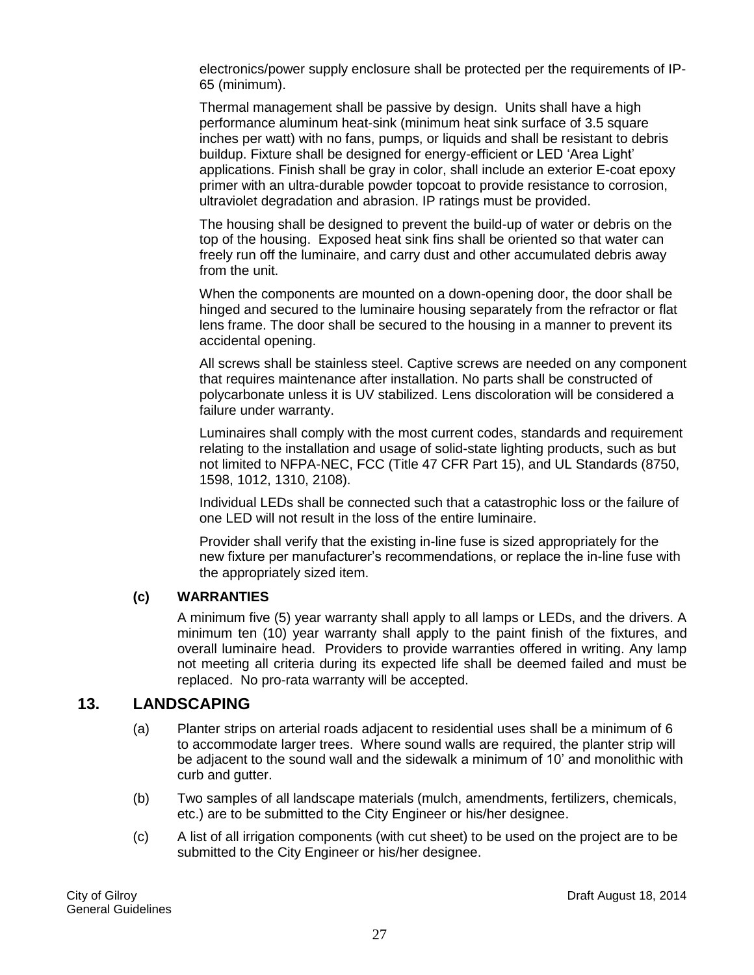electronics/power supply enclosure shall be protected per the requirements of IP-65 (minimum).

Thermal management shall be passive by design. Units shall have a high performance aluminum heat-sink (minimum heat sink surface of 3.5 square inches per watt) with no fans, pumps, or liquids and shall be resistant to debris buildup. Fixture shall be designed for energy-efficient or LED 'Area Light' applications. Finish shall be gray in color, shall include an exterior E-coat epoxy primer with an ultra-durable powder topcoat to provide resistance to corrosion, ultraviolet degradation and abrasion. IP ratings must be provided.

The housing shall be designed to prevent the build-up of water or debris on the top of the housing. Exposed heat sink fins shall be oriented so that water can freely run off the luminaire, and carry dust and other accumulated debris away from the unit.

When the components are mounted on a down-opening door, the door shall be hinged and secured to the luminaire housing separately from the refractor or flat lens frame. The door shall be secured to the housing in a manner to prevent its accidental opening.

All screws shall be stainless steel. Captive screws are needed on any component that requires maintenance after installation. No parts shall be constructed of polycarbonate unless it is UV stabilized. Lens discoloration will be considered a failure under warranty.

Luminaires shall comply with the most current codes, standards and requirement relating to the installation and usage of solid-state lighting products, such as but not limited to NFPA-NEC, FCC (Title 47 CFR Part 15), and UL Standards (8750, 1598, 1012, 1310, 2108).

Individual LEDs shall be connected such that a catastrophic loss or the failure of one LED will not result in the loss of the entire luminaire.

Provider shall verify that the existing in-line fuse is sized appropriately for the new fixture per manufacturer's recommendations, or replace the in-line fuse with the appropriately sized item.

#### **(c) WARRANTIES**

A minimum five (5) year warranty shall apply to all lamps or LEDs, and the drivers. A minimum ten (10) year warranty shall apply to the paint finish of the fixtures, and overall luminaire head. Providers to provide warranties offered in writing. Any lamp not meeting all criteria during its expected life shall be deemed failed and must be replaced. No pro-rata warranty will be accepted.

#### <span id="page-26-0"></span>**13. LANDSCAPING**

- (a) Planter strips on arterial roads adjacent to residential uses shall be a minimum of 6 to accommodate larger trees. Where sound walls are required, the planter strip will be adjacent to the sound wall and the sidewalk a minimum of 10' and monolithic with curb and gutter.
- (b) Two samples of all landscape materials (mulch, amendments, fertilizers, chemicals, etc.) are to be submitted to the City Engineer or his/her designee.
- (c) A list of all irrigation components (with cut sheet) to be used on the project are to be submitted to the City Engineer or his/her designee.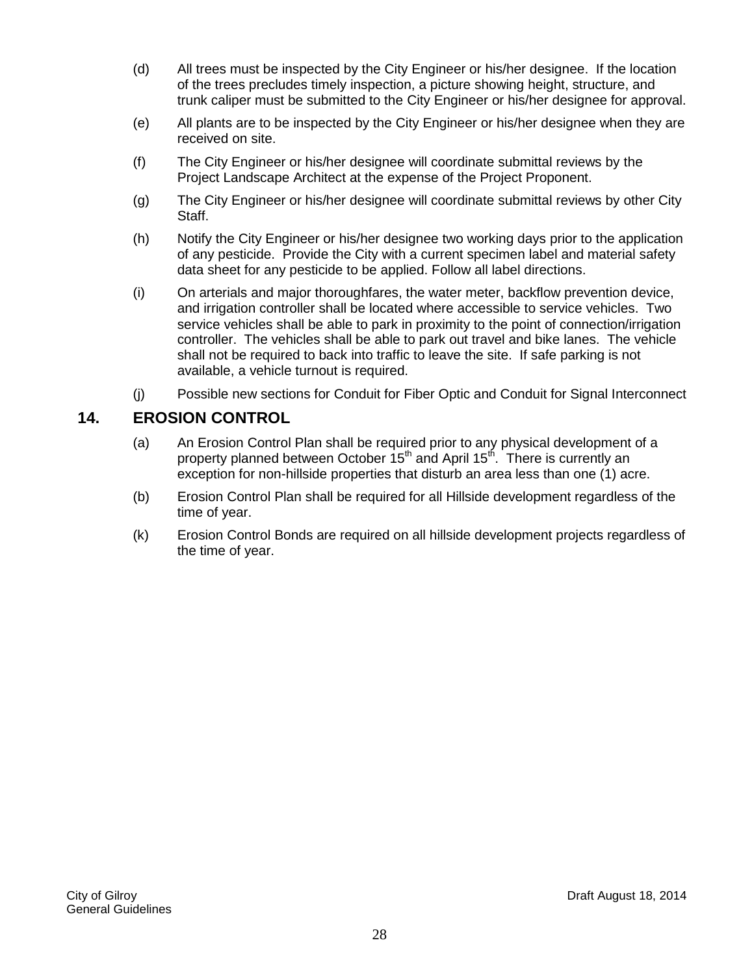- (d) All trees must be inspected by the City Engineer or his/her designee. If the location of the trees precludes timely inspection, a picture showing height, structure, and trunk caliper must be submitted to the City Engineer or his/her designee for approval.
- (e) All plants are to be inspected by the City Engineer or his/her designee when they are received on site.
- (f) The City Engineer or his/her designee will coordinate submittal reviews by the Project Landscape Architect at the expense of the Project Proponent.
- (g) The City Engineer or his/her designee will coordinate submittal reviews by other City Staff.
- (h) Notify the City Engineer or his/her designee two working days prior to the application of any pesticide. Provide the City with a current specimen label and material safety data sheet for any pesticide to be applied. Follow all label directions.
- (i) On arterials and major thoroughfares, the water meter, backflow prevention device, and irrigation controller shall be located where accessible to service vehicles. Two service vehicles shall be able to park in proximity to the point of connection/irrigation controller. The vehicles shall be able to park out travel and bike lanes. The vehicle shall not be required to back into traffic to leave the site. If safe parking is not available, a vehicle turnout is required.
- (j) Possible new sections for Conduit for Fiber Optic and Conduit for Signal Interconnect

#### **14. EROSION CONTROL**

- (a) An Erosion Control Plan shall be required prior to any physical development of a property planned between October 15<sup>th</sup> and April 15<sup>th</sup>. There is currently an exception for non-hillside properties that disturb an area less than one (1) acre.
- (b) Erosion Control Plan shall be required for all Hillside development regardless of the time of year.
- (k) Erosion Control Bonds are required on all hillside development projects regardless of the time of year.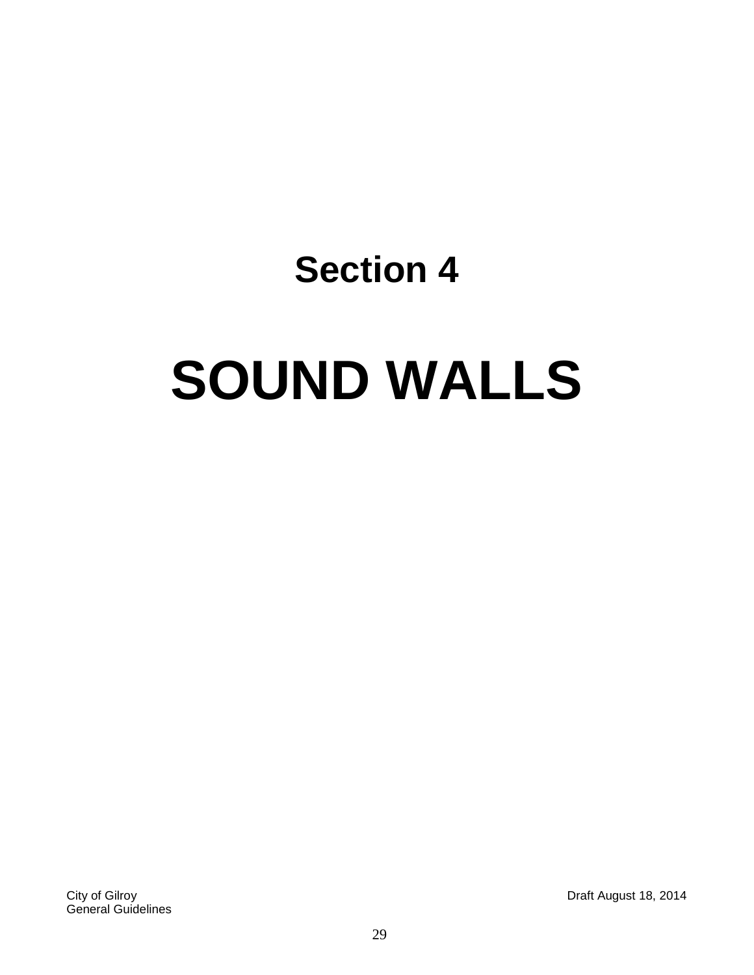# **SOUND WALLS**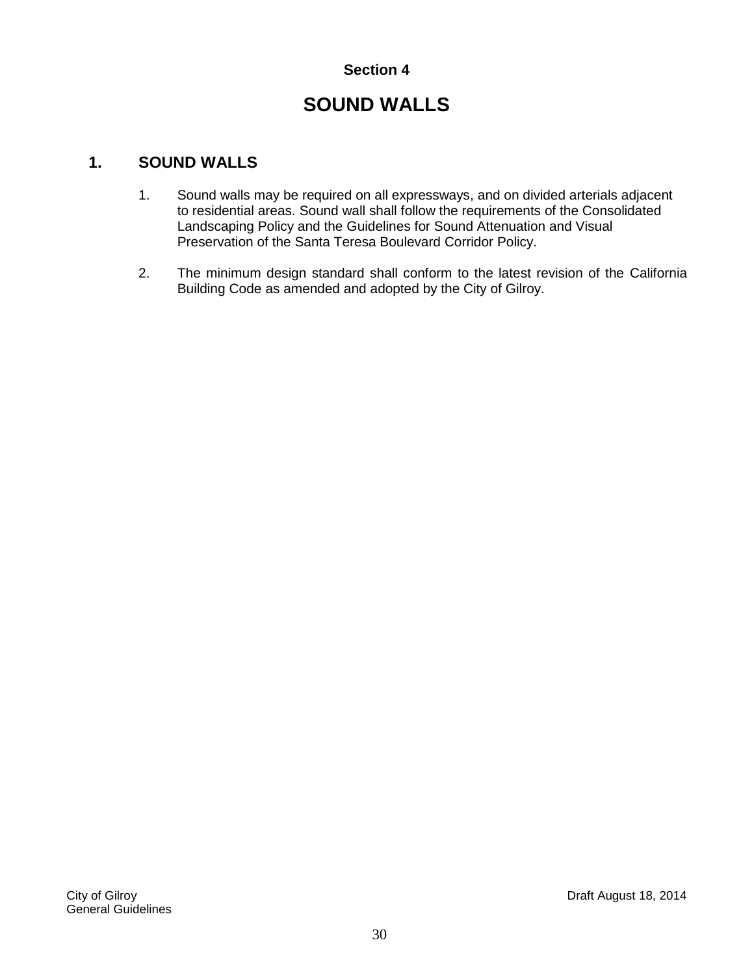## **SOUND WALLS**

#### **1. SOUND WALLS**

- 1. Sound walls may be required on all expressways, and on divided arterials adjacent to residential areas. Sound wall shall follow the requirements of the Consolidated Landscaping Policy and the Guidelines for Sound Attenuation and Visual Preservation of the Santa Teresa Boulevard Corridor Policy.
- 2. The minimum design standard shall conform to the latest revision of the California Building Code as amended and adopted by the City of Gilroy.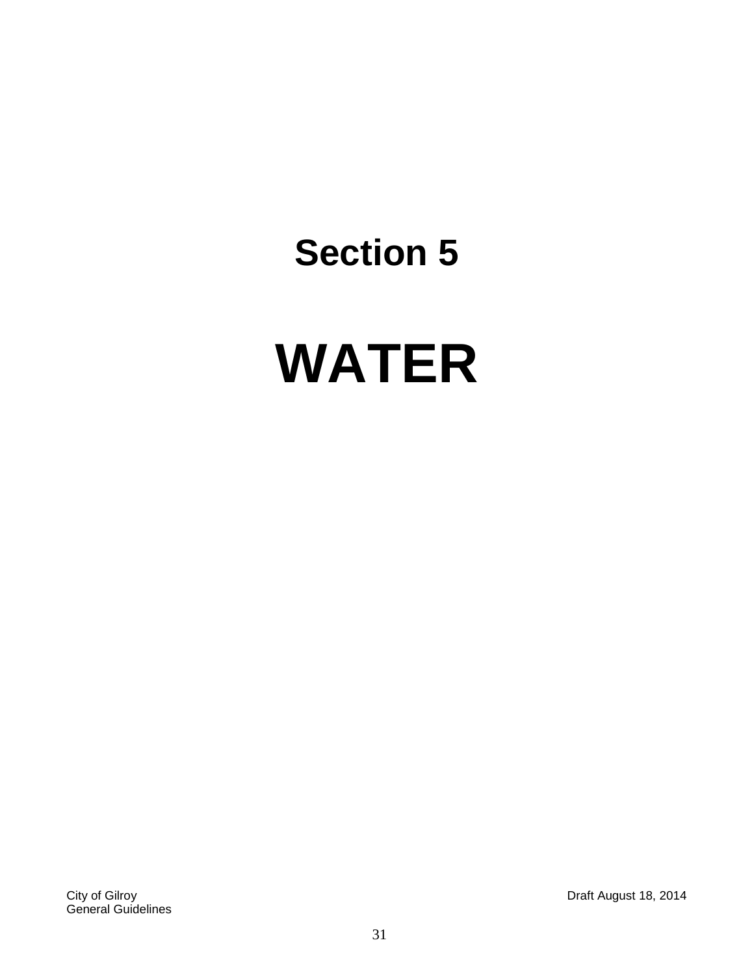# **WATER**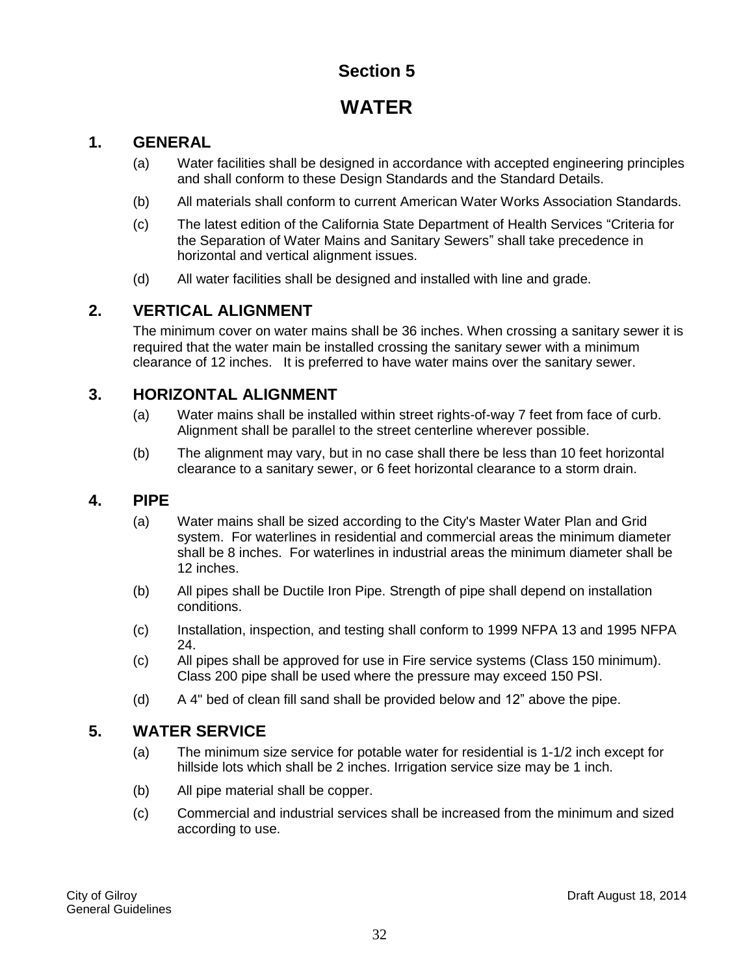## **WATER**

#### <span id="page-31-1"></span><span id="page-31-0"></span>**1. GENERAL**

- (a) Water facilities shall be designed in accordance with accepted engineering principles and shall conform to these Design Standards and the Standard Details.
- (b) All materials shall conform to current American Water Works Association Standards.
- (c) The latest edition of the California State Department of Health Services "Criteria for the Separation of Water Mains and Sanitary Sewers" shall take precedence in horizontal and vertical alignment issues.
- (d) All water facilities shall be designed and installed with line and grade.

#### <span id="page-31-2"></span>**2. VERTICAL ALIGNMENT**

The minimum cover on water mains shall be 36 inches. When crossing a sanitary sewer it is required that the water main be installed crossing the sanitary sewer with a minimum clearance of 12 inches. It is preferred to have water mains over the sanitary sewer.

#### <span id="page-31-3"></span>**3. HORIZONTAL ALIGNMENT**

- (a) Water mains shall be installed within street rights-of-way 7 feet from face of curb. Alignment shall be parallel to the street centerline wherever possible.
- (b) The alignment may vary, but in no case shall there be less than 10 feet horizontal clearance to a sanitary sewer, or 6 feet horizontal clearance to a storm drain.

#### <span id="page-31-4"></span>**4. PIPE**

- (a) Water mains shall be sized according to the City's Master Water Plan and Grid system. For waterlines in residential and commercial areas the minimum diameter shall be 8 inches. For waterlines in industrial areas the minimum diameter shall be 12 inches.
- (b) All pipes shall be Ductile Iron Pipe. Strength of pipe shall depend on installation conditions.
- (c) Installation, inspection, and testing shall conform to 1999 NFPA 13 and 1995 NFPA 24.
- (c) All pipes shall be approved for use in Fire service systems (Class 150 minimum). Class 200 pipe shall be used where the pressure may exceed 150 PSI.
- (d) A 4" bed of clean fill sand shall be provided below and 12" above the pipe.

#### <span id="page-31-5"></span>**5. WATER SERVICE**

- (a) The minimum size service for potable water for residential is 1-1/2 inch except for hillside lots which shall be 2 inches. Irrigation service size may be 1 inch.
- (b) All pipe material shall be copper.
- (c) Commercial and industrial services shall be increased from the minimum and sized according to use.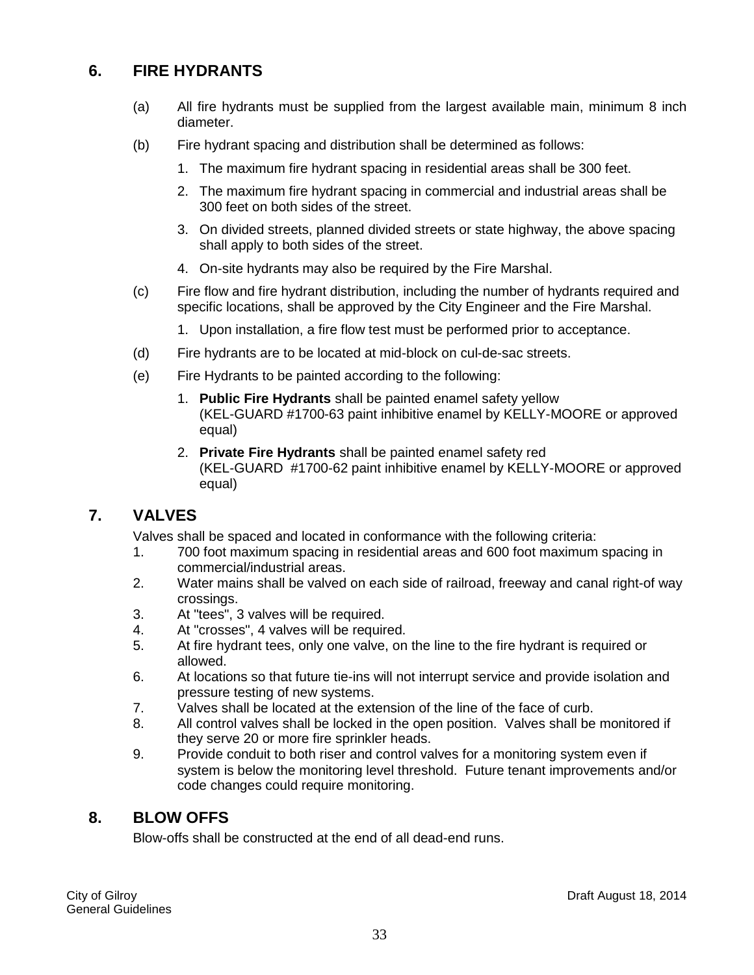#### <span id="page-32-0"></span>**6. FIRE HYDRANTS**

- (a) All fire hydrants must be supplied from the largest available main, minimum 8 inch diameter.
- (b) Fire hydrant spacing and distribution shall be determined as follows:
	- 1. The maximum fire hydrant spacing in residential areas shall be 300 feet.
	- 2. The maximum fire hydrant spacing in commercial and industrial areas shall be 300 feet on both sides of the street.
	- 3. On divided streets, planned divided streets or state highway, the above spacing shall apply to both sides of the street.
	- 4. On-site hydrants may also be required by the Fire Marshal.
- (c) Fire flow and fire hydrant distribution, including the number of hydrants required and specific locations, shall be approved by the City Engineer and the Fire Marshal.
	- 1. Upon installation, a fire flow test must be performed prior to acceptance.
- (d) Fire hydrants are to be located at mid-block on cul-de-sac streets.
- (e) Fire Hydrants to be painted according to the following:
	- 1. **Public Fire Hydrants** shall be painted enamel safety yellow (KEL-GUARD #1700-63 paint inhibitive enamel by KELLY-MOORE or approved equal)
	- 2. **Private Fire Hydrants** shall be painted enamel safety red (KEL-GUARD #1700-62 paint inhibitive enamel by KELLY-MOORE or approved equal)

#### <span id="page-32-1"></span>**7. VALVES**

Valves shall be spaced and located in conformance with the following criteria:

- 1. 700 foot maximum spacing in residential areas and 600 foot maximum spacing in commercial/industrial areas.
- 2. Water mains shall be valved on each side of railroad, freeway and canal right-of way crossings.
- 3. At "tees", 3 valves will be required.
- 4. At "crosses", 4 valves will be required.
- 5. At fire hydrant tees, only one valve, on the line to the fire hydrant is required or allowed.
- 6. At locations so that future tie-ins will not interrupt service and provide isolation and pressure testing of new systems.
- 7. Valves shall be located at the extension of the line of the face of curb.
- 8. All control valves shall be locked in the open position. Valves shall be monitored if they serve 20 or more fire sprinkler heads.
- 9. Provide conduit to both riser and control valves for a monitoring system even if system is below the monitoring level threshold. Future tenant improvements and/or code changes could require monitoring.

#### <span id="page-32-2"></span>**8. BLOW OFFS**

Blow-offs shall be constructed at the end of all dead-end runs.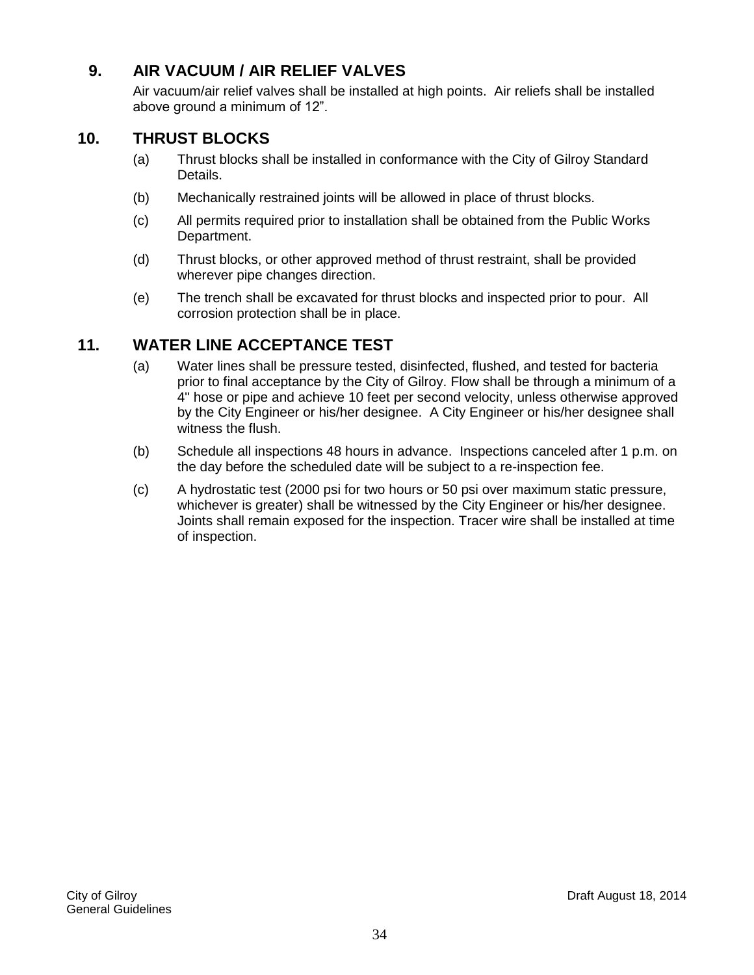#### <span id="page-33-0"></span>**9. AIR VACUUM / AIR RELIEF VALVES**

Air vacuum/air relief valves shall be installed at high points. Air reliefs shall be installed above ground a minimum of 12".

#### <span id="page-33-1"></span>**10. THRUST BLOCKS**

- (a) Thrust blocks shall be installed in conformance with the City of Gilroy Standard Details.
- (b) Mechanically restrained joints will be allowed in place of thrust blocks.
- (c) All permits required prior to installation shall be obtained from the Public Works Department.
- (d) Thrust blocks, or other approved method of thrust restraint, shall be provided wherever pipe changes direction.
- (e) The trench shall be excavated for thrust blocks and inspected prior to pour. All corrosion protection shall be in place.

#### <span id="page-33-2"></span>**11. WATER LINE ACCEPTANCE TEST**

- (a) Water lines shall be pressure tested, disinfected, flushed, and tested for bacteria prior to final acceptance by the City of Gilroy. Flow shall be through a minimum of a 4" hose or pipe and achieve 10 feet per second velocity, unless otherwise approved by the City Engineer or his/her designee. A City Engineer or his/her designee shall witness the flush.
- (b) Schedule all inspections 48 hours in advance. Inspections canceled after 1 p.m. on the day before the scheduled date will be subject to a re-inspection fee.
- (c) A hydrostatic test (2000 psi for two hours or 50 psi over maximum static pressure, whichever is greater) shall be witnessed by the City Engineer or his/her designee. Joints shall remain exposed for the inspection. Tracer wire shall be installed at time of inspection.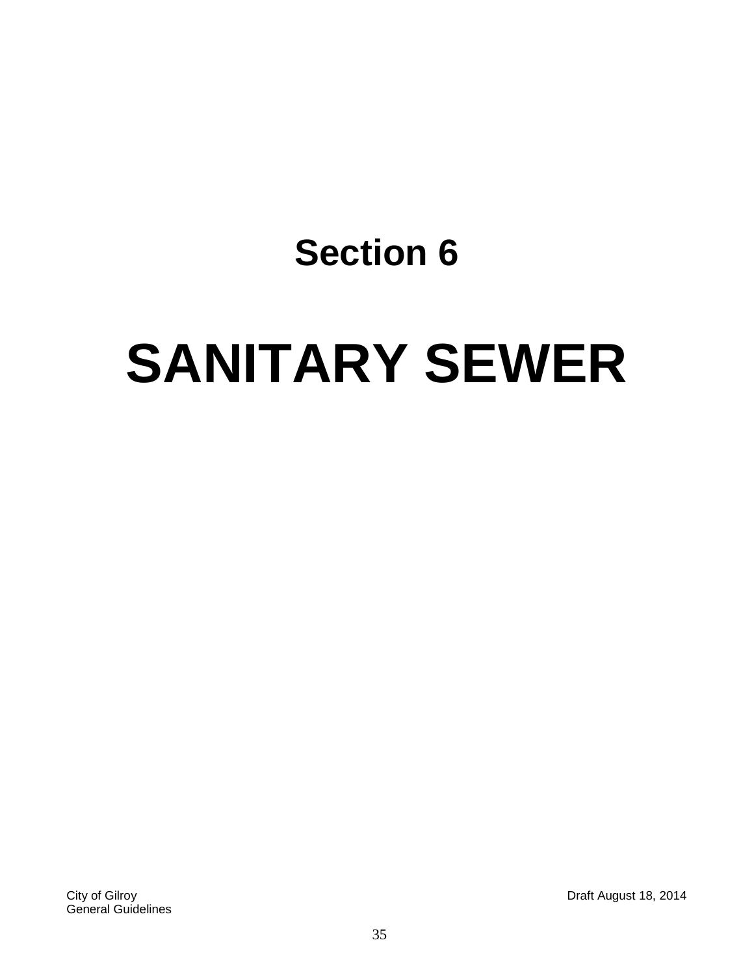# **SANITARY SEWER**

City of Gilroy Draft August 18, 2014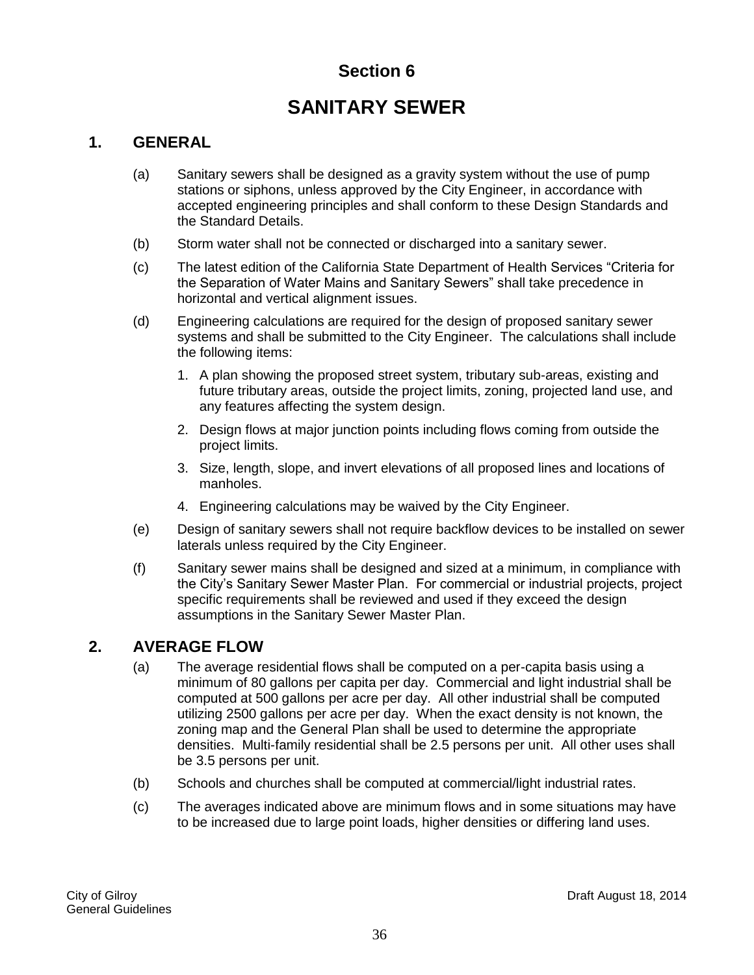## **SANITARY SEWER**

#### **1. GENERAL**

- (a) Sanitary sewers shall be designed as a gravity system without the use of pump stations or siphons, unless approved by the City Engineer, in accordance with accepted engineering principles and shall conform to these Design Standards and the Standard Details.
- (b) Storm water shall not be connected or discharged into a sanitary sewer.
- (c) The latest edition of the California State Department of Health Services "Criteria for the Separation of Water Mains and Sanitary Sewers" shall take precedence in horizontal and vertical alignment issues.
- (d) Engineering calculations are required for the design of proposed sanitary sewer systems and shall be submitted to the City Engineer. The calculations shall include the following items:
	- 1. A plan showing the proposed street system, tributary sub-areas, existing and future tributary areas, outside the project limits, zoning, projected land use, and any features affecting the system design.
	- 2. Design flows at major junction points including flows coming from outside the project limits.
	- 3. Size, length, slope, and invert elevations of all proposed lines and locations of manholes.
	- 4. Engineering calculations may be waived by the City Engineer.
- (e) Design of sanitary sewers shall not require backflow devices to be installed on sewer laterals unless required by the City Engineer.
- (f) Sanitary sewer mains shall be designed and sized at a minimum, in compliance with the City's Sanitary Sewer Master Plan. For commercial or industrial projects, project specific requirements shall be reviewed and used if they exceed the design assumptions in the Sanitary Sewer Master Plan.

#### **2. AVERAGE FLOW**

- (a) The average residential flows shall be computed on a per-capita basis using a minimum of 80 gallons per capita per day. Commercial and light industrial shall be computed at 500 gallons per acre per day. All other industrial shall be computed utilizing 2500 gallons per acre per day. When the exact density is not known, the zoning map and the General Plan shall be used to determine the appropriate densities. Multi-family residential shall be 2.5 persons per unit. All other uses shall be 3.5 persons per unit.
- (b) Schools and churches shall be computed at commercial/light industrial rates.
- (c) The averages indicated above are minimum flows and in some situations may have to be increased due to large point loads, higher densities or differing land uses.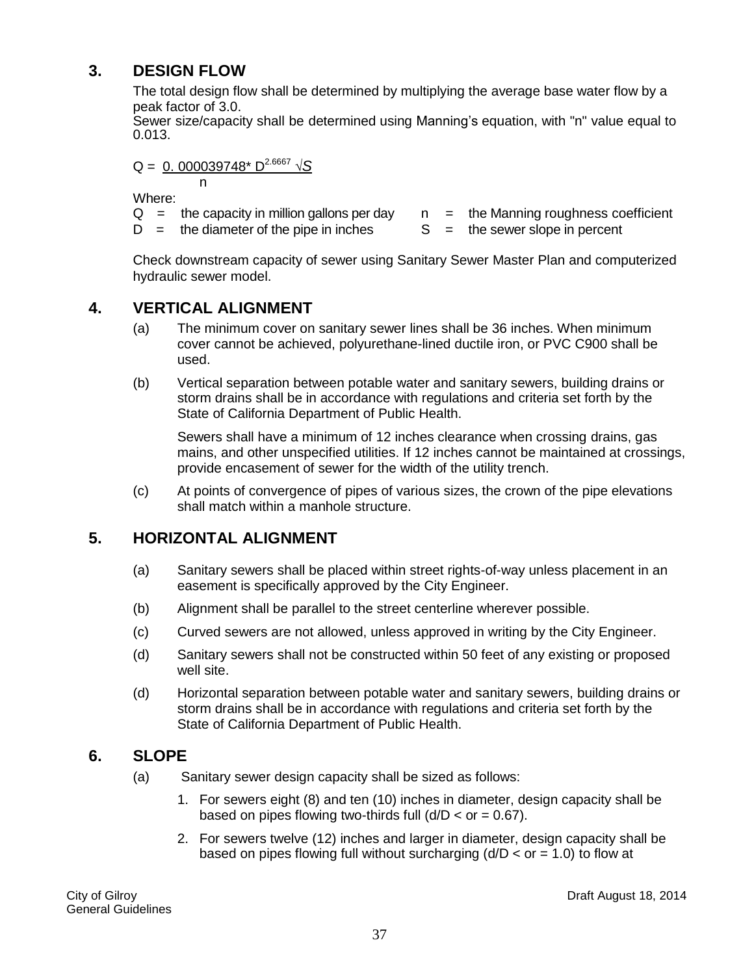# **3. DESIGN FLOW**

The total design flow shall be determined by multiplying the average base water flow by a peak factor of 3.0.

Sewer size/capacity shall be determined using Manning's equation, with "n" value equal to 0.013.

 $Q = 0.000039748* D^{2.6667} \sqrt{S}$ 

n

Where:

- $Q =$  the capacity in million gallons per day  $n =$  the Manning roughness coefficient
- $D =$  the diameter of the pipe in inches  $S =$  the sewer slope in percent
- -

Check downstream capacity of sewer using Sanitary Sewer Master Plan and computerized hydraulic sewer model.

# **4. VERTICAL ALIGNMENT**

- (a) The minimum cover on sanitary sewer lines shall be 36 inches. When minimum cover cannot be achieved, polyurethane-lined ductile iron, or PVC C900 shall be used.
- (b) Vertical separation between potable water and sanitary sewers, building drains or storm drains shall be in accordance with regulations and criteria set forth by the State of California Department of Public Health.

Sewers shall have a minimum of 12 inches clearance when crossing drains, gas mains, and other unspecified utilities. If 12 inches cannot be maintained at crossings, provide encasement of sewer for the width of the utility trench.

(c) At points of convergence of pipes of various sizes, the crown of the pipe elevations shall match within a manhole structure.

# **5. HORIZONTAL ALIGNMENT**

- (a) Sanitary sewers shall be placed within street rights-of-way unless placement in an easement is specifically approved by the City Engineer.
- (b) Alignment shall be parallel to the street centerline wherever possible.
- (c) Curved sewers are not allowed, unless approved in writing by the City Engineer.
- (d) Sanitary sewers shall not be constructed within 50 feet of any existing or proposed well site.
- (d) Horizontal separation between potable water and sanitary sewers, building drains or storm drains shall be in accordance with regulations and criteria set forth by the State of California Department of Public Health.

## **6. SLOPE**

- (a) Sanitary sewer design capacity shall be sized as follows:
	- 1. For sewers eight (8) and ten (10) inches in diameter, design capacity shall be based on pipes flowing two-thirds full  $(d/D < or = 0.67)$ .
	- 2. For sewers twelve (12) inches and larger in diameter, design capacity shall be based on pipes flowing full without surcharging  $(d/D < or = 1.0)$  to flow at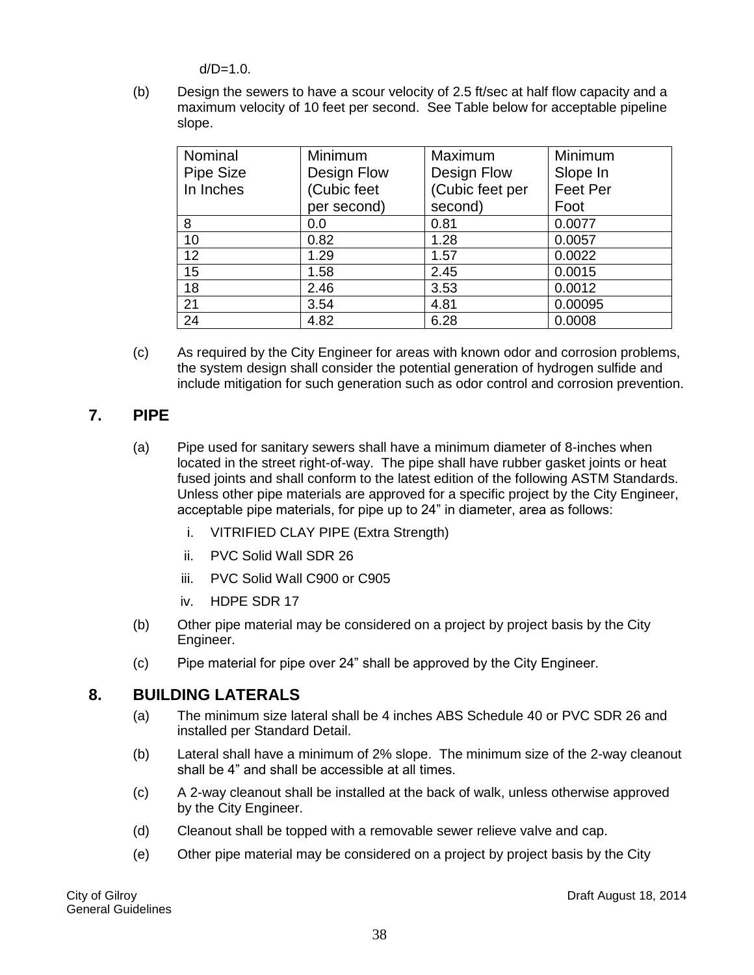$d/D=1.0$ .

(b) Design the sewers to have a scour velocity of 2.5 ft/sec at half flow capacity and a maximum velocity of 10 feet per second. See Table below for acceptable pipeline slope.

| Nominal   | Minimum     | Maximum         | Minimum         |
|-----------|-------------|-----------------|-----------------|
| Pipe Size | Design Flow | Design Flow     | Slope In        |
| In Inches | (Cubic feet | (Cubic feet per | <b>Feet Per</b> |
|           | per second) | second)         | Foot            |
| 8         | 0.0         | 0.81            | 0.0077          |
| 10        | 0.82        | 1.28            | 0.0057          |
| 12        | 1.29        | 1.57            | 0.0022          |
| 15        | 1.58        | 2.45            | 0.0015          |
| 18        | 2.46        | 3.53            | 0.0012          |
| 21        | 3.54        | 4.81            | 0.00095         |
| 24        | 4.82        | 6.28            | 0.0008          |

(c) As required by the City Engineer for areas with known odor and corrosion problems, the system design shall consider the potential generation of hydrogen sulfide and include mitigation for such generation such as odor control and corrosion prevention.

# **7. PIPE**

- (a) Pipe used for sanitary sewers shall have a minimum diameter of 8-inches when located in the street right-of-way. The pipe shall have rubber gasket joints or heat fused joints and shall conform to the latest edition of the following ASTM Standards. Unless other pipe materials are approved for a specific project by the City Engineer, acceptable pipe materials, for pipe up to 24" in diameter, area as follows:
	- i. VITRIFIED CLAY PIPE (Extra Strength)
	- ii. PVC Solid Wall SDR 26
	- iii. PVC Solid Wall C900 or C905
	- iv. HDPE SDR 17
- (b) Other pipe material may be considered on a project by project basis by the City Engineer.
- (c) Pipe material for pipe over 24" shall be approved by the City Engineer.

## **8. BUILDING LATERALS**

- (a) The minimum size lateral shall be 4 inches ABS Schedule 40 or PVC SDR 26 and installed per Standard Detail.
- (b) Lateral shall have a minimum of 2% slope. The minimum size of the 2-way cleanout shall be 4" and shall be accessible at all times.
- (c) A 2-way cleanout shall be installed at the back of walk, unless otherwise approved by the City Engineer.
- (d) Cleanout shall be topped with a removable sewer relieve valve and cap.
- (e) Other pipe material may be considered on a project by project basis by the City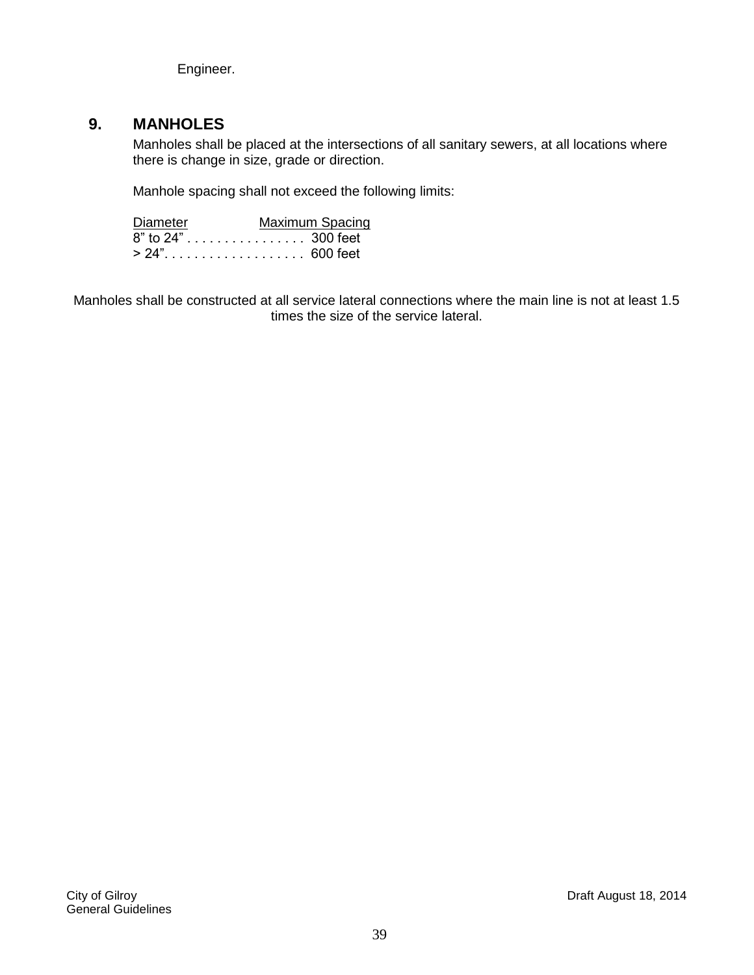Engineer.

# **9. MANHOLES**

Manholes shall be placed at the intersections of all sanitary sewers, at all locations where there is change in size, grade or direction.

Manhole spacing shall not exceed the following limits:

| Diameter           | Maximum Spacing |
|--------------------|-----------------|
| 8" to 24" 300 feet |                 |
|                    |                 |

Manholes shall be constructed at all service lateral connections where the main line is not at least 1.5 times the size of the service lateral.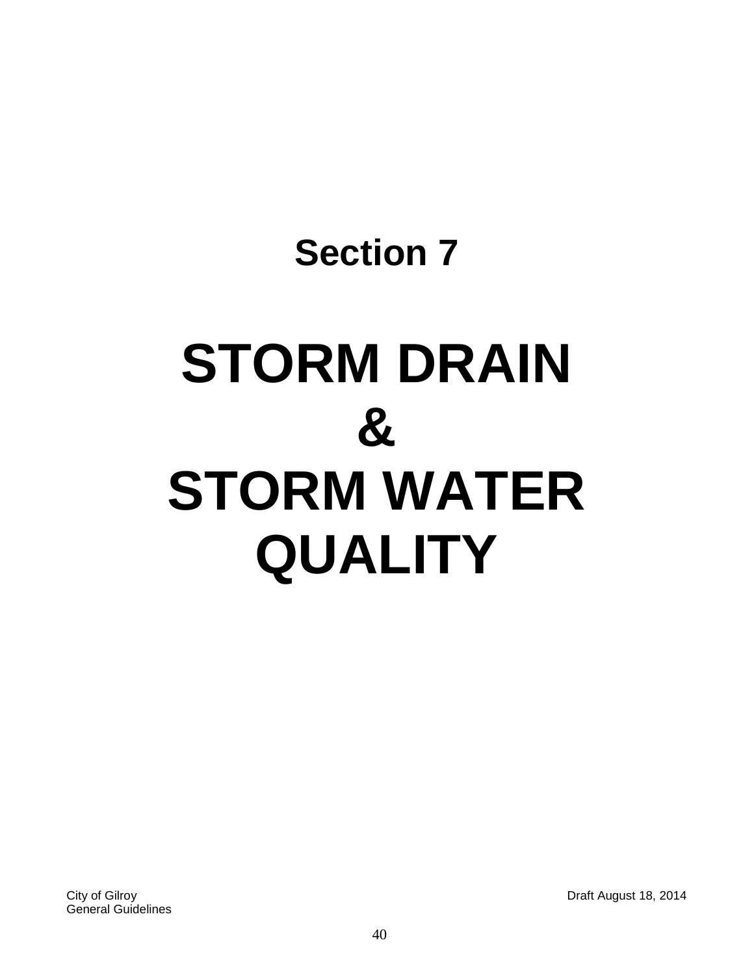# **Section 7 STORM DRAIN & STORM WATER QUALITY**

City of Gilroy Draft August 18, 2014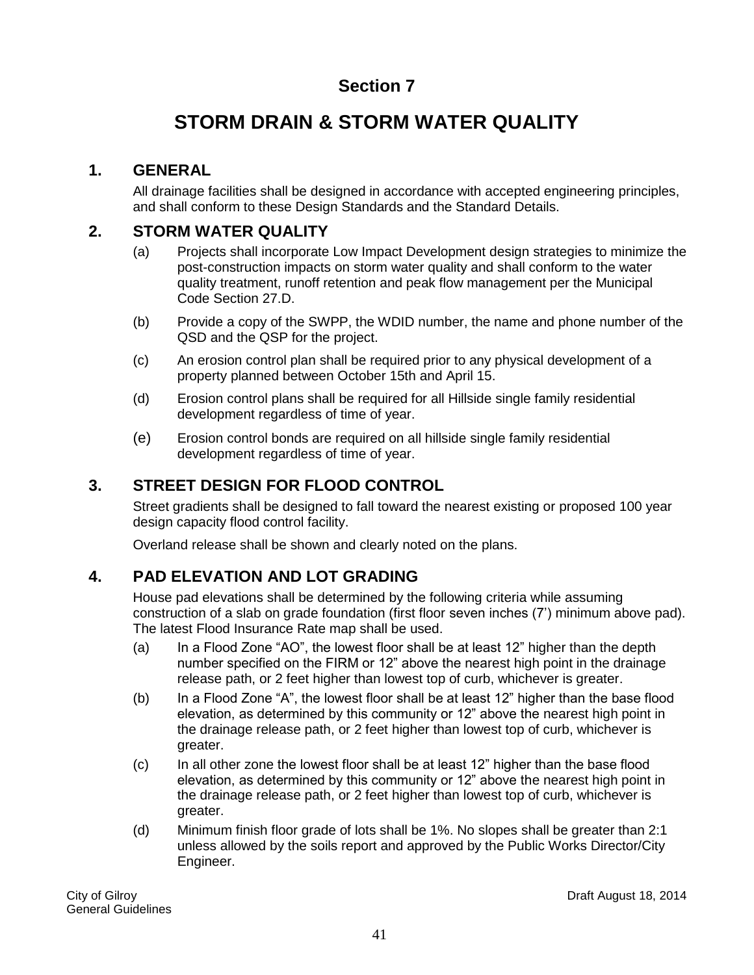# **STORM DRAIN & STORM WATER QUALITY**

# **1. GENERAL**

All drainage facilities shall be designed in accordance with accepted engineering principles, and shall conform to these Design Standards and the Standard Details.

# **2. STORM WATER QUALITY**

- (a) Projects shall incorporate Low Impact Development design strategies to minimize the post-construction impacts on storm water quality and shall conform to the water quality treatment, runoff retention and peak flow management per the Municipal Code Section 27.D.
- (b) Provide a copy of the SWPP, the WDID number, the name and phone number of the QSD and the QSP for the project.
- (c) An erosion control plan shall be required prior to any physical development of a property planned between October 15th and April 15.
- (d) Erosion control plans shall be required for all Hillside single family residential development regardless of time of year.
- (e) Erosion control bonds are required on all hillside single family residential development regardless of time of year.

# **3. STREET DESIGN FOR FLOOD CONTROL**

Street gradients shall be designed to fall toward the nearest existing or proposed 100 year design capacity flood control facility.

Overland release shall be shown and clearly noted on the plans.

# **4. PAD ELEVATION AND LOT GRADING**

House pad elevations shall be determined by the following criteria while assuming construction of a slab on grade foundation (first floor seven inches (7') minimum above pad). The latest Flood Insurance Rate map shall be used.

- (a) In a Flood Zone "AO", the lowest floor shall be at least 12" higher than the depth number specified on the FIRM or 12" above the nearest high point in the drainage release path, or 2 feet higher than lowest top of curb, whichever is greater.
- (b) In a Flood Zone "A", the lowest floor shall be at least 12" higher than the base flood elevation, as determined by this community or 12" above the nearest high point in the drainage release path, or 2 feet higher than lowest top of curb, whichever is greater.
- (c) In all other zone the lowest floor shall be at least 12" higher than the base flood elevation, as determined by this community or 12" above the nearest high point in the drainage release path, or 2 feet higher than lowest top of curb, whichever is greater.
- (d) Minimum finish floor grade of lots shall be 1%. No slopes shall be greater than 2:1 unless allowed by the soils report and approved by the Public Works Director/City Engineer.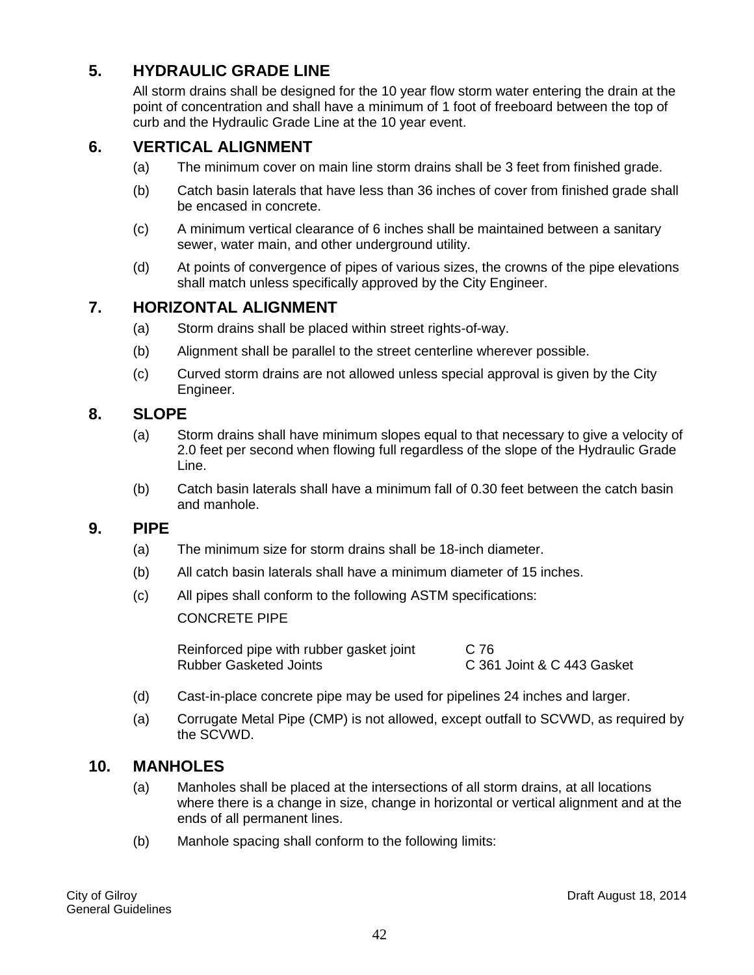# **5. HYDRAULIC GRADE LINE**

All storm drains shall be designed for the 10 year flow storm water entering the drain at the point of concentration and shall have a minimum of 1 foot of freeboard between the top of curb and the Hydraulic Grade Line at the 10 year event.

# **6. VERTICAL ALIGNMENT**

- (a) The minimum cover on main line storm drains shall be 3 feet from finished grade.
- (b) Catch basin laterals that have less than 36 inches of cover from finished grade shall be encased in concrete.
- (c) A minimum vertical clearance of 6 inches shall be maintained between a sanitary sewer, water main, and other underground utility.
- (d) At points of convergence of pipes of various sizes, the crowns of the pipe elevations shall match unless specifically approved by the City Engineer.

## **7. HORIZONTAL ALIGNMENT**

- (a) Storm drains shall be placed within street rights-of-way.
- (b) Alignment shall be parallel to the street centerline wherever possible.
- (c) Curved storm drains are not allowed unless special approval is given by the City Engineer.

### **8. SLOPE**

- (a) Storm drains shall have minimum slopes equal to that necessary to give a velocity of 2.0 feet per second when flowing full regardless of the slope of the Hydraulic Grade Line.
- (b) Catch basin laterals shall have a minimum fall of 0.30 feet between the catch basin and manhole.

#### **9. PIPE**

- (a) The minimum size for storm drains shall be 18-inch diameter.
- (b) All catch basin laterals shall have a minimum diameter of 15 inches.
- (c) All pipes shall conform to the following ASTM specifications:

CONCRETE PIPE

Reinforced pipe with rubber gasket joint C 76<br>Rubber Gasketed Joints C 36

C 361 Joint & C 443 Gasket

- (d) Cast-in-place concrete pipe may be used for pipelines 24 inches and larger.
- (a) Corrugate Metal Pipe (CMP) is not allowed, except outfall to SCVWD, as required by the SCVWD.

#### **10. MANHOLES**

- (a) Manholes shall be placed at the intersections of all storm drains, at all locations where there is a change in size, change in horizontal or vertical alignment and at the ends of all permanent lines.
- (b) Manhole spacing shall conform to the following limits: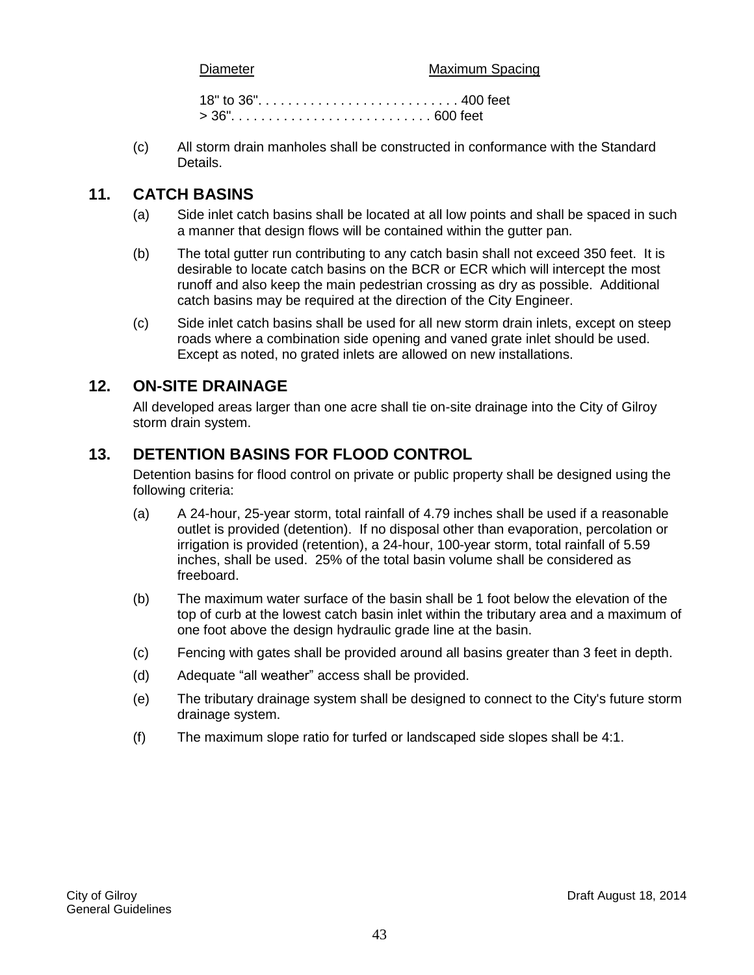Diameter Maximum Spacing

18" to 36". . . . . . . . . . . . . . . . . . . . . . . . . . . 400 feet > 36". . . . . . . . . . . . . . . . . . . . . . . . . . . 600 feet

(c) All storm drain manholes shall be constructed in conformance with the Standard Details.

## **11. CATCH BASINS**

- (a) Side inlet catch basins shall be located at all low points and shall be spaced in such a manner that design flows will be contained within the gutter pan.
- (b) The total gutter run contributing to any catch basin shall not exceed 350 feet. It is desirable to locate catch basins on the BCR or ECR which will intercept the most runoff and also keep the main pedestrian crossing as dry as possible. Additional catch basins may be required at the direction of the City Engineer.
- (c) Side inlet catch basins shall be used for all new storm drain inlets, except on steep roads where a combination side opening and vaned grate inlet should be used. Except as noted, no grated inlets are allowed on new installations.

## **12. ON-SITE DRAINAGE**

All developed areas larger than one acre shall tie on-site drainage into the City of Gilroy storm drain system.

# **13. DETENTION BASINS FOR FLOOD CONTROL**

Detention basins for flood control on private or public property shall be designed using the following criteria:

- (a) A 24-hour, 25-year storm, total rainfall of 4.79 inches shall be used if a reasonable outlet is provided (detention). If no disposal other than evaporation, percolation or irrigation is provided (retention), a 24-hour, 100-year storm, total rainfall of 5.59 inches, shall be used. 25% of the total basin volume shall be considered as freeboard.
- (b) The maximum water surface of the basin shall be 1 foot below the elevation of the top of curb at the lowest catch basin inlet within the tributary area and a maximum of one foot above the design hydraulic grade line at the basin.
- (c) Fencing with gates shall be provided around all basins greater than 3 feet in depth.
- (d) Adequate "all weather" access shall be provided.
- (e) The tributary drainage system shall be designed to connect to the City's future storm drainage system.
- (f) The maximum slope ratio for turfed or landscaped side slopes shall be 4:1.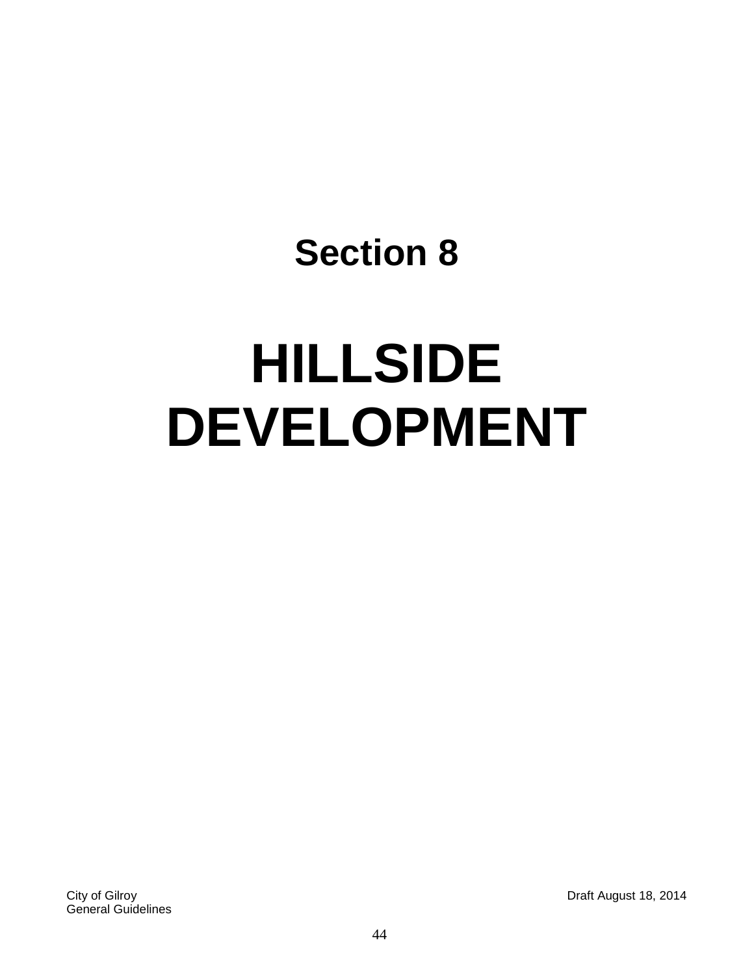# **HILLSIDE DEVELOPMENT**

City of Gilroy Draft August 18, 2014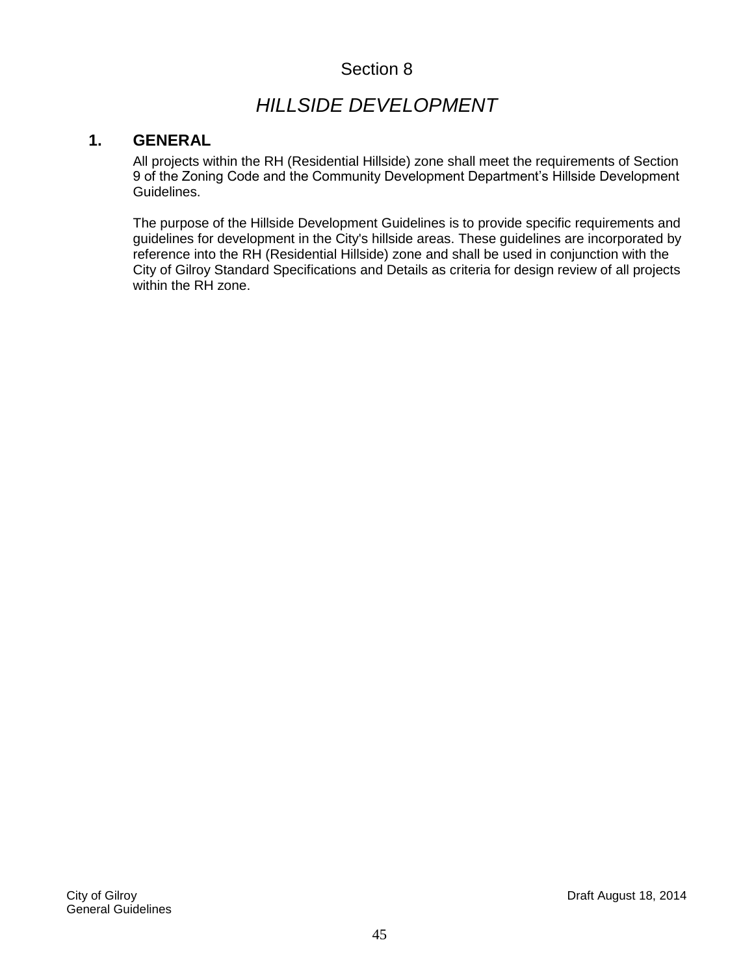# *HILLSIDE DEVELOPMENT*

# **1. GENERAL**

All projects within the RH (Residential Hillside) zone shall meet the requirements of Section 9 of the Zoning Code and the Community Development Department's Hillside Development Guidelines.

The purpose of the Hillside Development Guidelines is to provide specific requirements and guidelines for development in the City's hillside areas. These guidelines are incorporated by reference into the RH (Residential Hillside) zone and shall be used in conjunction with the City of Gilroy Standard Specifications and Details as criteria for design review of all projects within the RH zone.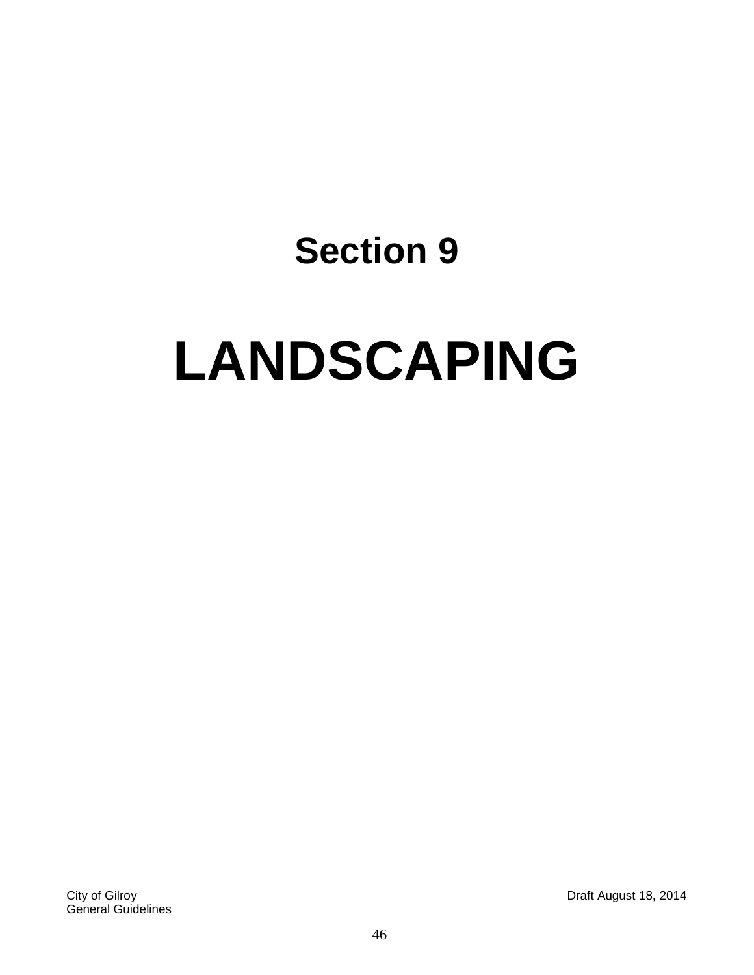# **LANDSCAPING**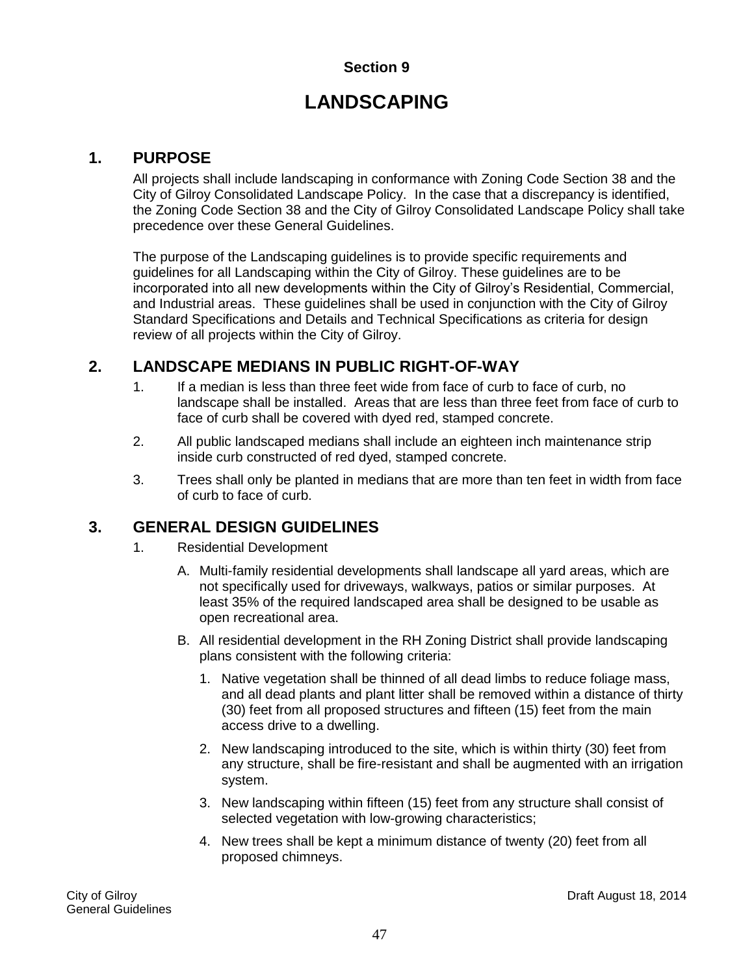# **LANDSCAPING**

# **1. PURPOSE**

All projects shall include landscaping in conformance with Zoning Code Section 38 and the City of Gilroy Consolidated Landscape Policy. In the case that a discrepancy is identified, the Zoning Code Section 38 and the City of Gilroy Consolidated Landscape Policy shall take precedence over these General Guidelines.

The purpose of the Landscaping guidelines is to provide specific requirements and guidelines for all Landscaping within the City of Gilroy. These guidelines are to be incorporated into all new developments within the City of Gilroy's Residential, Commercial, and Industrial areas. These guidelines shall be used in conjunction with the City of Gilroy Standard Specifications and Details and Technical Specifications as criteria for design review of all projects within the City of Gilroy.

# **2. LANDSCAPE MEDIANS IN PUBLIC RIGHT-OF-WAY**

- 1. If a median is less than three feet wide from face of curb to face of curb, no landscape shall be installed. Areas that are less than three feet from face of curb to face of curb shall be covered with dyed red, stamped concrete.
- 2. All public landscaped medians shall include an eighteen inch maintenance strip inside curb constructed of red dyed, stamped concrete.
- 3. Trees shall only be planted in medians that are more than ten feet in width from face of curb to face of curb.

# **3. GENERAL DESIGN GUIDELINES**

- 1. Residential Development
	- A. Multi-family residential developments shall landscape all yard areas, which are not specifically used for driveways, walkways, patios or similar purposes. At least 35% of the required landscaped area shall be designed to be usable as open recreational area.
	- B. All residential development in the RH Zoning District shall provide landscaping plans consistent with the following criteria:
		- 1. Native vegetation shall be thinned of all dead limbs to reduce foliage mass, and all dead plants and plant litter shall be removed within a distance of thirty (30) feet from all proposed structures and fifteen (15) feet from the main access drive to a dwelling.
		- 2. New landscaping introduced to the site, which is within thirty (30) feet from any structure, shall be fire-resistant and shall be augmented with an irrigation system.
		- 3. New landscaping within fifteen (15) feet from any structure shall consist of selected vegetation with low-growing characteristics;
		- 4. New trees shall be kept a minimum distance of twenty (20) feet from all proposed chimneys.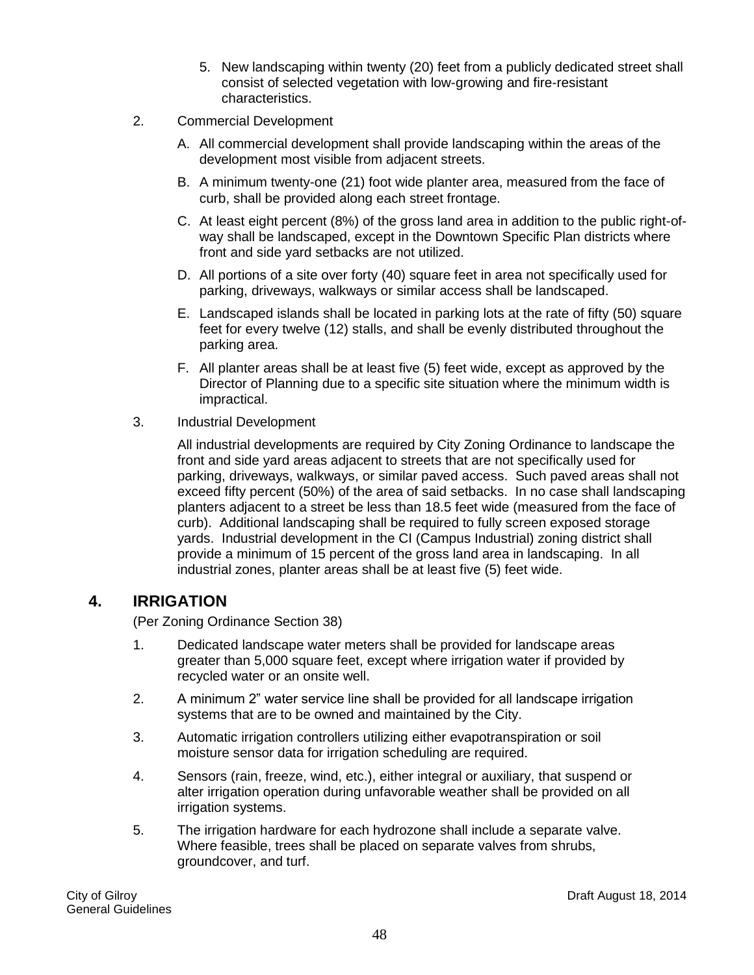- 5. New landscaping within twenty (20) feet from a publicly dedicated street shall consist of selected vegetation with low-growing and fire-resistant characteristics.
- 2. Commercial Development
	- A. All commercial development shall provide landscaping within the areas of the development most visible from adjacent streets.
	- B. A minimum twenty-one (21) foot wide planter area, measured from the face of curb, shall be provided along each street frontage.
	- C. At least eight percent (8%) of the gross land area in addition to the public right-ofway shall be landscaped, except in the Downtown Specific Plan districts where front and side yard setbacks are not utilized.
	- D. All portions of a site over forty (40) square feet in area not specifically used for parking, driveways, walkways or similar access shall be landscaped.
	- E. Landscaped islands shall be located in parking lots at the rate of fifty (50) square feet for every twelve (12) stalls, and shall be evenly distributed throughout the parking area.
	- F. All planter areas shall be at least five (5) feet wide, except as approved by the Director of Planning due to a specific site situation where the minimum width is impractical.
- 3. Industrial Development

All industrial developments are required by City Zoning Ordinance to landscape the front and side yard areas adjacent to streets that are not specifically used for parking, driveways, walkways, or similar paved access. Such paved areas shall not exceed fifty percent (50%) of the area of said setbacks. In no case shall landscaping planters adjacent to a street be less than 18.5 feet wide (measured from the face of curb). Additional landscaping shall be required to fully screen exposed storage yards. Industrial development in the CI (Campus Industrial) zoning district shall provide a minimum of 15 percent of the gross land area in landscaping. In all industrial zones, planter areas shall be at least five (5) feet wide.

## **4. IRRIGATION**

(Per Zoning Ordinance Section 38)

- 1. Dedicated landscape water meters shall be provided for landscape areas greater than 5,000 square feet, except where irrigation water if provided by recycled water or an onsite well.
- 2. A minimum 2" water service line shall be provided for all landscape irrigation systems that are to be owned and maintained by the City.
- 3. Automatic irrigation controllers utilizing either evapotranspiration or soil moisture sensor data for irrigation scheduling are required.
- 4. Sensors (rain, freeze, wind, etc.), either integral or auxiliary, that suspend or alter irrigation operation during unfavorable weather shall be provided on all irrigation systems.
- 5. The irrigation hardware for each hydrozone shall include a separate valve. Where feasible, trees shall be placed on separate valves from shrubs, groundcover, and turf.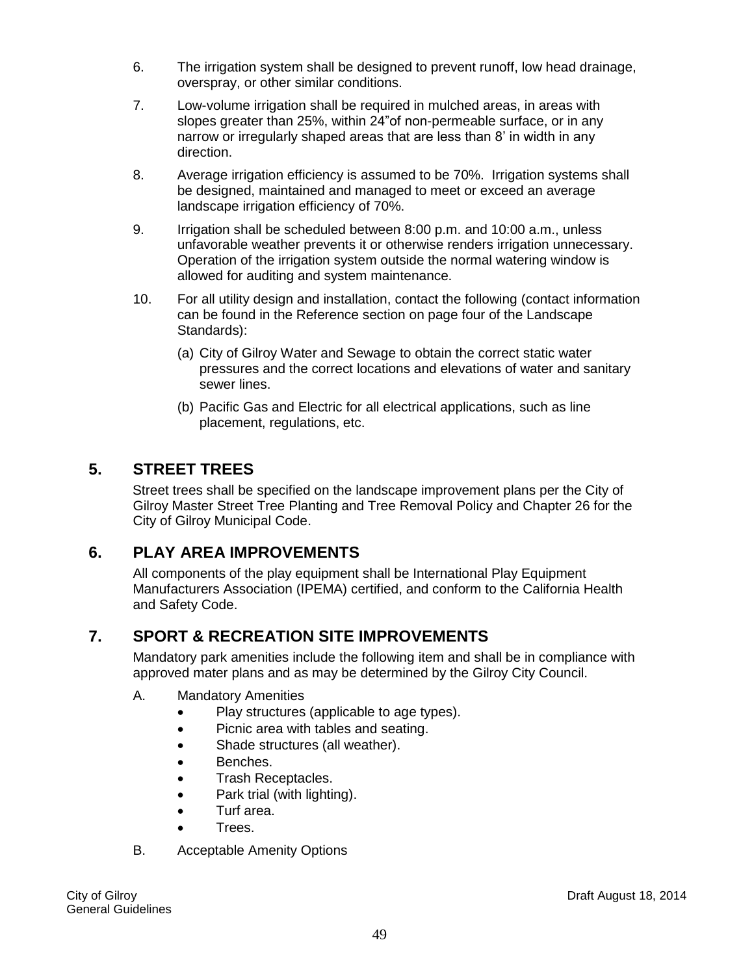- 6. The irrigation system shall be designed to prevent runoff, low head drainage, overspray, or other similar conditions.
- 7. Low-volume irrigation shall be required in mulched areas, in areas with slopes greater than 25%, within 24"of non-permeable surface, or in any narrow or irregularly shaped areas that are less than 8' in width in any direction.
- 8. Average irrigation efficiency is assumed to be 70%. Irrigation systems shall be designed, maintained and managed to meet or exceed an average landscape irrigation efficiency of 70%.
- 9. Irrigation shall be scheduled between 8:00 p.m. and 10:00 a.m., unless unfavorable weather prevents it or otherwise renders irrigation unnecessary. Operation of the irrigation system outside the normal watering window is allowed for auditing and system maintenance.
- 10. For all utility design and installation, contact the following (contact information can be found in the Reference section on page four of the Landscape Standards):
	- (a) City of Gilroy Water and Sewage to obtain the correct static water pressures and the correct locations and elevations of water and sanitary sewer lines.
	- (b) Pacific Gas and Electric for all electrical applications, such as line placement, regulations, etc.

# **5. STREET TREES**

Street trees shall be specified on the landscape improvement plans per the City of Gilroy Master Street Tree Planting and Tree Removal Policy and Chapter 26 for the City of Gilroy Municipal Code.

# **6. PLAY AREA IMPROVEMENTS**

All components of the play equipment shall be International Play Equipment Manufacturers Association (IPEMA) certified, and conform to the California Health and Safety Code.

# **7. SPORT & RECREATION SITE IMPROVEMENTS**

Mandatory park amenities include the following item and shall be in compliance with approved mater plans and as may be determined by the Gilroy City Council.

- A. Mandatory Amenities
	- Play structures (applicable to age types).
	- Picnic area with tables and seating.
	- Shade structures (all weather).
	- **•** Benches.
	- Trash Receptacles.
	- Park trial (with lighting).
	- Turf area.
	- **•** Trees.
- B. Acceptable Amenity Options

General Guidelines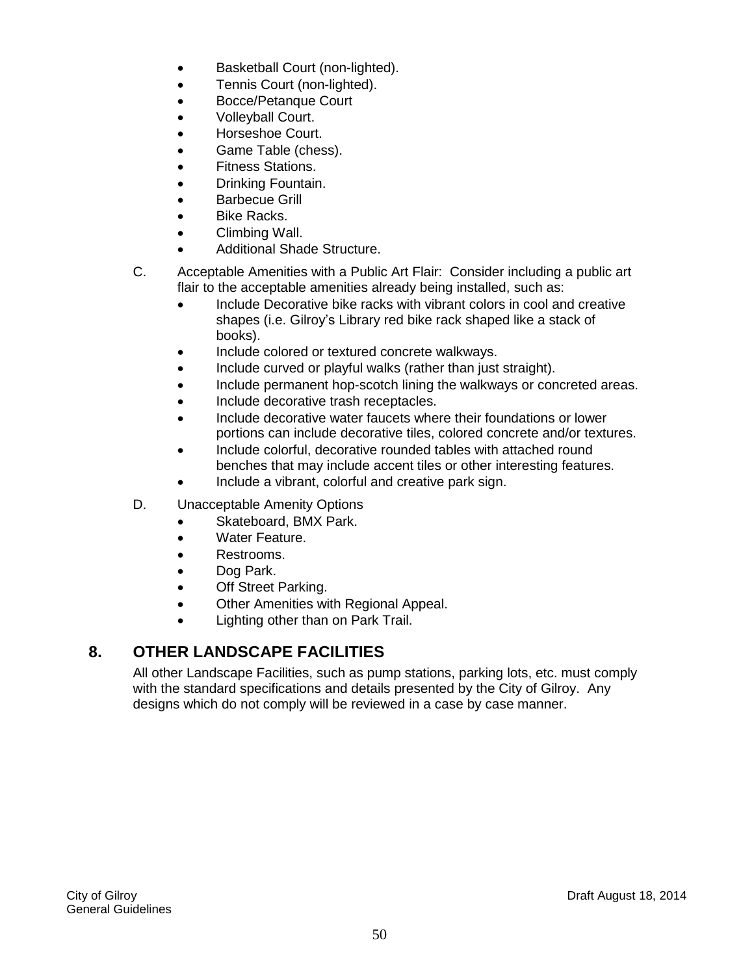- Basketball Court (non-lighted).
- Tennis Court (non-lighted).
- Bocce/Petanque Court
- Volleyball Court.
- Horseshoe Court.
- Game Table (chess).
- Fitness Stations.
- Drinking Fountain.
- Barbecue Grill
- Bike Racks.
- Climbing Wall.
- Additional Shade Structure.
- C. Acceptable Amenities with a Public Art Flair: Consider including a public art flair to the acceptable amenities already being installed, such as:
	- Include Decorative bike racks with vibrant colors in cool and creative shapes (i.e. Gilroy's Library red bike rack shaped like a stack of books).
	- Include colored or textured concrete walkways.
	- Include curved or playful walks (rather than just straight).
	- Include permanent hop-scotch lining the walkways or concreted areas.
	- Include decorative trash receptacles.
	- Include decorative water faucets where their foundations or lower portions can include decorative tiles, colored concrete and/or textures.
	- Include colorful, decorative rounded tables with attached round benches that may include accent tiles or other interesting features.
	- Include a vibrant, colorful and creative park sign.
- D. Unacceptable Amenity Options
	- Skateboard, BMX Park.
		- Water Feature.
		- Restrooms.
		- Dog Park.
		- Off Street Parking.
		- Other Amenities with Regional Appeal.
		- Lighting other than on Park Trail.

# **8. OTHER LANDSCAPE FACILITIES**

All other Landscape Facilities, such as pump stations, parking lots, etc. must comply with the standard specifications and details presented by the City of Gilroy. Any designs which do not comply will be reviewed in a case by case manner.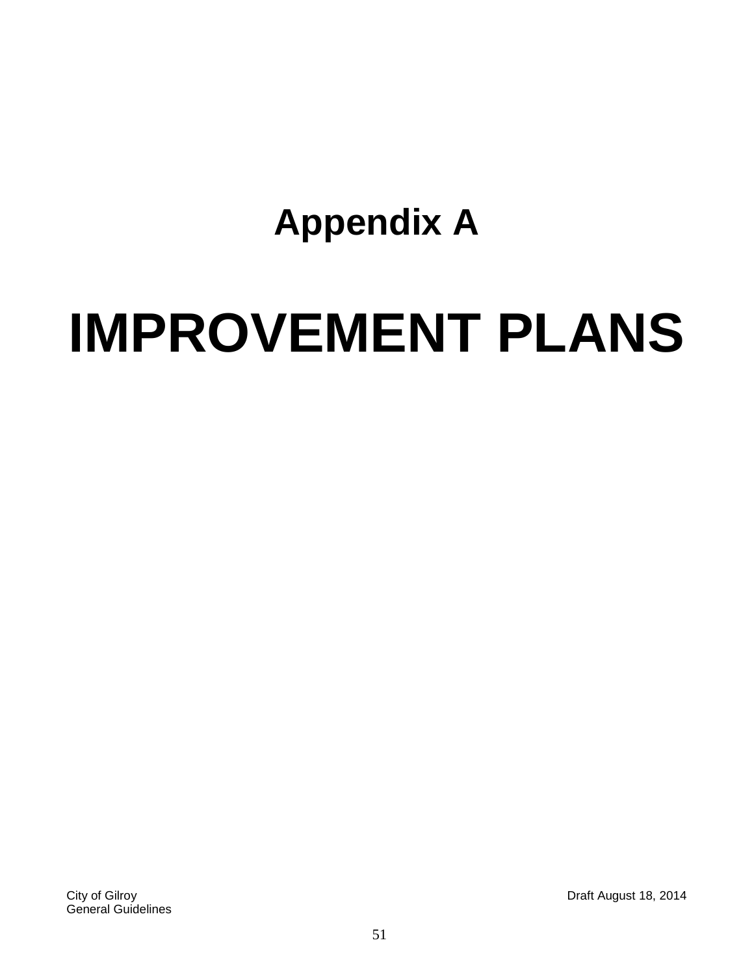# **Appendix A**

# **IMPROVEMENT PLANS**

City of Gilroy Draft August 18, 2014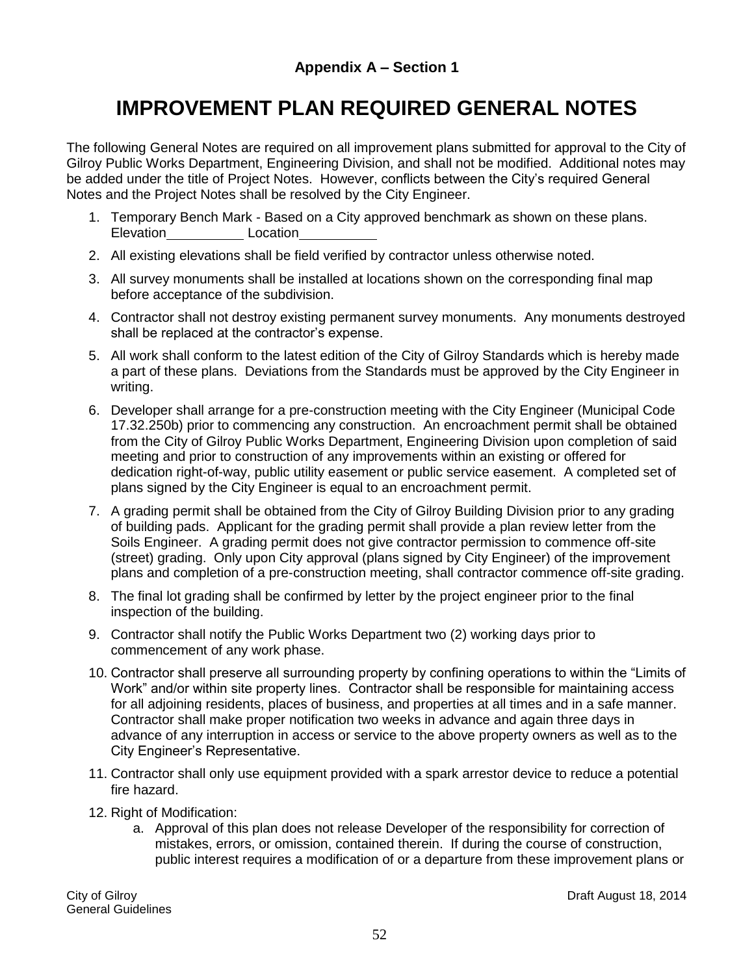# **IMPROVEMENT PLAN REQUIRED GENERAL NOTES**

The following General Notes are required on all improvement plans submitted for approval to the City of Gilroy Public Works Department, Engineering Division, and shall not be modified. Additional notes may be added under the title of Project Notes. However, conflicts between the City's required General Notes and the Project Notes shall be resolved by the City Engineer.

- 1. Temporary Bench Mark Based on a City approved benchmark as shown on these plans. Elevation Location
- 2. All existing elevations shall be field verified by contractor unless otherwise noted.
- 3. All survey monuments shall be installed at locations shown on the corresponding final map before acceptance of the subdivision.
- 4. Contractor shall not destroy existing permanent survey monuments. Any monuments destroyed shall be replaced at the contractor's expense.
- 5. All work shall conform to the latest edition of the City of Gilroy Standards which is hereby made a part of these plans. Deviations from the Standards must be approved by the City Engineer in writing.
- 6. Developer shall arrange for a pre-construction meeting with the City Engineer (Municipal Code 17.32.250b) prior to commencing any construction. An encroachment permit shall be obtained from the City of Gilroy Public Works Department, Engineering Division upon completion of said meeting and prior to construction of any improvements within an existing or offered for dedication right-of-way, public utility easement or public service easement. A completed set of plans signed by the City Engineer is equal to an encroachment permit.
- 7. A grading permit shall be obtained from the City of Gilroy Building Division prior to any grading of building pads. Applicant for the grading permit shall provide a plan review letter from the Soils Engineer. A grading permit does not give contractor permission to commence off-site (street) grading. Only upon City approval (plans signed by City Engineer) of the improvement plans and completion of a pre-construction meeting, shall contractor commence off-site grading.
- 8. The final lot grading shall be confirmed by letter by the project engineer prior to the final inspection of the building.
- 9. Contractor shall notify the Public Works Department two (2) working days prior to commencement of any work phase.
- 10. Contractor shall preserve all surrounding property by confining operations to within the "Limits of Work" and/or within site property lines. Contractor shall be responsible for maintaining access for all adjoining residents, places of business, and properties at all times and in a safe manner. Contractor shall make proper notification two weeks in advance and again three days in advance of any interruption in access or service to the above property owners as well as to the City Engineer's Representative.
- 11. Contractor shall only use equipment provided with a spark arrestor device to reduce a potential fire hazard.
- 12. Right of Modification:
	- a. Approval of this plan does not release Developer of the responsibility for correction of mistakes, errors, or omission, contained therein. If during the course of construction, public interest requires a modification of or a departure from these improvement plans or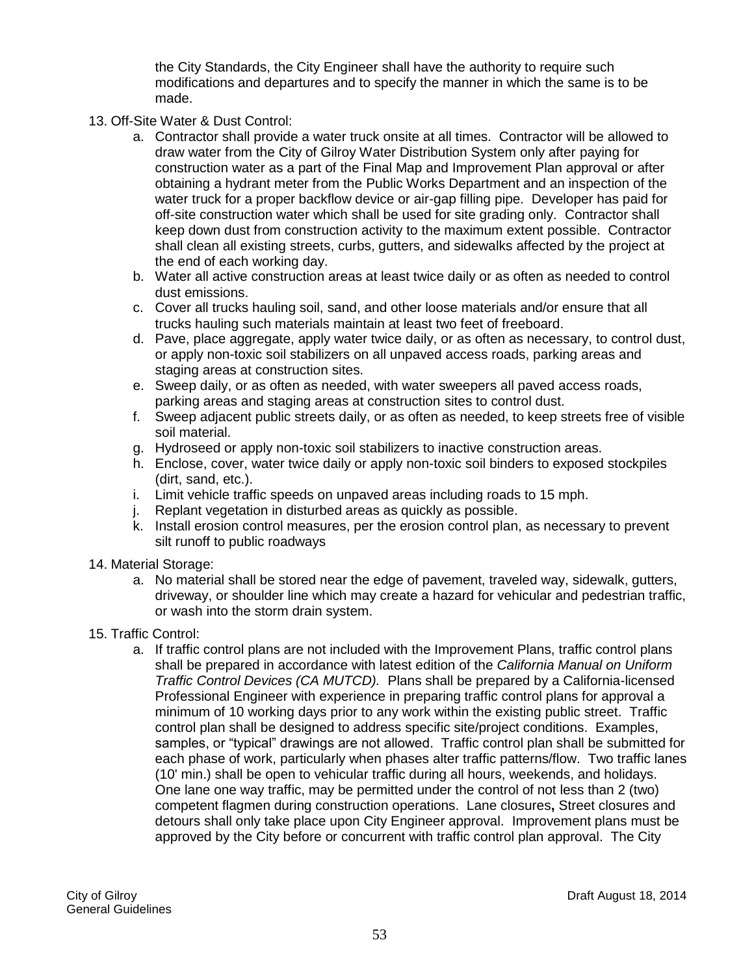the City Standards, the City Engineer shall have the authority to require such modifications and departures and to specify the manner in which the same is to be made.

- 13. Off-Site Water & Dust Control:
	- a. Contractor shall provide a water truck onsite at all times. Contractor will be allowed to draw water from the City of Gilroy Water Distribution System only after paying for construction water as a part of the Final Map and Improvement Plan approval or after obtaining a hydrant meter from the Public Works Department and an inspection of the water truck for a proper backflow device or air-gap filling pipe. Developer has paid for off-site construction water which shall be used for site grading only.Contractor shall keep down dust from construction activity to the maximum extent possible. Contractor shall clean all existing streets, curbs, gutters, and sidewalks affected by the project at the end of each working day.
	- b. Water all active construction areas at least twice daily or as often as needed to control dust emissions.
	- c. Cover all trucks hauling soil, sand, and other loose materials and/or ensure that all trucks hauling such materials maintain at least two feet of freeboard.
	- d. Pave, place aggregate, apply water twice daily, or as often as necessary, to control dust, or apply non-toxic soil stabilizers on all unpaved access roads, parking areas and staging areas at construction sites.
	- e. Sweep daily, or as often as needed, with water sweepers all paved access roads, parking areas and staging areas at construction sites to control dust.
	- f. Sweep adjacent public streets daily, or as often as needed, to keep streets free of visible soil material.
	- g. Hydroseed or apply non-toxic soil stabilizers to inactive construction areas.
	- h. Enclose, cover, water twice daily or apply non-toxic soil binders to exposed stockpiles (dirt, sand, etc.).
	- i. Limit vehicle traffic speeds on unpaved areas including roads to 15 mph.
	- j. Replant vegetation in disturbed areas as quickly as possible.
	- k. Install erosion control measures, per the erosion control plan, as necessary to prevent silt runoff to public roadways
- 14. Material Storage:
	- a. No material shall be stored near the edge of pavement, traveled way, sidewalk, gutters, driveway, or shoulder line which may create a hazard for vehicular and pedestrian traffic, or wash into the storm drain system.
- 15. Traffic Control:
	- a. If traffic control plans are not included with the Improvement Plans, traffic control plans shall be prepared in accordance with latest edition of the *California Manual on Uniform Traffic Control Devices (CA MUTCD).* Plans shall be prepared by a California-licensed Professional Engineer with experience in preparing traffic control plans for approval a minimum of 10 working days prior to any work within the existing public street. Traffic control plan shall be designed to address specific site/project conditions. Examples, samples, or "typical" drawings are not allowed. Traffic control plan shall be submitted for each phase of work, particularly when phases alter traffic patterns/flow. Two traffic lanes (10' min.) shall be open to vehicular traffic during all hours, weekends, and holidays. One lane one way traffic, may be permitted under the control of not less than 2 (two) competent flagmen during construction operations. Lane closures**,** Street closures and detours shall only take place upon City Engineer approval. Improvement plans must be approved by the City before or concurrent with traffic control plan approval. The City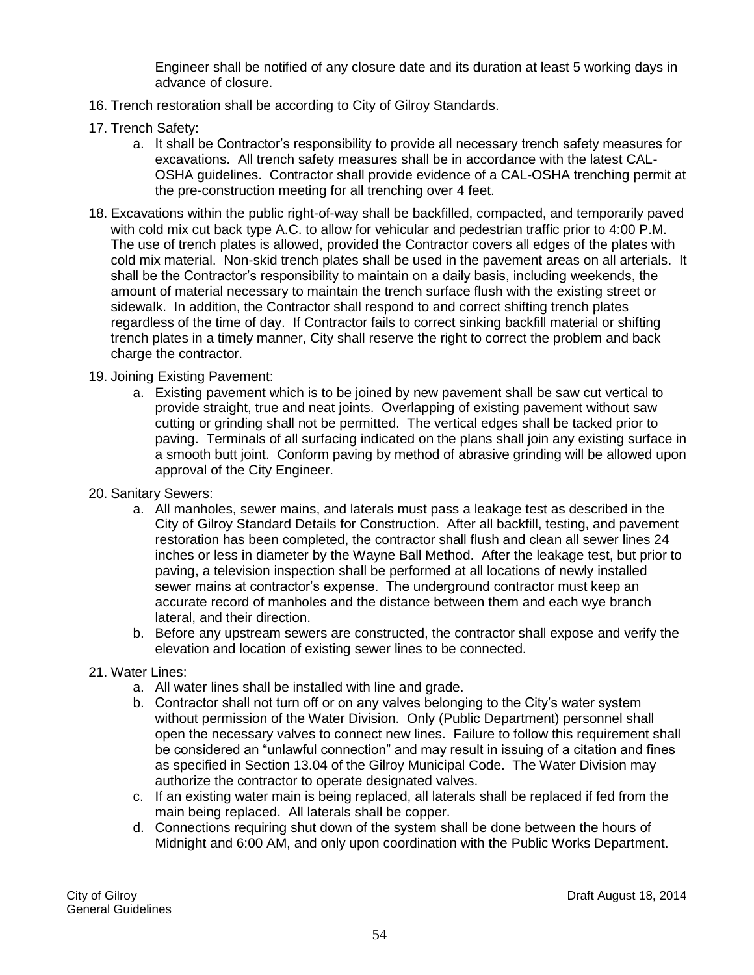Engineer shall be notified of any closure date and its duration at least 5 working days in advance of closure.

- 16. Trench restoration shall be according to City of Gilroy Standards.
- 17. Trench Safety:
	- a. It shall be Contractor's responsibility to provide all necessary trench safety measures for excavations. All trench safety measures shall be in accordance with the latest CAL-OSHA guidelines. Contractor shall provide evidence of a CAL-OSHA trenching permit at the pre-construction meeting for all trenching over 4 feet.
- 18. Excavations within the public right-of-way shall be backfilled, compacted, and temporarily paved with cold mix cut back type A.C. to allow for vehicular and pedestrian traffic prior to 4:00 P.M. The use of trench plates is allowed, provided the Contractor covers all edges of the plates with cold mix material. Non-skid trench plates shall be used in the pavement areas on all arterials.It shall be the Contractor's responsibility to maintain on a daily basis, including weekends, the amount of material necessary to maintain the trench surface flush with the existing street or sidewalk. In addition, the Contractor shall respond to and correct shifting trench plates regardless of the time of day. If Contractor fails to correct sinking backfill material or shifting trench plates in a timely manner, City shall reserve the right to correct the problem and back charge the contractor.
- 19. Joining Existing Pavement:
	- a. Existing pavement which is to be joined by new pavement shall be saw cut vertical to provide straight, true and neat joints. Overlapping of existing pavement without saw cutting or grinding shall not be permitted. The vertical edges shall be tacked prior to paving. Terminals of all surfacing indicated on the plans shall join any existing surface in a smooth butt joint. Conform paving by method of abrasive grinding will be allowed upon approval of the City Engineer.
- 20. Sanitary Sewers:
	- a. All manholes, sewer mains, and laterals must pass a leakage test as described in the City of Gilroy Standard Details for Construction. After all backfill, testing, and pavement restoration has been completed, the contractor shall flush and clean all sewer lines 24 inches or less in diameter by the Wayne Ball Method. After the leakage test, but prior to paving, a television inspection shall be performed at all locations of newly installed sewer mains at contractor's expense. The underground contractor must keep an accurate record of manholes and the distance between them and each wye branch lateral, and their direction.
	- b. Before any upstream sewers are constructed, the contractor shall expose and verify the elevation and location of existing sewer lines to be connected.
- 21. Water Lines:
	- a. All water lines shall be installed with line and grade.
	- b. Contractor shall not turn off or on any valves belonging to the City's water system without permission of the Water Division. Only (Public Department) personnel shall open the necessary valves to connect new lines. Failure to follow this requirement shall be considered an "unlawful connection" and may result in issuing of a citation and fines as specified in Section 13.04 of the Gilroy Municipal Code. The Water Division may authorize the contractor to operate designated valves.
	- c. If an existing water main is being replaced, all laterals shall be replaced if fed from the main being replaced. All laterals shall be copper.
	- d. Connections requiring shut down of the system shall be done between the hours of Midnight and 6:00 AM, and only upon coordination with the Public Works Department.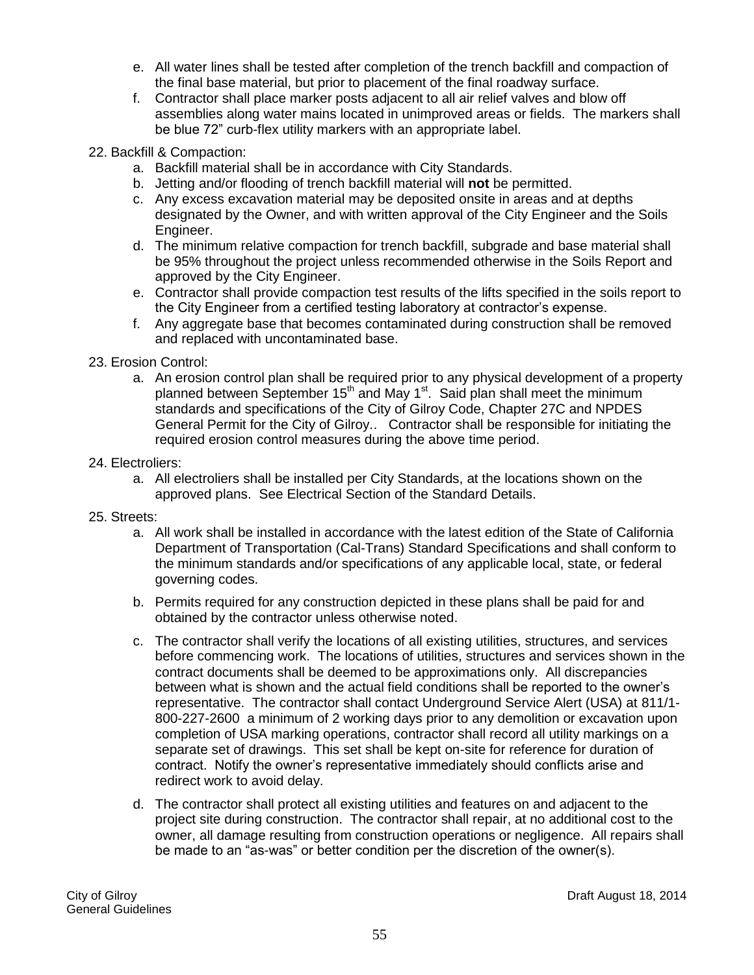- e. All water lines shall be tested after completion of the trench backfill and compaction of the final base material, but prior to placement of the final roadway surface.
- f. Contractor shall place marker posts adjacent to all air relief valves and blow off assemblies along water mains located in unimproved areas or fields. The markers shall be blue 72" curb-flex utility markers with an appropriate label.
- 22. Backfill & Compaction:
	- a. Backfill material shall be in accordance with City Standards.
	- b. Jetting and/or flooding of trench backfill material will **not** be permitted.
	- c. Any excess excavation material may be deposited onsite in areas and at depths designated by the Owner, and with written approval of the City Engineer and the Soils Engineer.
	- d. The minimum relative compaction for trench backfill, subgrade and base material shall be 95% throughout the project unless recommended otherwise in the Soils Report and approved by the City Engineer.
	- e. Contractor shall provide compaction test results of the lifts specified in the soils report to the City Engineer from a certified testing laboratory at contractor's expense.
	- f. Any aggregate base that becomes contaminated during construction shall be removed and replaced with uncontaminated base.
- 23. Erosion Control:
	- a. An erosion control plan shall be required prior to any physical development of a property planned between September  $15<sup>th</sup>$  and May 1<sup>st</sup>. Said plan shall meet the minimum standards and specifications of the City of Gilroy Code, Chapter 27C and NPDES General Permit for the City of Gilroy.. Contractor shall be responsible for initiating the required erosion control measures during the above time period.
- 24. Electroliers:
	- a. All electroliers shall be installed per City Standards, at the locations shown on the approved plans. See Electrical Section of the Standard Details.
- 25. Streets:
	- a. All work shall be installed in accordance with the latest edition of the State of California Department of Transportation (Cal-Trans) Standard Specifications and shall conform to the minimum standards and/or specifications of any applicable local, state, or federal governing codes.
	- b. Permits required for any construction depicted in these plans shall be paid for and obtained by the contractor unless otherwise noted.
	- c. The contractor shall verify the locations of all existing utilities, structures, and services before commencing work. The locations of utilities, structures and services shown in the contract documents shall be deemed to be approximations only. All discrepancies between what is shown and the actual field conditions shall be reported to the owner's representative. The contractor shall contact Underground Service Alert (USA) at 811/1- 800-227-2600 a minimum of 2 working days prior to any demolition or excavation upon completion of USA marking operations, contractor shall record all utility markings on a separate set of drawings. This set shall be kept on-site for reference for duration of contract. Notify the owner's representative immediately should conflicts arise and redirect work to avoid delay.
	- d. The contractor shall protect all existing utilities and features on and adjacent to the project site during construction. The contractor shall repair, at no additional cost to the owner, all damage resulting from construction operations or negligence. All repairs shall be made to an "as-was" or better condition per the discretion of the owner(s).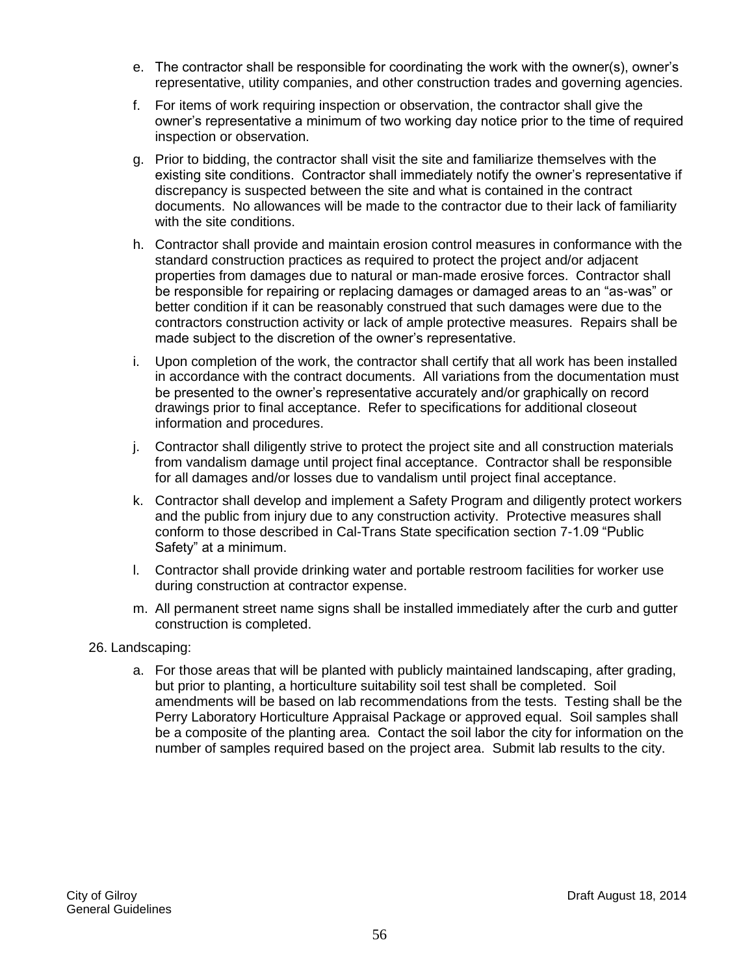- e. The contractor shall be responsible for coordinating the work with the owner(s), owner's representative, utility companies, and other construction trades and governing agencies.
- f. For items of work requiring inspection or observation, the contractor shall give the owner's representative a minimum of two working day notice prior to the time of required inspection or observation.
- g. Prior to bidding, the contractor shall visit the site and familiarize themselves with the existing site conditions. Contractor shall immediately notify the owner's representative if discrepancy is suspected between the site and what is contained in the contract documents. No allowances will be made to the contractor due to their lack of familiarity with the site conditions.
- h. Contractor shall provide and maintain erosion control measures in conformance with the standard construction practices as required to protect the project and/or adjacent properties from damages due to natural or man-made erosive forces. Contractor shall be responsible for repairing or replacing damages or damaged areas to an "as-was" or better condition if it can be reasonably construed that such damages were due to the contractors construction activity or lack of ample protective measures. Repairs shall be made subject to the discretion of the owner's representative.
- i. Upon completion of the work, the contractor shall certify that all work has been installed in accordance with the contract documents. All variations from the documentation must be presented to the owner's representative accurately and/or graphically on record drawings prior to final acceptance. Refer to specifications for additional closeout information and procedures.
- j. Contractor shall diligently strive to protect the project site and all construction materials from vandalism damage until project final acceptance. Contractor shall be responsible for all damages and/or losses due to vandalism until project final acceptance.
- k. Contractor shall develop and implement a Safety Program and diligently protect workers and the public from injury due to any construction activity. Protective measures shall conform to those described in Cal-Trans State specification section 7-1.09 "Public Safety" at a minimum.
- l. Contractor shall provide drinking water and portable restroom facilities for worker use during construction at contractor expense.
- m. All permanent street name signs shall be installed immediately after the curb and gutter construction is completed.
- 26. Landscaping:
	- a. For those areas that will be planted with publicly maintained landscaping, after grading, but prior to planting, a horticulture suitability soil test shall be completed. Soil amendments will be based on lab recommendations from the tests. Testing shall be the Perry Laboratory Horticulture Appraisal Package or approved equal. Soil samples shall be a composite of the planting area. Contact the soil labor the city for information on the number of samples required based on the project area. Submit lab results to the city.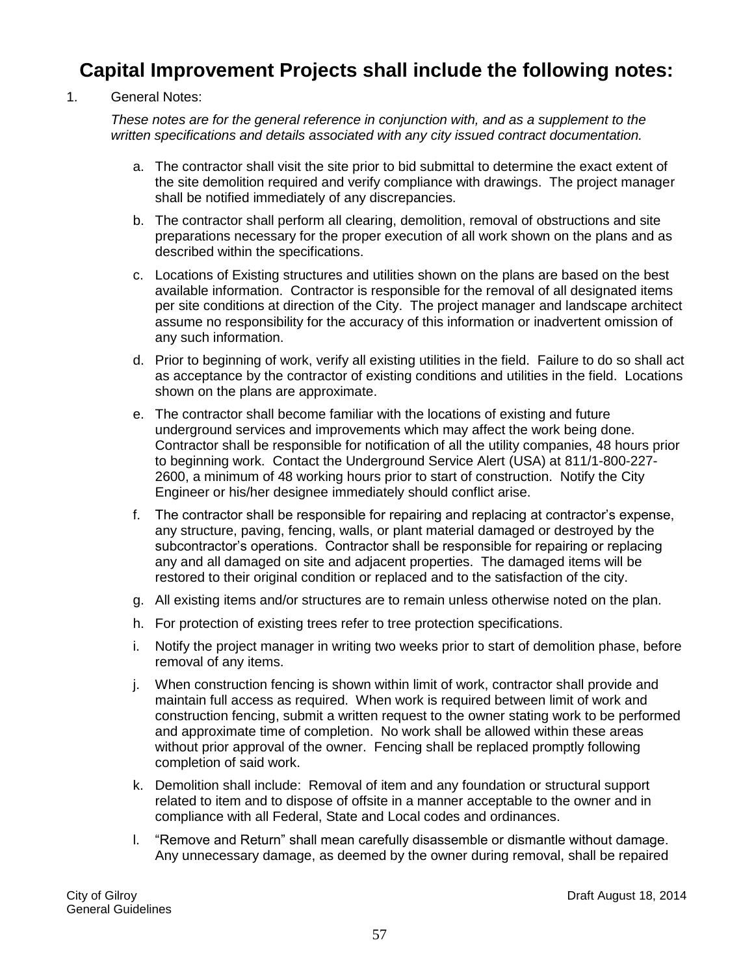# **Capital Improvement Projects shall include the following notes:**

#### 1. General Notes:

*These notes are for the general reference in conjunction with, and as a supplement to the written specifications and details associated with any city issued contract documentation.*

- a. The contractor shall visit the site prior to bid submittal to determine the exact extent of the site demolition required and verify compliance with drawings. The project manager shall be notified immediately of any discrepancies.
- b. The contractor shall perform all clearing, demolition, removal of obstructions and site preparations necessary for the proper execution of all work shown on the plans and as described within the specifications.
- c. Locations of Existing structures and utilities shown on the plans are based on the best available information. Contractor is responsible for the removal of all designated items per site conditions at direction of the City. The project manager and landscape architect assume no responsibility for the accuracy of this information or inadvertent omission of any such information.
- d. Prior to beginning of work, verify all existing utilities in the field. Failure to do so shall act as acceptance by the contractor of existing conditions and utilities in the field. Locations shown on the plans are approximate.
- e. The contractor shall become familiar with the locations of existing and future underground services and improvements which may affect the work being done. Contractor shall be responsible for notification of all the utility companies, 48 hours prior to beginning work. Contact the Underground Service Alert (USA) at 811/1-800-227- 2600, a minimum of 48 working hours prior to start of construction. Notify the City Engineer or his/her designee immediately should conflict arise.
- f. The contractor shall be responsible for repairing and replacing at contractor's expense, any structure, paving, fencing, walls, or plant material damaged or destroyed by the subcontractor's operations. Contractor shall be responsible for repairing or replacing any and all damaged on site and adjacent properties. The damaged items will be restored to their original condition or replaced and to the satisfaction of the city.
- g. All existing items and/or structures are to remain unless otherwise noted on the plan.
- h. For protection of existing trees refer to tree protection specifications.
- i. Notify the project manager in writing two weeks prior to start of demolition phase, before removal of any items.
- j. When construction fencing is shown within limit of work, contractor shall provide and maintain full access as required. When work is required between limit of work and construction fencing, submit a written request to the owner stating work to be performed and approximate time of completion. No work shall be allowed within these areas without prior approval of the owner. Fencing shall be replaced promptly following completion of said work.
- k. Demolition shall include: Removal of item and any foundation or structural support related to item and to dispose of offsite in a manner acceptable to the owner and in compliance with all Federal, State and Local codes and ordinances.
- l. "Remove and Return" shall mean carefully disassemble or dismantle without damage. Any unnecessary damage, as deemed by the owner during removal, shall be repaired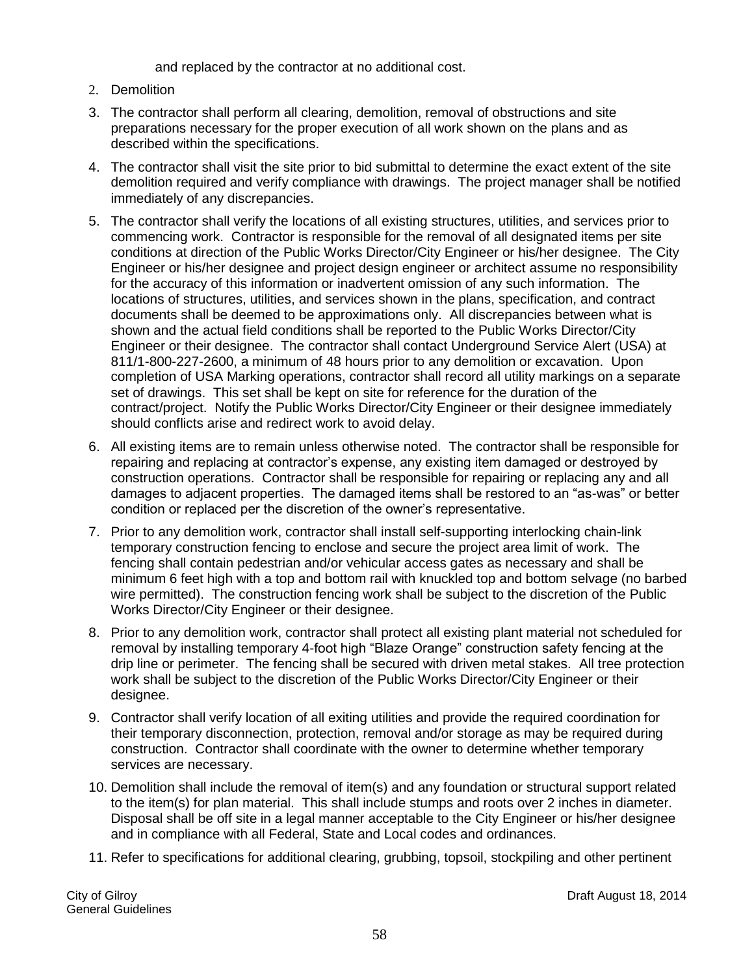and replaced by the contractor at no additional cost.

- 2. Demolition
- 3. The contractor shall perform all clearing, demolition, removal of obstructions and site preparations necessary for the proper execution of all work shown on the plans and as described within the specifications.
- 4. The contractor shall visit the site prior to bid submittal to determine the exact extent of the site demolition required and verify compliance with drawings. The project manager shall be notified immediately of any discrepancies.
- 5. The contractor shall verify the locations of all existing structures, utilities, and services prior to commencing work. Contractor is responsible for the removal of all designated items per site conditions at direction of the Public Works Director/City Engineer or his/her designee. The City Engineer or his/her designee and project design engineer or architect assume no responsibility for the accuracy of this information or inadvertent omission of any such information. The locations of structures, utilities, and services shown in the plans, specification, and contract documents shall be deemed to be approximations only. All discrepancies between what is shown and the actual field conditions shall be reported to the Public Works Director/City Engineer or their designee. The contractor shall contact Underground Service Alert (USA) at 811/1-800-227-2600, a minimum of 48 hours prior to any demolition or excavation. Upon completion of USA Marking operations, contractor shall record all utility markings on a separate set of drawings. This set shall be kept on site for reference for the duration of the contract/project. Notify the Public Works Director/City Engineer or their designee immediately should conflicts arise and redirect work to avoid delay.
- 6. All existing items are to remain unless otherwise noted. The contractor shall be responsible for repairing and replacing at contractor's expense, any existing item damaged or destroyed by construction operations. Contractor shall be responsible for repairing or replacing any and all damages to adjacent properties. The damaged items shall be restored to an "as-was" or better condition or replaced per the discretion of the owner's representative.
- 7. Prior to any demolition work, contractor shall install self-supporting interlocking chain-link temporary construction fencing to enclose and secure the project area limit of work. The fencing shall contain pedestrian and/or vehicular access gates as necessary and shall be minimum 6 feet high with a top and bottom rail with knuckled top and bottom selvage (no barbed wire permitted). The construction fencing work shall be subject to the discretion of the Public Works Director/City Engineer or their designee.
- 8. Prior to any demolition work, contractor shall protect all existing plant material not scheduled for removal by installing temporary 4-foot high "Blaze Orange" construction safety fencing at the drip line or perimeter. The fencing shall be secured with driven metal stakes. All tree protection work shall be subject to the discretion of the Public Works Director/City Engineer or their designee.
- 9. Contractor shall verify location of all exiting utilities and provide the required coordination for their temporary disconnection, protection, removal and/or storage as may be required during construction. Contractor shall coordinate with the owner to determine whether temporary services are necessary.
- 10. Demolition shall include the removal of item(s) and any foundation or structural support related to the item(s) for plan material. This shall include stumps and roots over 2 inches in diameter. Disposal shall be off site in a legal manner acceptable to the City Engineer or his/her designee and in compliance with all Federal, State and Local codes and ordinances.
- 11. Refer to specifications for additional clearing, grubbing, topsoil, stockpiling and other pertinent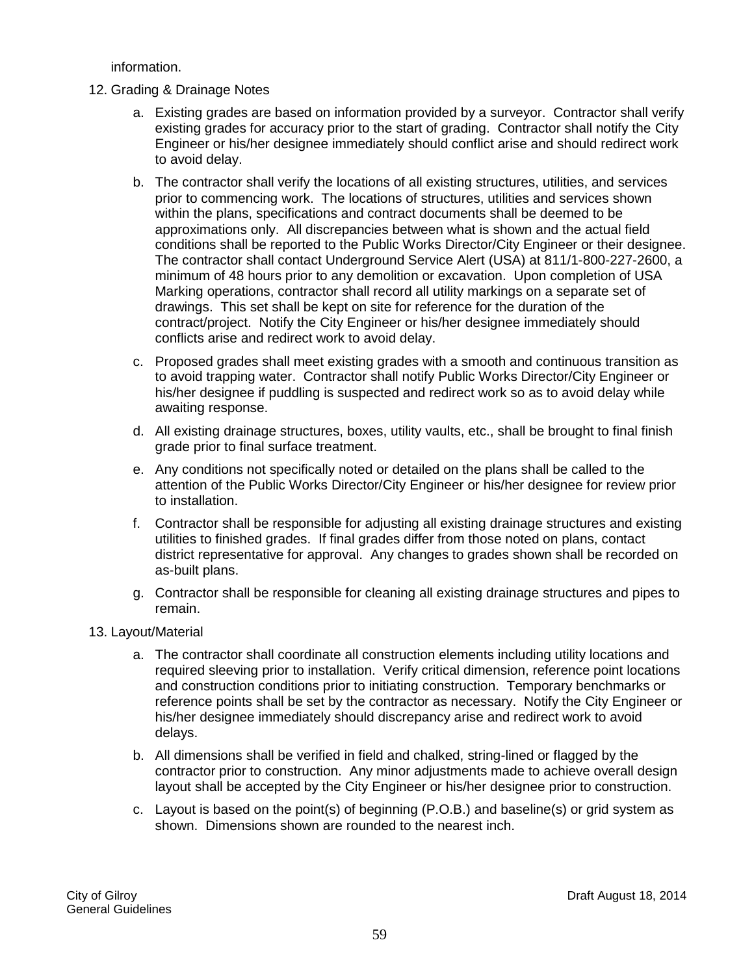information.

- 12. Grading & Drainage Notes
	- a. Existing grades are based on information provided by a surveyor. Contractor shall verify existing grades for accuracy prior to the start of grading. Contractor shall notify the City Engineer or his/her designee immediately should conflict arise and should redirect work to avoid delay.
	- b. The contractor shall verify the locations of all existing structures, utilities, and services prior to commencing work. The locations of structures, utilities and services shown within the plans, specifications and contract documents shall be deemed to be approximations only. All discrepancies between what is shown and the actual field conditions shall be reported to the Public Works Director/City Engineer or their designee. The contractor shall contact Underground Service Alert (USA) at 811/1-800-227-2600, a minimum of 48 hours prior to any demolition or excavation. Upon completion of USA Marking operations, contractor shall record all utility markings on a separate set of drawings. This set shall be kept on site for reference for the duration of the contract/project. Notify the City Engineer or his/her designee immediately should conflicts arise and redirect work to avoid delay.
	- c. Proposed grades shall meet existing grades with a smooth and continuous transition as to avoid trapping water. Contractor shall notify Public Works Director/City Engineer or his/her designee if puddling is suspected and redirect work so as to avoid delay while awaiting response.
	- d. All existing drainage structures, boxes, utility vaults, etc., shall be brought to final finish grade prior to final surface treatment.
	- e. Any conditions not specifically noted or detailed on the plans shall be called to the attention of the Public Works Director/City Engineer or his/her designee for review prior to installation.
	- f. Contractor shall be responsible for adjusting all existing drainage structures and existing utilities to finished grades. If final grades differ from those noted on plans, contact district representative for approval. Any changes to grades shown shall be recorded on as-built plans.
	- g. Contractor shall be responsible for cleaning all existing drainage structures and pipes to remain.
- 13. Layout/Material
	- a. The contractor shall coordinate all construction elements including utility locations and required sleeving prior to installation. Verify critical dimension, reference point locations and construction conditions prior to initiating construction. Temporary benchmarks or reference points shall be set by the contractor as necessary. Notify the City Engineer or his/her designee immediately should discrepancy arise and redirect work to avoid delays.
	- b. All dimensions shall be verified in field and chalked, string-lined or flagged by the contractor prior to construction. Any minor adjustments made to achieve overall design layout shall be accepted by the City Engineer or his/her designee prior to construction.
	- c. Layout is based on the point(s) of beginning (P.O.B.) and baseline(s) or grid system as shown. Dimensions shown are rounded to the nearest inch.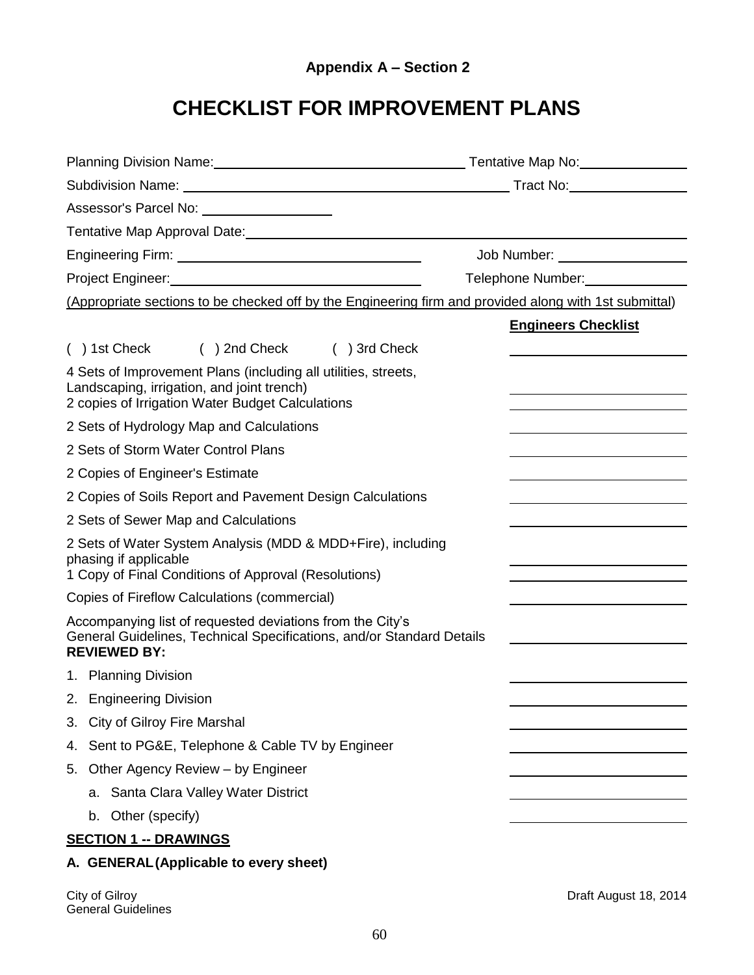# **CHECKLIST FOR IMPROVEMENT PLANS**

| Planning Division Name: Name: Name and Allen Contract Contract Contract Contract Contract Contract Contract Co                                                                                                                |                                |
|-------------------------------------------------------------------------------------------------------------------------------------------------------------------------------------------------------------------------------|--------------------------------|
|                                                                                                                                                                                                                               |                                |
| Assessor's Parcel No: \\contact \\contact \\contact \\contact \\contact \\contact \\contact \\contact \\contact \\contact \\contact \\contact \\contact \\contact \\contact \\contact \\contact \\contact \\contact \\contact |                                |
|                                                                                                                                                                                                                               |                                |
|                                                                                                                                                                                                                               | Job Number: __________________ |
|                                                                                                                                                                                                                               | Telephone Number:              |
| (Appropriate sections to be checked off by the Engineering firm and provided along with 1st submittal)                                                                                                                        |                                |
|                                                                                                                                                                                                                               | <b>Engineers Checklist</b>     |
| () 1st Check () 2nd Check () 3rd Check                                                                                                                                                                                        |                                |
| 4 Sets of Improvement Plans (including all utilities, streets,<br>Landscaping, irrigation, and joint trench)<br>2 copies of Irrigation Water Budget Calculations                                                              |                                |
| 2 Sets of Hydrology Map and Calculations                                                                                                                                                                                      |                                |
| 2 Sets of Storm Water Control Plans                                                                                                                                                                                           |                                |
| 2 Copies of Engineer's Estimate                                                                                                                                                                                               |                                |
| 2 Copies of Soils Report and Pavement Design Calculations                                                                                                                                                                     |                                |
| 2 Sets of Sewer Map and Calculations                                                                                                                                                                                          |                                |
| 2 Sets of Water System Analysis (MDD & MDD+Fire), including<br>phasing if applicable<br>1 Copy of Final Conditions of Approval (Resolutions)                                                                                  |                                |
| Copies of Fireflow Calculations (commercial)                                                                                                                                                                                  |                                |
| Accompanying list of requested deviations from the City's<br>General Guidelines, Technical Specifications, and/or Standard Details<br><b>REVIEWED BY:</b>                                                                     |                                |
| 1. Planning Division                                                                                                                                                                                                          |                                |
| 2. Engineering Division                                                                                                                                                                                                       |                                |
| <b>City of Gilroy Fire Marshal</b><br>3.                                                                                                                                                                                      |                                |
| Sent to PG&E, Telephone & Cable TV by Engineer<br>4.                                                                                                                                                                          |                                |
| 5. Other Agency Review - by Engineer                                                                                                                                                                                          |                                |
| a. Santa Clara Valley Water District                                                                                                                                                                                          |                                |
| b. Other (specify)                                                                                                                                                                                                            |                                |
| <b>SECTION 1 -- DRAWINGS</b>                                                                                                                                                                                                  |                                |
| A. GENERAL (Applicable to every sheet)                                                                                                                                                                                        |                                |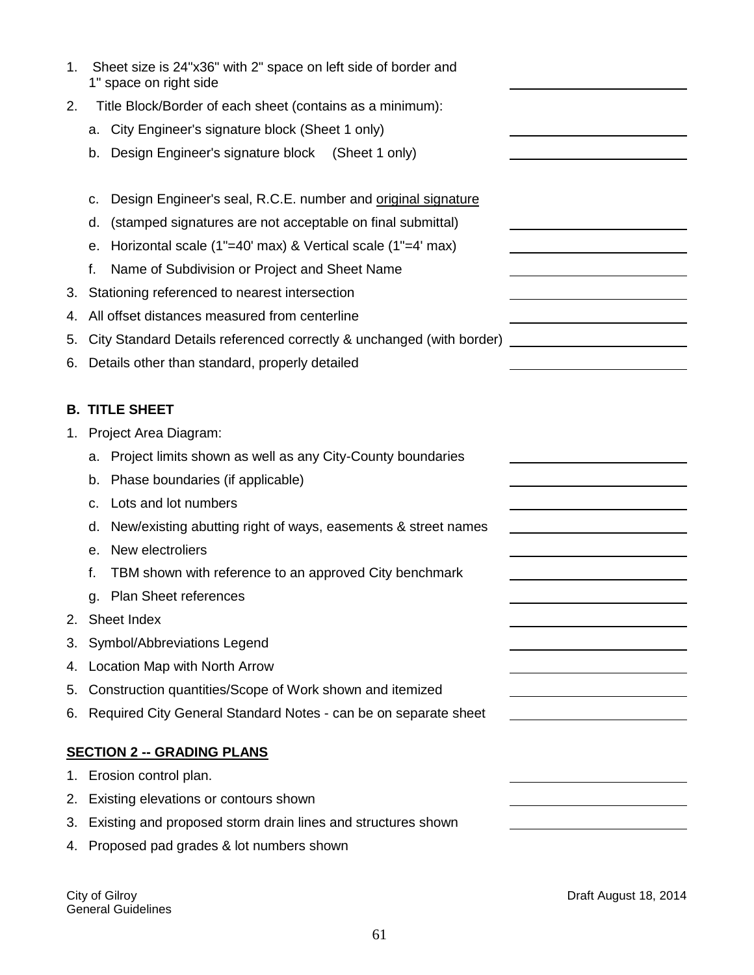| 1. | Sheet size is 24"x36" with 2" space on left side of border and<br>1" space on right side |                                                   |
|----|------------------------------------------------------------------------------------------|---------------------------------------------------|
| 2. | Title Block/Border of each sheet (contains as a minimum):                                |                                                   |
|    | City Engineer's signature block (Sheet 1 only)<br>а.                                     |                                                   |
|    | Design Engineer's signature block (Sheet 1 only)<br>b.                                   |                                                   |
|    |                                                                                          |                                                   |
|    | Design Engineer's seal, R.C.E. number and original signature<br>c.                       |                                                   |
|    | (stamped signatures are not acceptable on final submittal)<br>d.                         |                                                   |
|    | Horizontal scale (1"=40' max) & Vertical scale (1"=4' max)<br>е.                         |                                                   |
|    | f.<br>Name of Subdivision or Project and Sheet Name                                      |                                                   |
| 3. | Stationing referenced to nearest intersection                                            |                                                   |
| 4. | All offset distances measured from centerline                                            |                                                   |
| 5. | City Standard Details referenced correctly & unchanged (with border)                     | <u> 1989 - Johann Barbara, martxa alemaniar a</u> |
| 6. | Details other than standard, properly detailed                                           |                                                   |
|    |                                                                                          |                                                   |
| В. | <b>TITLE SHEET</b>                                                                       |                                                   |
|    | 1. Project Area Diagram:                                                                 |                                                   |
|    | Project limits shown as well as any City-County boundaries<br>а.                         |                                                   |
|    | Phase boundaries (if applicable)<br>b.                                                   |                                                   |
|    | Lots and lot numbers<br>c.                                                               |                                                   |
|    | New/existing abutting right of ways, easements & street names<br>d.                      |                                                   |
|    | New electroliers<br>е.                                                                   |                                                   |
|    | f.<br>TBM shown with reference to an approved City benchmark                             |                                                   |
|    | <b>Plan Sheet references</b><br>g.                                                       |                                                   |
| 2. | Sheet Index                                                                              |                                                   |
| 3. | Symbol/Abbreviations Legend                                                              |                                                   |
| 4. | Location Map with North Arrow                                                            |                                                   |
| 5. | Construction quantities/Scope of Work shown and itemized                                 |                                                   |
| 6. | Required City General Standard Notes - can be on separate sheet                          |                                                   |
|    |                                                                                          |                                                   |
|    | <b>SECTION 2 -- GRADING PLANS</b>                                                        |                                                   |
| 1. | Erosion control plan.                                                                    |                                                   |
| 2. | Existing elevations or contours shown                                                    |                                                   |
| З. | Existing and proposed storm drain lines and structures shown                             |                                                   |
| 4. | Proposed pad grades & lot numbers shown                                                  |                                                   |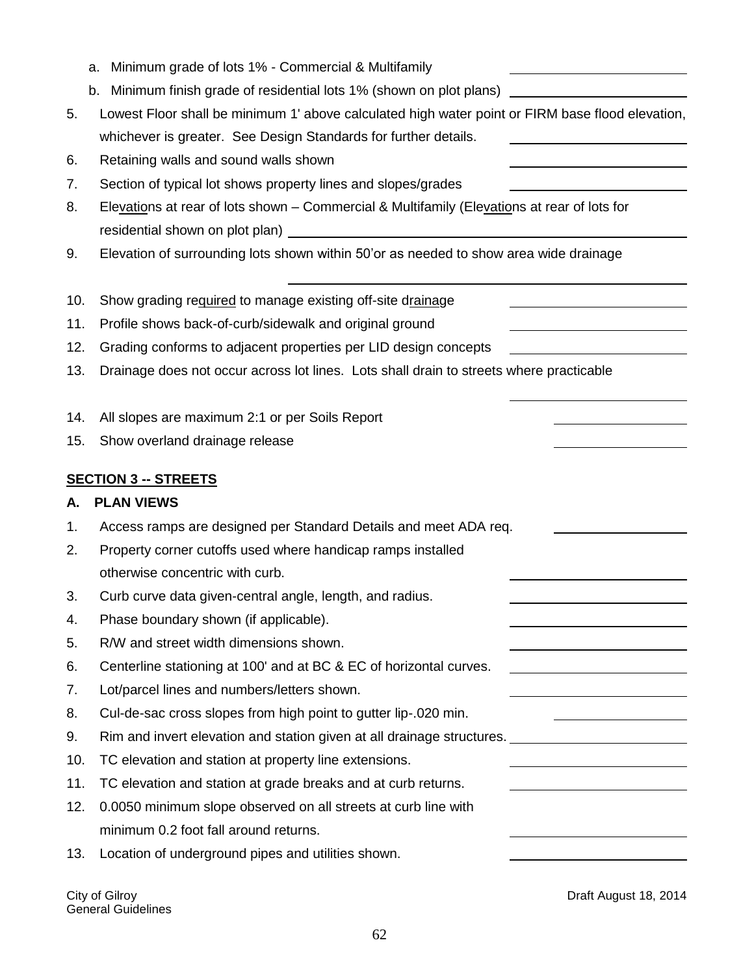|     | Minimum grade of lots 1% - Commercial & Multifamily<br>a.                                        |
|-----|--------------------------------------------------------------------------------------------------|
|     | Minimum finish grade of residential lots 1% (shown on plot plans)<br>b.                          |
| 5.  | Lowest Floor shall be minimum 1' above calculated high water point or FIRM base flood elevation, |
|     | whichever is greater. See Design Standards for further details.                                  |
| 6.  | Retaining walls and sound walls shown                                                            |
| 7.  | Section of typical lot shows property lines and slopes/grades                                    |
| 8.  | Elevations at rear of lots shown - Commercial & Multifamily (Elevations at rear of lots for      |
|     |                                                                                                  |
| 9.  | Elevation of surrounding lots shown within 50'or as needed to show area wide drainage            |
| 10. | Show grading required to manage existing off-site drainage                                       |
| 11. | Profile shows back-of-curb/sidewalk and original ground                                          |
| 12. | Grading conforms to adjacent properties per LID design concepts                                  |
| 13. | Drainage does not occur across lot lines. Lots shall drain to streets where practicable          |
| 14. | All slopes are maximum 2:1 or per Soils Report                                                   |
| 15. | Show overland drainage release                                                                   |
|     | <b>SECTION 3 -- STREETS</b>                                                                      |
| А.  | <b>PLAN VIEWS</b>                                                                                |
| 1.  | Access ramps are designed per Standard Details and meet ADA req.                                 |
| 2.  | Property corner cutoffs used where handicap ramps installed                                      |
|     | otherwise concentric with curb.                                                                  |
| 3.  | Curb curve data given-central angle, length, and radius.                                         |
| 4.  | Phase boundary shown (if applicable).                                                            |
| 5.  | R/W and street width dimensions shown.                                                           |
| 6.  | Centerline stationing at 100' and at BC & EC of horizontal curves.                               |
| 7.  | Lot/parcel lines and numbers/letters shown.                                                      |
| 8.  | Cul-de-sac cross slopes from high point to gutter lip-.020 min.                                  |
| 9.  |                                                                                                  |
| 10. | TC elevation and station at property line extensions.                                            |
| 11. | TC elevation and station at grade breaks and at curb returns.                                    |
| 12. | 0.0050 minimum slope observed on all streets at curb line with                                   |
|     | minimum 0.2 foot fall around returns.                                                            |
| 13. |                                                                                                  |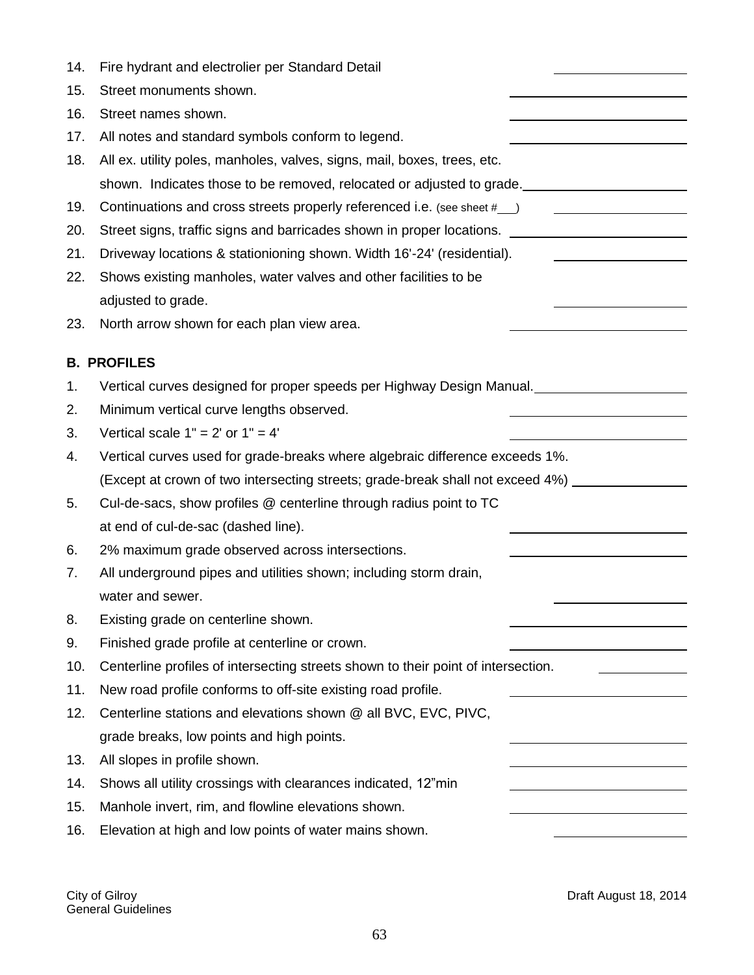| 14. | Fire hydrant and electrolier per Standard Detail                                                    |
|-----|-----------------------------------------------------------------------------------------------------|
| 15. | Street monuments shown.                                                                             |
| 16. | Street names shown.                                                                                 |
| 17. | All notes and standard symbols conform to legend.                                                   |
| 18. | All ex. utility poles, manholes, valves, signs, mail, boxes, trees, etc.                            |
|     | shown. Indicates those to be removed, relocated or adjusted to grade.                               |
| 19. | Continuations and cross streets properly referenced i.e. (see sheet #__)                            |
| 20. | Street signs, traffic signs and barricades shown in proper locations. _____________________________ |
| 21. | Driveway locations & stationioning shown. Width 16'-24' (residential).                              |
| 22. | Shows existing manholes, water valves and other facilities to be                                    |
|     | adjusted to grade.                                                                                  |
| 23. | North arrow shown for each plan view area.                                                          |
|     | <b>B. PROFILES</b>                                                                                  |
| 1.  | Vertical curves designed for proper speeds per Highway Design Manual.                               |
| 2.  | Minimum vertical curve lengths observed.                                                            |
| 3.  | Vertical scale $1" = 2'$ or $1" = 4'$                                                               |
| 4.  | Vertical curves used for grade-breaks where algebraic difference exceeds 1%.                        |
|     | (Except at crown of two intersecting streets; grade-break shall not exceed 4%) _______              |
| 5.  | Cul-de-sacs, show profiles @ centerline through radius point to TC                                  |
|     | at end of cul-de-sac (dashed line).                                                                 |
| 6.  | 2% maximum grade observed across intersections.                                                     |
| 7.  | All underground pipes and utilities shown; including storm drain,                                   |
|     | water and sewer.                                                                                    |
| 8.  | Existing grade on centerline shown.                                                                 |
| 9.  | Finished grade profile at centerline or crown.                                                      |
| 10. | Centerline profiles of intersecting streets shown to their point of intersection.                   |
| 11. | New road profile conforms to off-site existing road profile.                                        |
| 12. | Centerline stations and elevations shown @ all BVC, EVC, PIVC,                                      |
|     | grade breaks, low points and high points.                                                           |
| 13. | All slopes in profile shown.                                                                        |
| 14. | Shows all utility crossings with clearances indicated, 12"min                                       |
| 15. | Manhole invert, rim, and flowline elevations shown.                                                 |
| 16. | Elevation at high and low points of water mains shown.                                              |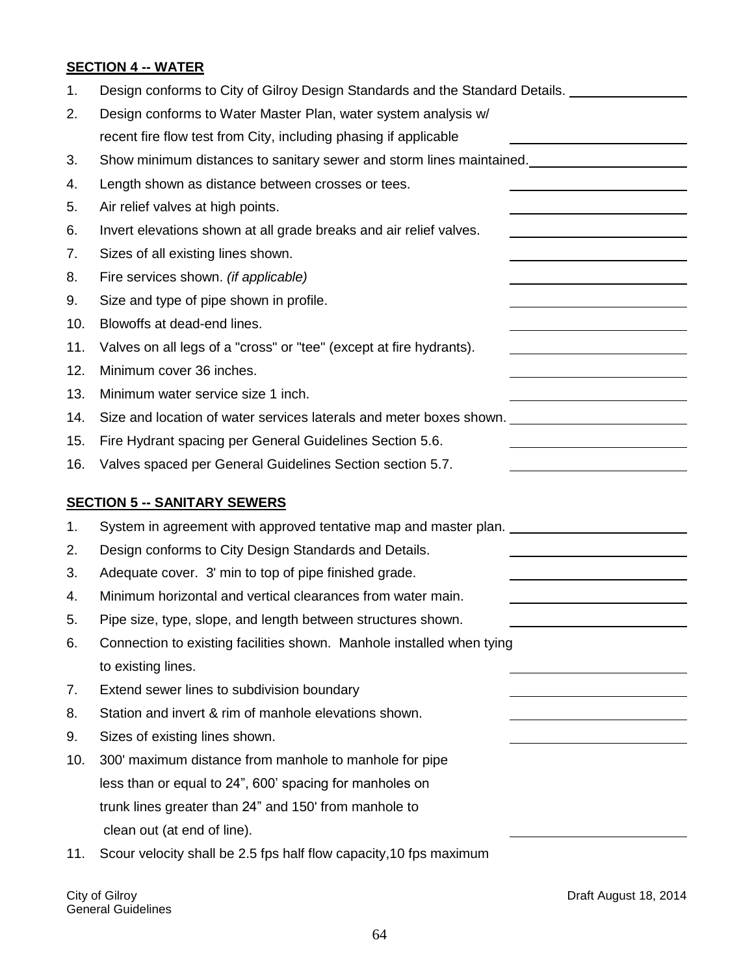# **SECTION 4 -- WATER**

| 1.  | Design conforms to City of Gilroy Design Standards and the Standard Details. |
|-----|------------------------------------------------------------------------------|
| 2.  | Design conforms to Water Master Plan, water system analysis w/               |
|     | recent fire flow test from City, including phasing if applicable             |
| 3.  |                                                                              |
| 4.  | Length shown as distance between crosses or tees.                            |
| 5.  | Air relief valves at high points.                                            |
| 6.  | Invert elevations shown at all grade breaks and air relief valves.           |
| 7.  | Sizes of all existing lines shown.                                           |
| 8.  | Fire services shown. (if applicable)                                         |
| 9.  | Size and type of pipe shown in profile.                                      |
| 10. | Blowoffs at dead-end lines.                                                  |
| 11. | Valves on all legs of a "cross" or "tee" (except at fire hydrants).          |
| 12. | Minimum cover 36 inches.                                                     |
| 13. | Minimum water service size 1 inch.                                           |
| 14. | Size and location of water services laterals and meter boxes shown.          |
| 15. | Fire Hydrant spacing per General Guidelines Section 5.6.                     |
| 16. | Valves spaced per General Guidelines Section section 5.7.                    |
|     | <b>SECTION 5 -- SANITARY SEWERS</b>                                          |
| 1.  | System in agreement with approved tentative map and master plan.             |
| 2.  | Design conforms to City Design Standards and Details.                        |
| 3.  | Adequate cover. 3' min to top of pipe finished grade.                        |
| 4.  | Minimum horizontal and vertical clearances from water main.                  |
| 5.  | Pipe size, type, slope, and length between structures shown.                 |
| 6.  | Connection to existing facilities shown. Manhole installed when tying        |
|     | to existing lines.                                                           |
| 7.  | Extend sewer lines to subdivision boundary                                   |
| 8.  | Station and invert & rim of manhole elevations shown.                        |
| 9.  | Sizes of existing lines shown.                                               |
| 10. | 300' maximum distance from manhole to manhole for pipe                       |
|     | less than or equal to 24", 600' spacing for manholes on                      |
|     | trunk lines greater than 24" and 150' from manhole to                        |
|     | clean out (at end of line).                                                  |
| 11. | Scour velocity shall be 2.5 fps half flow capacity, 10 fps maximum           |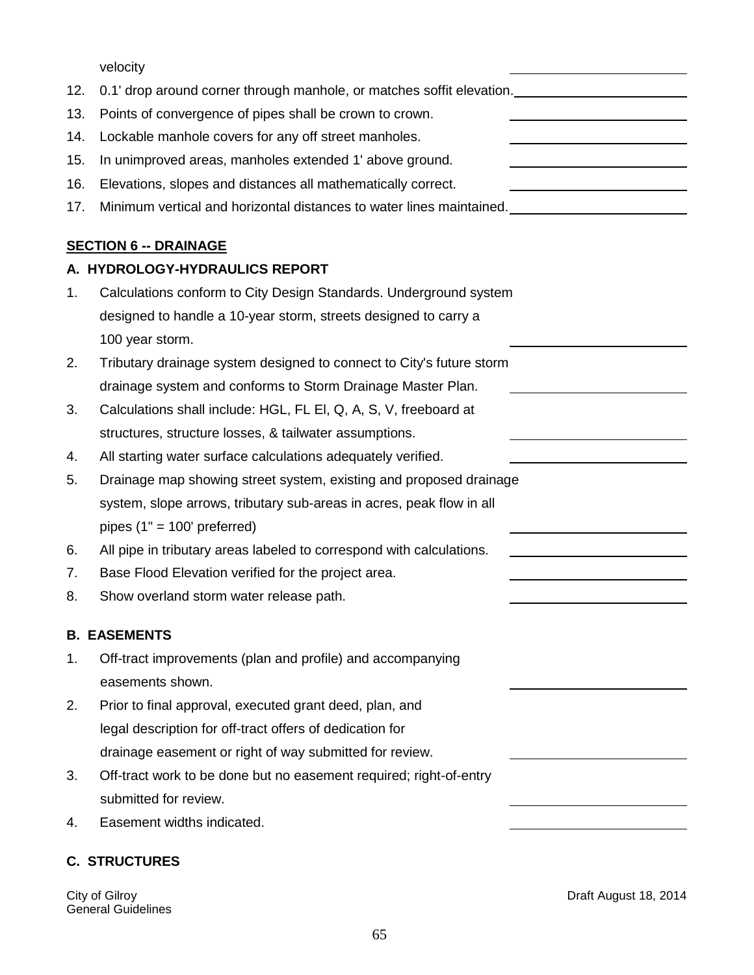velocity

| 12. | 0.1' drop around corner through manhole, or matches soffit elevation. Under the manner of the manner of the ma |                                                                                                                       |
|-----|----------------------------------------------------------------------------------------------------------------|-----------------------------------------------------------------------------------------------------------------------|
| 13. | Points of convergence of pipes shall be crown to crown.                                                        |                                                                                                                       |
| 14. | Lockable manhole covers for any off street manholes.                                                           | <u> 1980 - Johann Barn, amerikan bestemannten bestemannten av den stadt som bestemannten av den stadt som bestema</u> |
| 15. | In unimproved areas, manholes extended 1' above ground.                                                        |                                                                                                                       |
| 16. | Elevations, slopes and distances all mathematically correct.                                                   |                                                                                                                       |
| 17. |                                                                                                                |                                                                                                                       |
|     | <b>SECTION 6 -- DRAINAGE</b>                                                                                   |                                                                                                                       |
|     | A. HYDROLOGY-HYDRAULICS REPORT                                                                                 |                                                                                                                       |
| 1.  | Calculations conform to City Design Standards. Underground system                                              |                                                                                                                       |
|     | designed to handle a 10-year storm, streets designed to carry a                                                |                                                                                                                       |
|     | 100 year storm.                                                                                                |                                                                                                                       |
| 2.  | Tributary drainage system designed to connect to City's future storm                                           |                                                                                                                       |
|     | drainage system and conforms to Storm Drainage Master Plan.                                                    |                                                                                                                       |
| 3.  | Calculations shall include: HGL, FL EI, Q, A, S, V, freeboard at                                               |                                                                                                                       |
|     | structures, structure losses, & tailwater assumptions.                                                         |                                                                                                                       |
| 4.  | All starting water surface calculations adequately verified.                                                   |                                                                                                                       |
| 5.  | Drainage map showing street system, existing and proposed drainage                                             |                                                                                                                       |
|     | system, slope arrows, tributary sub-areas in acres, peak flow in all                                           |                                                                                                                       |
|     | pipes $(1" = 100'$ preferred)                                                                                  |                                                                                                                       |
| 6.  | All pipe in tributary areas labeled to correspond with calculations.                                           |                                                                                                                       |
| 7.  | Base Flood Elevation verified for the project area.                                                            |                                                                                                                       |
| 8.  | Show overland storm water release path.                                                                        |                                                                                                                       |
|     | <b>B. EASEMENTS</b>                                                                                            |                                                                                                                       |
| 1.  | Off-tract improvements (plan and profile) and accompanying                                                     |                                                                                                                       |
|     | easements shown.                                                                                               |                                                                                                                       |
| 2.  | Prior to final approval, executed grant deed, plan, and                                                        |                                                                                                                       |
|     | legal description for off-tract offers of dedication for                                                       |                                                                                                                       |
|     | drainage easement or right of way submitted for review.                                                        |                                                                                                                       |
| 3.  | Off-tract work to be done but no easement required; right-of-entry                                             |                                                                                                                       |
|     | submitted for review.                                                                                          |                                                                                                                       |
| 4.  | Easement widths indicated.                                                                                     |                                                                                                                       |
|     | <b>C. STRUCTURES</b>                                                                                           |                                                                                                                       |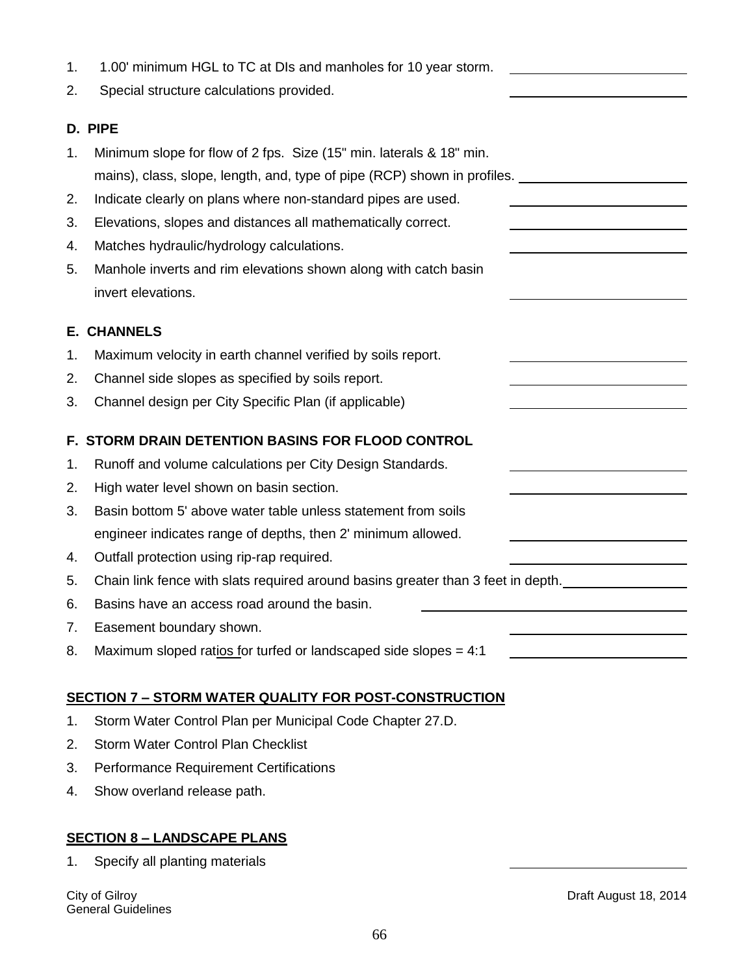|  | 1.00' minimum HGL to TC at DIs and manholes for 10 year storm. |
|--|----------------------------------------------------------------|
|--|----------------------------------------------------------------|

2. Special structure calculations provided.

#### **D. PIPE**

| Minimum slope for flow of 2 fps. Size (15" min. laterals & 18" min. |                                                                          |
|---------------------------------------------------------------------|--------------------------------------------------------------------------|
|                                                                     | mains), class, slope, length, and, type of pipe (RCP) shown in profiles. |

- 2. Indicate clearly on plans where non-standard pipes are used.
- 3. Elevations, slopes and distances all mathematically correct.
- 4. Matches hydraulic/hydrology calculations.
- 5. Manhole inverts and rim elevations shown along with catch basin invert elevations.

#### **E. CHANNELS**

- 1. Maximum velocity in earth channel verified by soils report.
- 2. Channel side slopes as specified by soils report.
- 3. Channel design per City Specific Plan (if applicable)

#### **F. STORM DRAIN DETENTION BASINS FOR FLOOD CONTROL**

- 1. Runoff and volume calculations per City Design Standards.
- 2. High water level shown on basin section.
- 3. Basin bottom 5' above water table unless statement from soils engineer indicates range of depths, then 2' minimum allowed.
- 4. Outfall protection using rip-rap required.
- 5. Chain link fence with slats required around basins greater than 3 feet in depth.
- 6. Basins have an access road around the basin.
- 7. Easement boundary shown.
- 8. Maximum sloped ratios for turfed or landscaped side slopes = 4:1

#### **SECTION 7 – STORM WATER QUALITY FOR POST-CONSTRUCTION**

- 1. Storm Water Control Plan per Municipal Code Chapter 27.D.
- 2. Storm Water Control Plan Checklist
- 3. Performance Requirement Certifications
- 4. Show overland release path.

#### **SECTION 8 – LANDSCAPE PLANS**

1. Specify all planting materials

General Guidelines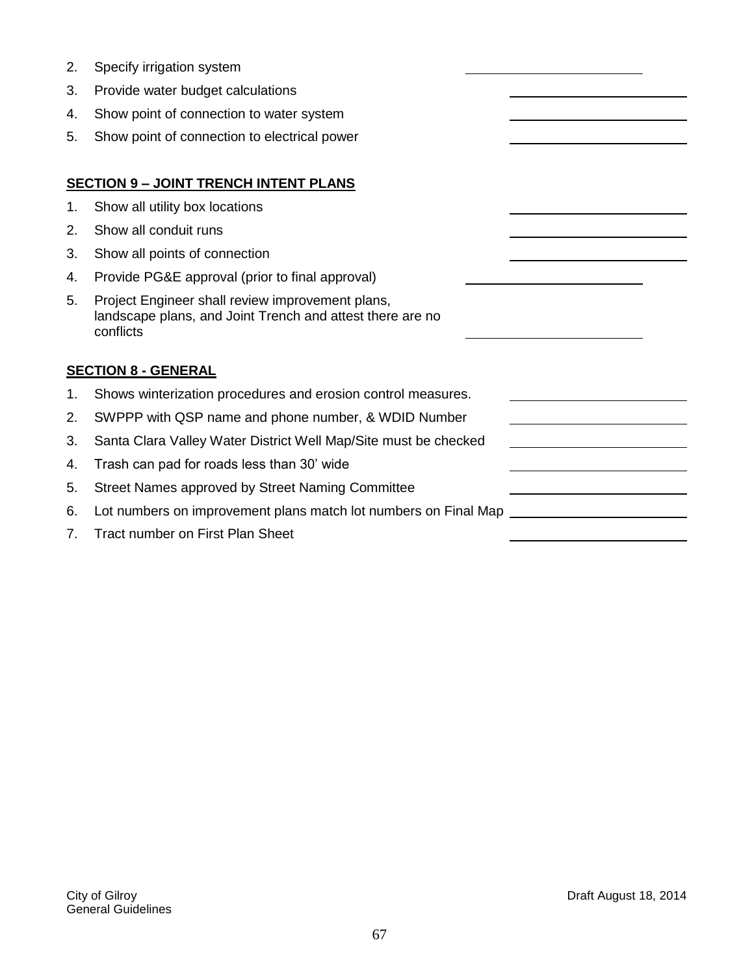| 2. | Specify irrigation system                                                                                                  |  |
|----|----------------------------------------------------------------------------------------------------------------------------|--|
| 3. | Provide water budget calculations                                                                                          |  |
| 4. | Show point of connection to water system                                                                                   |  |
| 5. | Show point of connection to electrical power                                                                               |  |
|    |                                                                                                                            |  |
|    | <b>SECTION 9 - JOINT TRENCH INTENT PLANS</b>                                                                               |  |
| 1. | Show all utility box locations                                                                                             |  |
| 2. | Show all conduit runs                                                                                                      |  |
| 3. | Show all points of connection                                                                                              |  |
| 4. | Provide PG&E approval (prior to final approval)                                                                            |  |
| 5. | Project Engineer shall review improvement plans,<br>landscape plans, and Joint Trench and attest there are no<br>conflicts |  |
|    | <b>SECTION 8 - GENERAL</b>                                                                                                 |  |
| 1. | Shows winterization procedures and erosion control measures.                                                               |  |
| 2. | SWPPP with QSP name and phone number, & WDID Number                                                                        |  |
| 3. | Santa Clara Valley Water District Well Map/Site must be checked                                                            |  |
| 4. | Trash can pad for roads less than 30' wide                                                                                 |  |
| 5. | Street Names approved by Street Naming Committee                                                                           |  |
| 6. | Lot numbers on improvement plans match lot numbers on Final Map                                                            |  |
| 7. | <b>Tract number on First Plan Sheet</b>                                                                                    |  |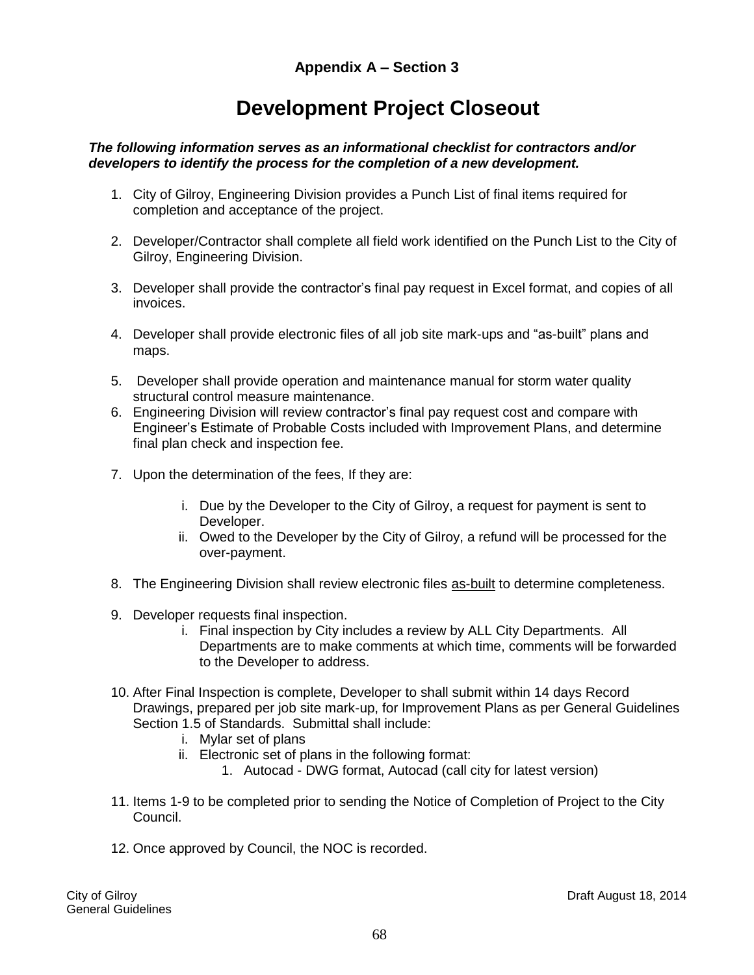# **Development Project Closeout**

#### *The following information serves as an informational checklist for contractors and/or developers to identify the process for the completion of a new development.*

- 1. City of Gilroy, Engineering Division provides a Punch List of final items required for completion and acceptance of the project.
- 2. Developer/Contractor shall complete all field work identified on the Punch List to the City of Gilroy, Engineering Division.
- 3. Developer shall provide the contractor's final pay request in Excel format, and copies of all invoices.
- 4. Developer shall provide electronic files of all job site mark-ups and "as-built" plans and maps.
- 5. Developer shall provide operation and maintenance manual for storm water quality structural control measure maintenance.
- 6. Engineering Division will review contractor's final pay request cost and compare with Engineer's Estimate of Probable Costs included with Improvement Plans, and determine final plan check and inspection fee.
- 7. Upon the determination of the fees, If they are:
	- i. Due by the Developer to the City of Gilroy, a request for payment is sent to Developer.
	- ii. Owed to the Developer by the City of Gilroy, a refund will be processed for the over-payment.
- 8. The Engineering Division shall review electronic files as-built to determine completeness.
- 9. Developer requests final inspection.
	- i. Final inspection by City includes a review by ALL City Departments. All Departments are to make comments at which time, comments will be forwarded to the Developer to address.
- 10. After Final Inspection is complete, Developer to shall submit within 14 days Record Drawings, prepared per job site mark-up, for Improvement Plans as per General Guidelines Section 1.5 of Standards. Submittal shall include:
	- i. Mylar set of plans
	- ii. Electronic set of plans in the following format:
		- 1. Autocad DWG format, Autocad (call city for latest version)
- 11. Items 1-9 to be completed prior to sending the Notice of Completion of Project to the City Council.
- 12. Once approved by Council, the NOC is recorded.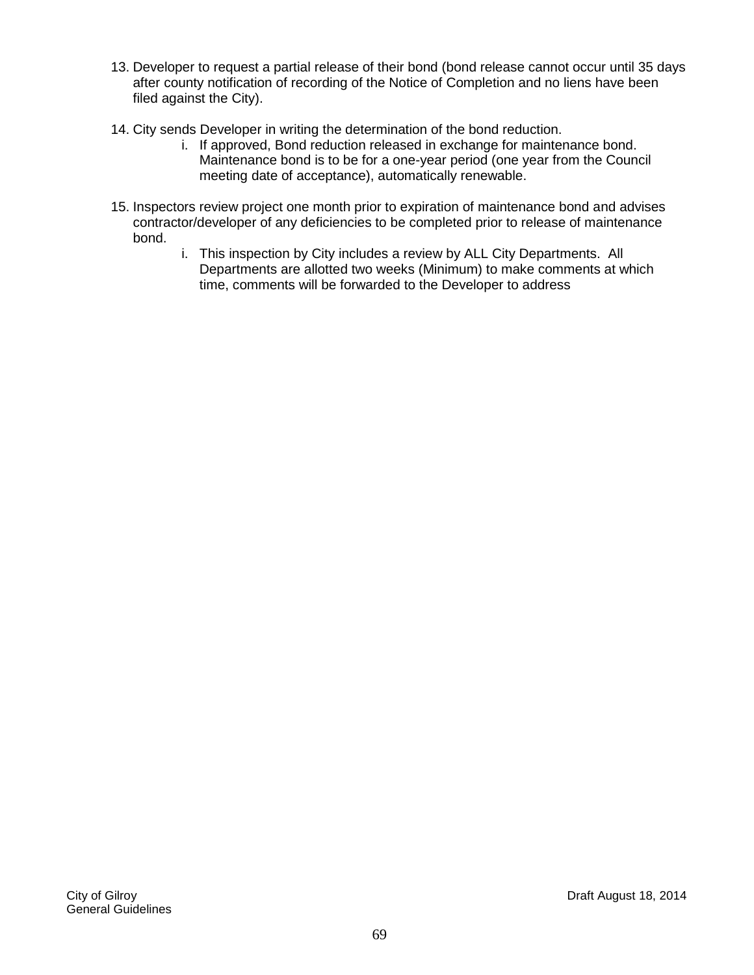- 13. Developer to request a partial release of their bond (bond release cannot occur until 35 days after county notification of recording of the Notice of Completion and no liens have been filed against the City).
- 14. City sends Developer in writing the determination of the bond reduction.
	- i. If approved, Bond reduction released in exchange for maintenance bond. Maintenance bond is to be for a one-year period (one year from the Council meeting date of acceptance), automatically renewable.
- 15. Inspectors review project one month prior to expiration of maintenance bond and advises contractor/developer of any deficiencies to be completed prior to release of maintenance bond.
	- i. This inspection by City includes a review by ALL City Departments. All Departments are allotted two weeks (Minimum) to make comments at which time, comments will be forwarded to the Developer to address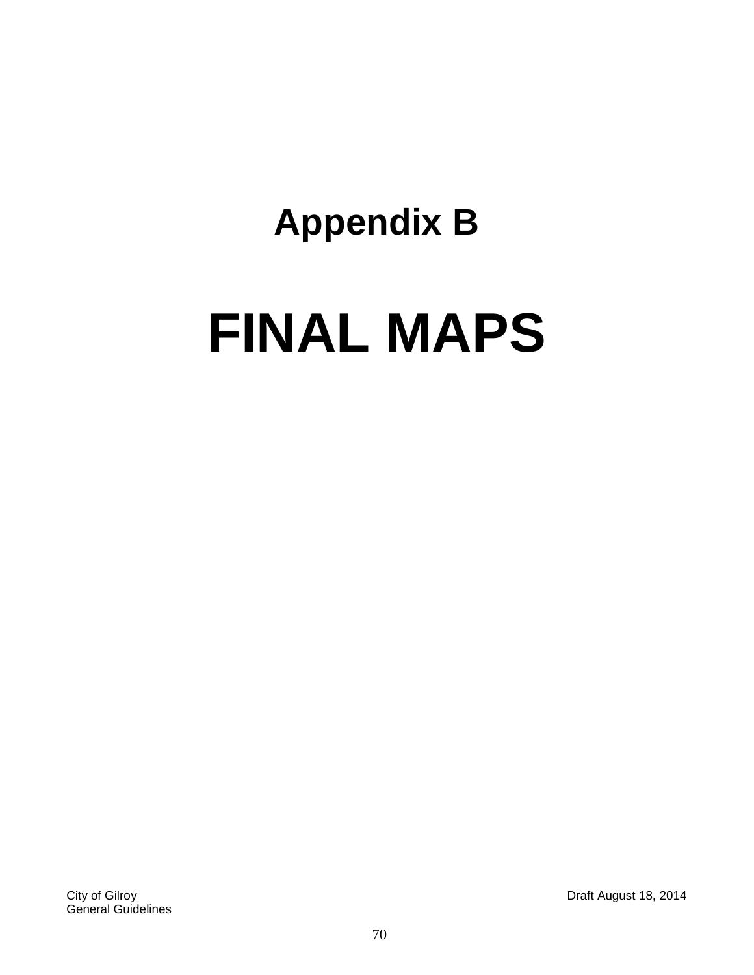# **Appendix B FINAL MAPS**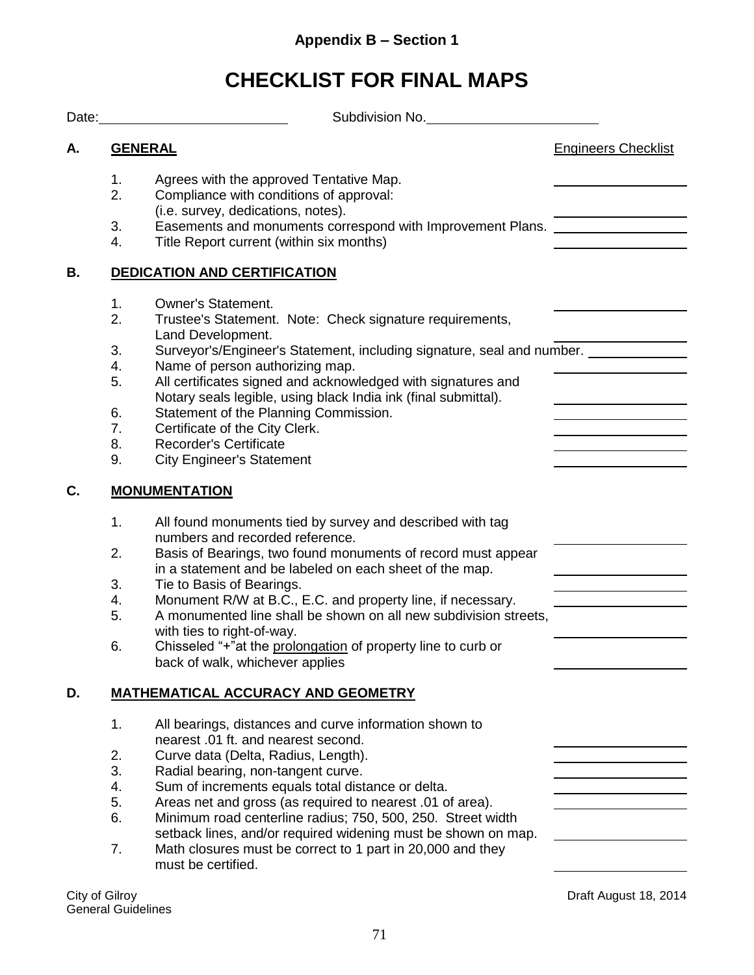# **CHECKLIST FOR FINAL MAPS**

|    | Subdivision No.                                                                                                                                                                                       |                            |
|----|-------------------------------------------------------------------------------------------------------------------------------------------------------------------------------------------------------|----------------------------|
| А. | <b>GENERAL</b>                                                                                                                                                                                        | <b>Engineers Checklist</b> |
|    | 1.<br>Agrees with the approved Tentative Map.<br>2.<br>Compliance with conditions of approval:<br>(i.e. survey, dedications, notes).                                                                  |                            |
|    | 3.<br>Easements and monuments correspond with Improvement Plans.<br>Title Report current (within six months)<br>4.                                                                                    |                            |
| В. | <b>DEDICATION AND CERTIFICATION</b>                                                                                                                                                                   |                            |
|    | 1.<br><b>Owner's Statement.</b><br>2.<br>Trustee's Statement. Note: Check signature requirements,<br>Land Development.                                                                                |                            |
|    | Surveyor's/Engineer's Statement, including signature, seal and number.<br>3.<br>Name of person authorizing map.<br>4.<br>All certificates signed and acknowledged with signatures and<br>5.           |                            |
|    | Notary seals legible, using black India ink (final submittal).<br>Statement of the Planning Commission.<br>6.<br>7.<br>Certificate of the City Clerk.<br>8.<br><b>Recorder's Certificate</b>          |                            |
| C. | 9.<br><b>City Engineer's Statement</b><br><b>MONUMENTATION</b>                                                                                                                                        |                            |
|    | 1.<br>All found monuments tied by survey and described with tag<br>numbers and recorded reference.                                                                                                    |                            |
|    | Basis of Bearings, two found monuments of record must appear<br>2.<br>in a statement and be labeled on each sheet of the map.                                                                         |                            |
|    | 3.<br>Tie to Basis of Bearings.<br>Monument R/W at B.C., E.C. and property line, if necessary.<br>4.<br>A monumented line shall be shown on all new subdivision streets,<br>5.                        |                            |
|    | with ties to right-of-way.<br>Chisseled "+"at the prolongation of property line to curb or<br>6.<br>back of walk, whichever applies                                                                   |                            |
| D. | <b>MATHEMATICAL ACCURACY AND GEOMETRY</b>                                                                                                                                                             |                            |
|    | 1.<br>All bearings, distances and curve information shown to<br>nearest .01 ft. and nearest second.                                                                                                   |                            |
|    | 2.<br>Curve data (Delta, Radius, Length).<br>3.<br>Radial bearing, non-tangent curve.<br>4.<br>Sum of increments equals total distance or delta.                                                      |                            |
|    | 5.<br>Areas net and gross (as required to nearest .01 of area).<br>6.<br>Minimum road centerline radius; 750, 500, 250. Street width<br>setback lines, and/or required widening must be shown on map. |                            |
|    | 7.<br>Math closures must be correct to 1 part in 20,000 and they<br>must be certified.                                                                                                                |                            |

City of Gilroy<br>General Guidelines

Draft August 18, 2014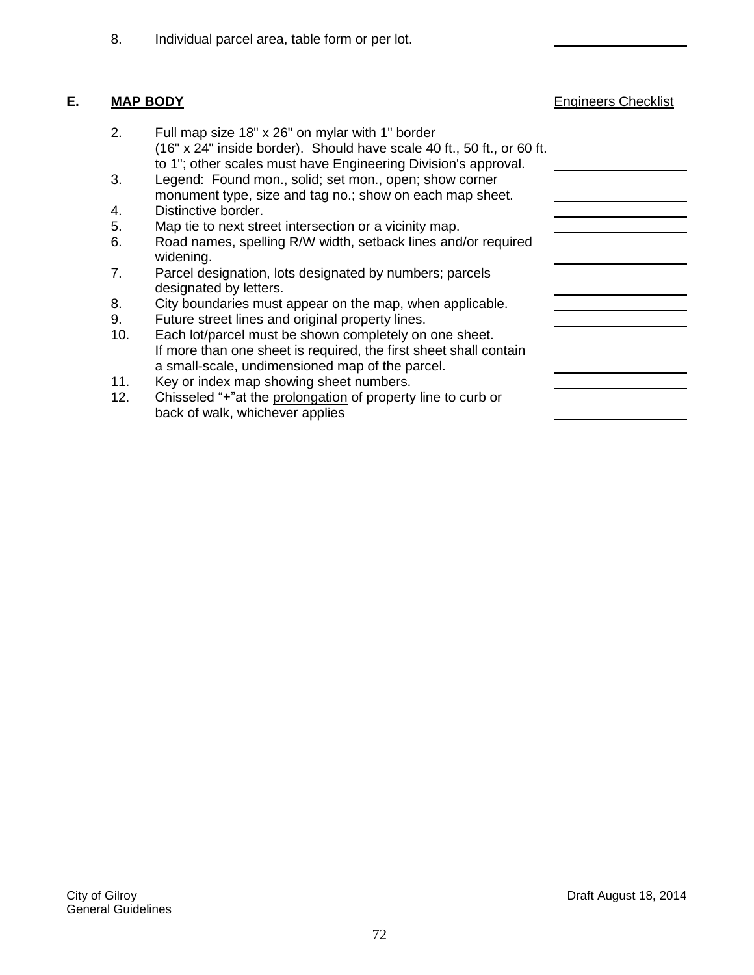8. Individual parcel area, table form or per lot.

### **E. MAP BODY Engineers Checklist**

- 2. Full map size 18" x 26" on mylar with 1" border (16" x 24" inside border). Should have scale 40 ft., 50 ft., or 60 ft. to 1"; other scales must have Engineering Division's approval.
- 3. Legend: Found mon., solid; set mon., open; show corner monument type, size and tag no.; show on each map sheet.
- 4. Distinctive border.
- 5. Map tie to next street intersection or a vicinity map.
- 6. Road names, spelling R/W width, setback lines and/or required widening.
- 7. Parcel designation, lots designated by numbers; parcels designated by letters.
- 8. City boundaries must appear on the map, when applicable.
- 9. Future street lines and original property lines.
- 10. Each lot/parcel must be shown completely on one sheet. If more than one sheet is required, the first sheet shall contain a small-scale, undimensioned map of the parcel.
- 11. Key or index map showing sheet numbers.
- 12. Chisseled "+"at the prolongation of property line to curb or back of walk, whichever applies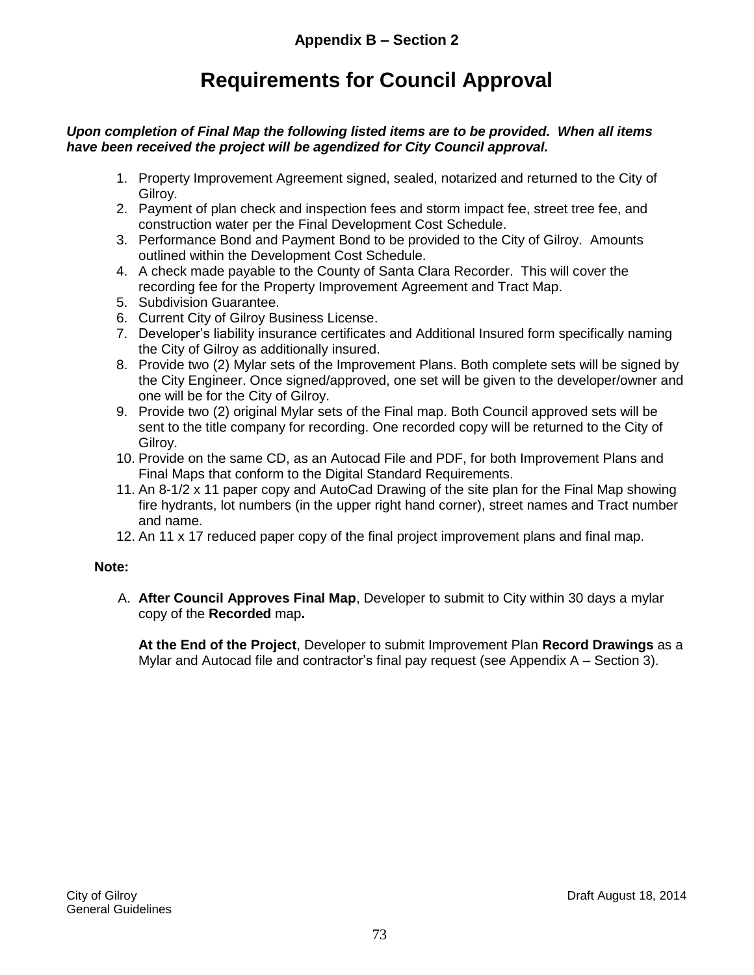#### **Requirements for Council Approval**

#### *Upon completion of Final Map the following listed items are to be provided. When all items have been received the project will be agendized for City Council approval.*

- 1. Property Improvement Agreement signed, sealed, notarized and returned to the City of Gilroy.
- 2. Payment of plan check and inspection fees and storm impact fee, street tree fee, and construction water per the Final Development Cost Schedule.
- 3. Performance Bond and Payment Bond to be provided to the City of Gilroy. Amounts outlined within the Development Cost Schedule.
- 4. A check made payable to the County of Santa Clara Recorder. This will cover the recording fee for the Property Improvement Agreement and Tract Map.
- 5. Subdivision Guarantee.
- 6. Current City of Gilroy Business License.
- 7. Developer's liability insurance certificates and Additional Insured form specifically naming the City of Gilroy as additionally insured.
- 8. Provide two (2) Mylar sets of the Improvement Plans. Both complete sets will be signed by the City Engineer. Once signed/approved, one set will be given to the developer/owner and one will be for the City of Gilroy.
- 9. Provide two (2) original Mylar sets of the Final map. Both Council approved sets will be sent to the title company for recording. One recorded copy will be returned to the City of Gilroy.
- 10. Provide on the same CD, as an Autocad File and PDF, for both Improvement Plans and Final Maps that conform to the Digital Standard Requirements.
- 11. An 8-1/2 x 11 paper copy and AutoCad Drawing of the site plan for the Final Map showing fire hydrants, lot numbers (in the upper right hand corner), street names and Tract number and name.
- 12. An 11 x 17 reduced paper copy of the final project improvement plans and final map.

#### **Note:**

A. **After Council Approves Final Map**, Developer to submit to City within 30 days a mylar copy of the **Recorded** map**.**

**At the End of the Project**, Developer to submit Improvement Plan **Record Drawings** as a Mylar and Autocad file and contractor's final pay request (see Appendix A – Section 3).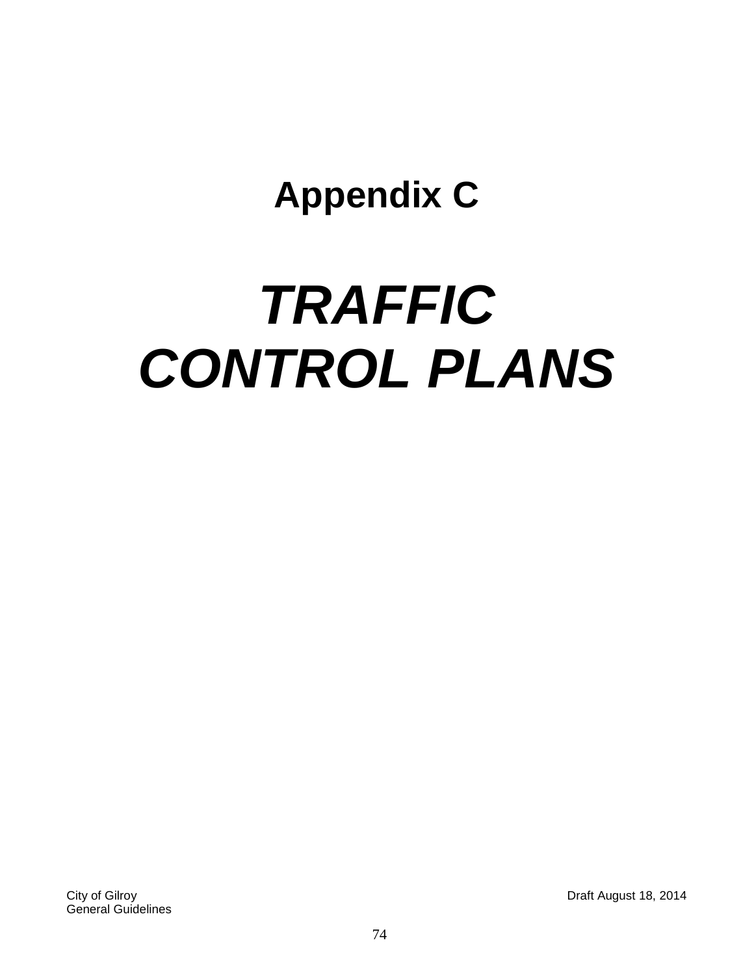### **Appendix C**

## *TRAFFIC CONTROL PLANS*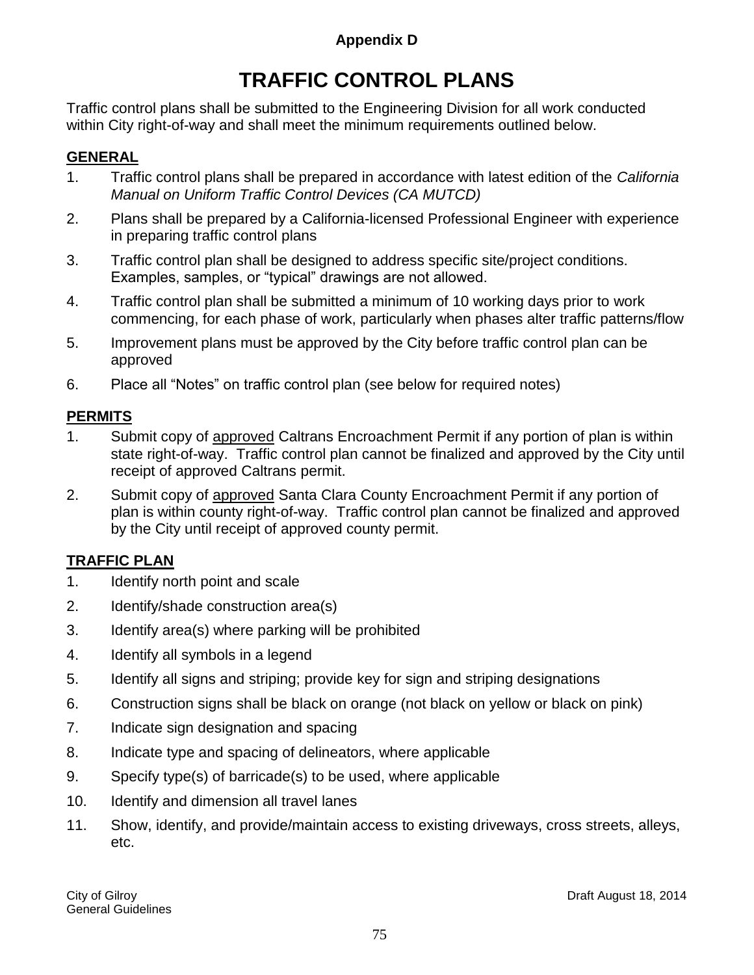#### **Appendix D**

### **TRAFFIC CONTROL PLANS**

Traffic control plans shall be submitted to the Engineering Division for all work conducted within City right-of-way and shall meet the minimum requirements outlined below.

#### **GENERAL**

- 1. Traffic control plans shall be prepared in accordance with latest edition of the *California Manual on Uniform Traffic Control Devices (CA MUTCD)*
- 2. Plans shall be prepared by a California-licensed Professional Engineer with experience in preparing traffic control plans
- 3. Traffic control plan shall be designed to address specific site/project conditions. Examples, samples, or "typical" drawings are not allowed.
- 4. Traffic control plan shall be submitted a minimum of 10 working days prior to work commencing, for each phase of work, particularly when phases alter traffic patterns/flow
- 5. Improvement plans must be approved by the City before traffic control plan can be approved
- 6. Place all "Notes" on traffic control plan (see below for required notes)

#### **PERMITS**

- 1. Submit copy of approved Caltrans Encroachment Permit if any portion of plan is within state right-of-way. Traffic control plan cannot be finalized and approved by the City until receipt of approved Caltrans permit.
- 2. Submit copy of approved Santa Clara County Encroachment Permit if any portion of plan is within county right-of-way. Traffic control plan cannot be finalized and approved by the City until receipt of approved county permit.

#### **TRAFFIC PLAN**

- 1. Identify north point and scale
- 2. Identify/shade construction area(s)
- 3. Identify area(s) where parking will be prohibited
- 4. Identify all symbols in a legend
- 5. Identify all signs and striping; provide key for sign and striping designations
- 6. Construction signs shall be black on orange (not black on yellow or black on pink)
- 7. Indicate sign designation and spacing
- 8. Indicate type and spacing of delineators, where applicable
- 9. Specify type(s) of barricade(s) to be used, where applicable
- 10. Identify and dimension all travel lanes
- 11. Show, identify, and provide/maintain access to existing driveways, cross streets, alleys, etc.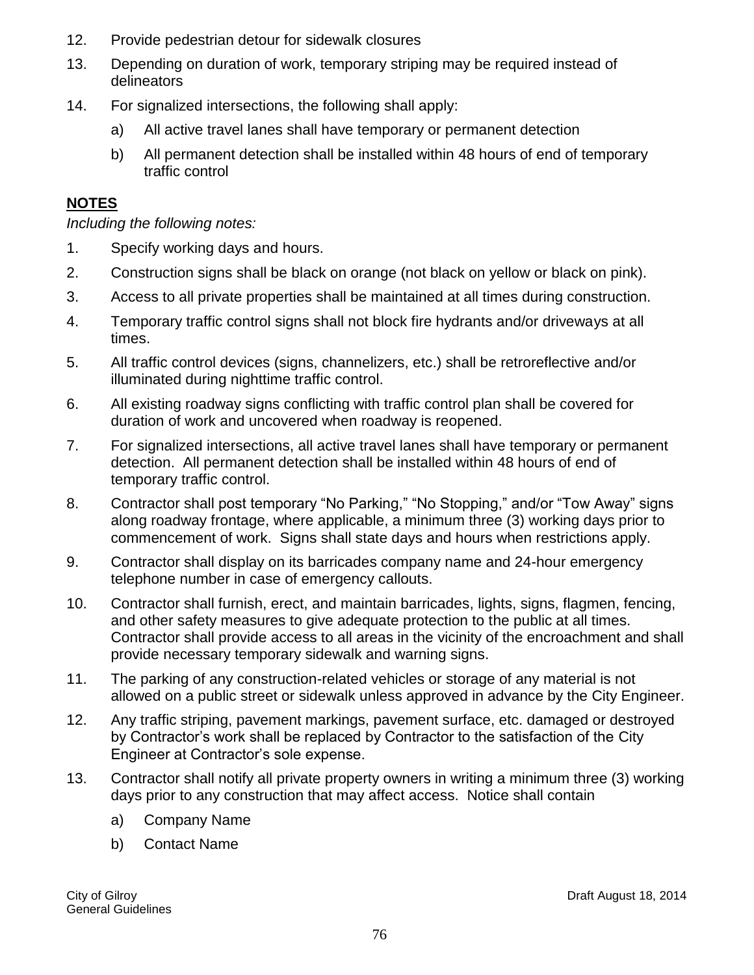- 12. Provide pedestrian detour for sidewalk closures
- 13. Depending on duration of work, temporary striping may be required instead of delineators
- 14. For signalized intersections, the following shall apply:
	- a) All active travel lanes shall have temporary or permanent detection
	- b) All permanent detection shall be installed within 48 hours of end of temporary traffic control

#### **NOTES**

*Including the following notes:*

- 1. Specify working days and hours.
- 2. Construction signs shall be black on orange (not black on yellow or black on pink).
- 3. Access to all private properties shall be maintained at all times during construction.
- 4. Temporary traffic control signs shall not block fire hydrants and/or driveways at all times.
- 5. All traffic control devices (signs, channelizers, etc.) shall be retroreflective and/or illuminated during nighttime traffic control.
- 6. All existing roadway signs conflicting with traffic control plan shall be covered for duration of work and uncovered when roadway is reopened.
- 7. For signalized intersections, all active travel lanes shall have temporary or permanent detection. All permanent detection shall be installed within 48 hours of end of temporary traffic control.
- 8. Contractor shall post temporary "No Parking," "No Stopping," and/or "Tow Away" signs along roadway frontage, where applicable, a minimum three (3) working days prior to commencement of work. Signs shall state days and hours when restrictions apply.
- 9. Contractor shall display on its barricades company name and 24-hour emergency telephone number in case of emergency callouts.
- 10. Contractor shall furnish, erect, and maintain barricades, lights, signs, flagmen, fencing, and other safety measures to give adequate protection to the public at all times. Contractor shall provide access to all areas in the vicinity of the encroachment and shall provide necessary temporary sidewalk and warning signs.
- 11. The parking of any construction-related vehicles or storage of any material is not allowed on a public street or sidewalk unless approved in advance by the City Engineer.
- 12. Any traffic striping, pavement markings, pavement surface, etc. damaged or destroyed by Contractor's work shall be replaced by Contractor to the satisfaction of the City Engineer at Contractor's sole expense.
- 13. Contractor shall notify all private property owners in writing a minimum three (3) working days prior to any construction that may affect access. Notice shall contain
	- a) Company Name
	- b) Contact Name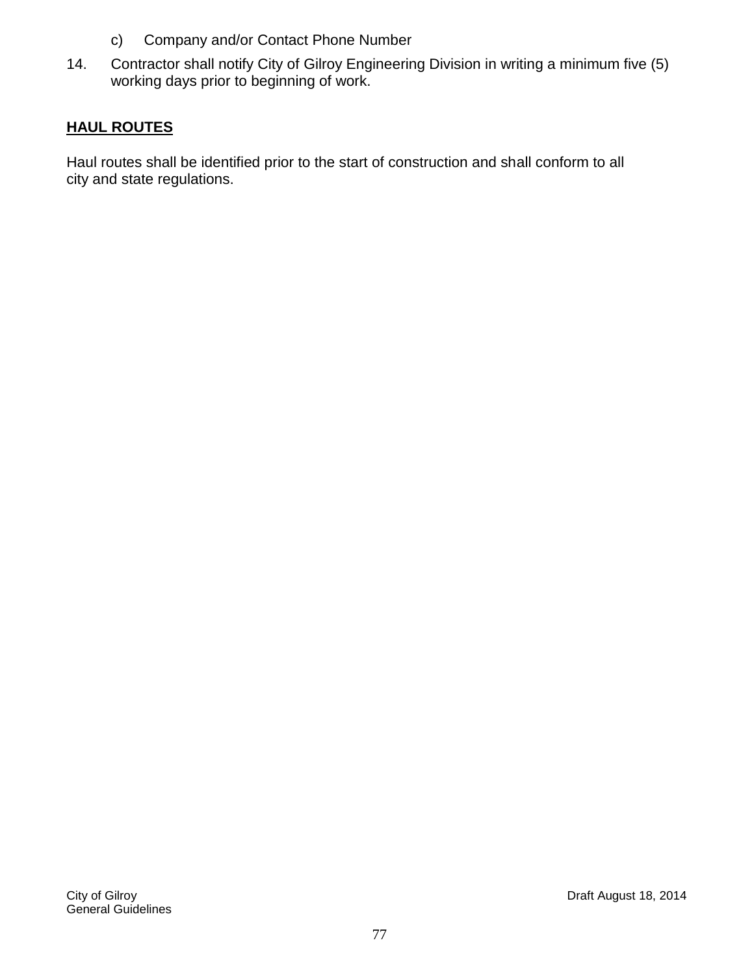- c) Company and/or Contact Phone Number
- 14. Contractor shall notify City of Gilroy Engineering Division in writing a minimum five (5) working days prior to beginning of work.

#### **HAUL ROUTES**

Haul routes shall be identified prior to the start of construction and shall conform to all city and state regulations.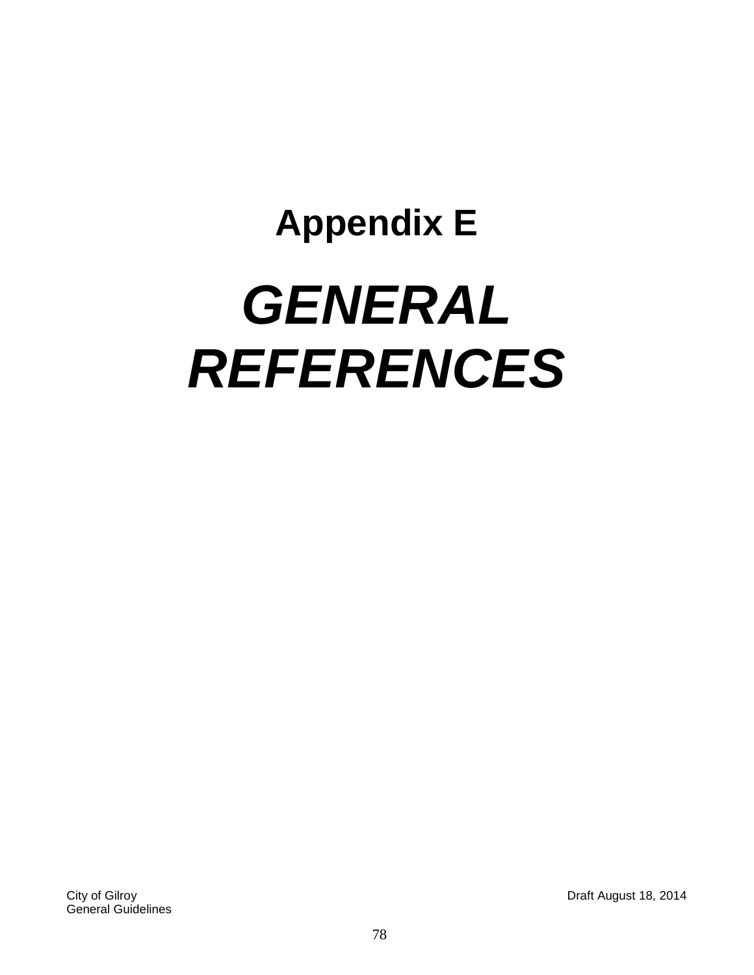# **Appendix E** *GENERAL REFERENCES*